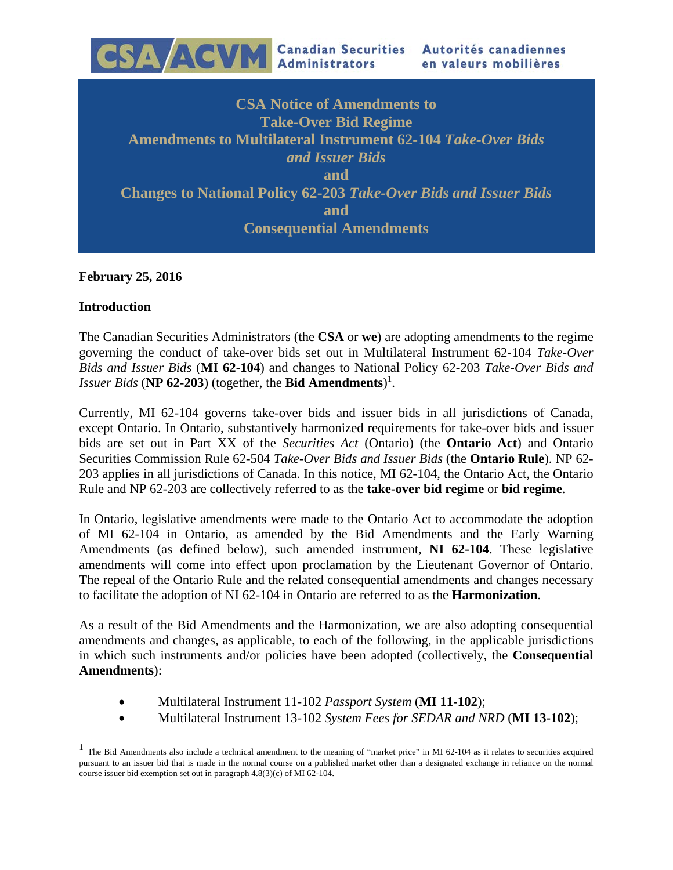**CSA Notice of Amendments to Take-Over Bid Regime Amendments to Multilateral Instrument 62-104** *Take-Over Bids and Issuer Bids* **and Changes to National Policy 62-203** *Take-Over Bids and Issuer Bids*  **and Consequential Amendments**

**February 25, 2016** 

## **Introduction**

 $\overline{a}$ 

The Canadian Securities Administrators (the **CSA** or **we**) are adopting amendments to the regime governing the conduct of take-over bids set out in Multilateral Instrument 62-104 *Take-Over Bids and Issuer Bids* (**MI 62-104**) and changes to National Policy 62-203 *Take-Over Bids and Issuer Bids* (**NP 62-203**) (together, the **Bid Amendments**) 1 .

Currently, MI 62-104 governs take-over bids and issuer bids in all jurisdictions of Canada, except Ontario. In Ontario, substantively harmonized requirements for take-over bids and issuer bids are set out in Part XX of the *Securities Act* (Ontario) (the **Ontario Act**) and Ontario Securities Commission Rule 62-504 *Take-Over Bids and Issuer Bids* (the **Ontario Rule**). NP 62- 203 applies in all jurisdictions of Canada. In this notice, MI 62-104, the Ontario Act, the Ontario Rule and NP 62-203 are collectively referred to as the **take-over bid regime** or **bid regime**.

In Ontario, legislative amendments were made to the Ontario Act to accommodate the adoption of MI 62-104 in Ontario, as amended by the Bid Amendments and the Early Warning Amendments (as defined below), such amended instrument, **NI 62-104**. These legislative amendments will come into effect upon proclamation by the Lieutenant Governor of Ontario. The repeal of the Ontario Rule and the related consequential amendments and changes necessary to facilitate the adoption of NI 62-104 in Ontario are referred to as the **Harmonization**.

As a result of the Bid Amendments and the Harmonization, we are also adopting consequential amendments and changes, as applicable, to each of the following, in the applicable jurisdictions in which such instruments and/or policies have been adopted (collectively, the **Consequential Amendments**):

- Multilateral Instrument 11-102 *Passport System* (**MI 11-102**);
- Multilateral Instrument 13-102 *System Fees for SEDAR and NRD* (**MI 13-102**);

<sup>&</sup>lt;sup>1</sup> The Bid Amendments also include a technical amendment to the meaning of "market price" in MI 62-104 as it relates to securities acquired pursuant to an issuer bid that is made in the normal course on a published market other than a designated exchange in reliance on the normal course issuer bid exemption set out in paragraph 4.8(3)(c) of MI 62-104.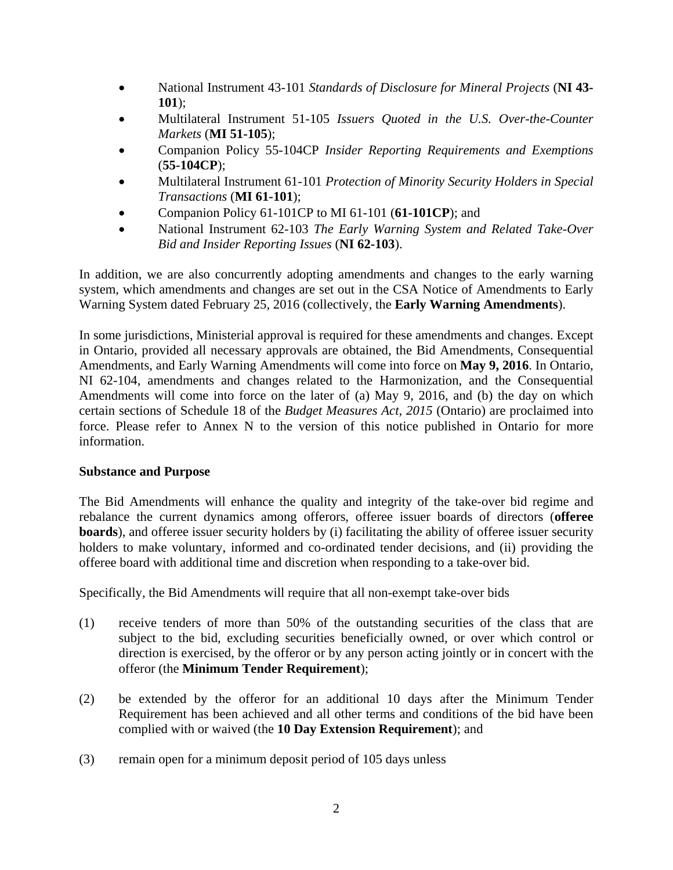- National Instrument 43-101 *Standards of Disclosure for Mineral Projects* (**NI 43- 101**);
- Multilateral Instrument 51-105 *Issuers Quoted in the U.S. Over-the-Counter Markets* (**MI 51-105**);
- Companion Policy 55-104CP *Insider Reporting Requirements and Exemptions*  (**55-104CP**);
- Multilateral Instrument 61-101 *Protection of Minority Security Holders in Special Transactions* (**MI 61-101**);
- Companion Policy 61-101CP to MI 61-101 (**61-101CP**); and
- National Instrument 62-103 *The Early Warning System and Related Take-Over Bid and Insider Reporting Issues* (**NI 62-103**).

In addition, we are also concurrently adopting amendments and changes to the early warning system, which amendments and changes are set out in the CSA Notice of Amendments to Early Warning System dated February 25, 2016 (collectively, the **Early Warning Amendments**).

In some jurisdictions, Ministerial approval is required for these amendments and changes. Except in Ontario, provided all necessary approvals are obtained, the Bid Amendments, Consequential Amendments, and Early Warning Amendments will come into force on **May 9, 2016**. In Ontario, NI 62-104, amendments and changes related to the Harmonization, and the Consequential Amendments will come into force on the later of (a) May 9, 2016, and (b) the day on which certain sections of Schedule 18 of the *Budget Measures Act, 2015* (Ontario) are proclaimed into force. Please refer to Annex N to the version of this notice published in Ontario for more information.

# **Substance and Purpose**

The Bid Amendments will enhance the quality and integrity of the take-over bid regime and rebalance the current dynamics among offerors, offeree issuer boards of directors (**offeree boards**), and offeree issuer security holders by (i) facilitating the ability of offeree issuer security holders to make voluntary, informed and co-ordinated tender decisions, and (ii) providing the offeree board with additional time and discretion when responding to a take-over bid.

Specifically, the Bid Amendments will require that all non-exempt take-over bids

- (1) receive tenders of more than 50% of the outstanding securities of the class that are subject to the bid, excluding securities beneficially owned, or over which control or direction is exercised, by the offeror or by any person acting jointly or in concert with the offeror (the **Minimum Tender Requirement**);
- (2) be extended by the offeror for an additional 10 days after the Minimum Tender Requirement has been achieved and all other terms and conditions of the bid have been complied with or waived (the **10 Day Extension Requirement**); and
- (3) remain open for a minimum deposit period of 105 days unless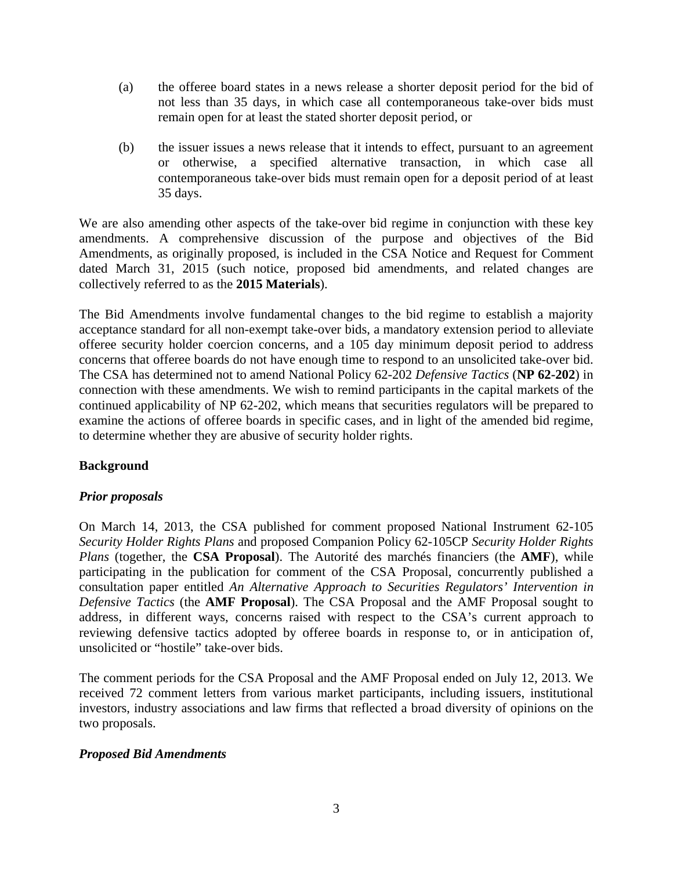- (a) the offeree board states in a news release a shorter deposit period for the bid of not less than 35 days, in which case all contemporaneous take-over bids must remain open for at least the stated shorter deposit period, or
- (b) the issuer issues a news release that it intends to effect, pursuant to an agreement or otherwise, a specified alternative transaction, in which case all contemporaneous take-over bids must remain open for a deposit period of at least 35 days.

We are also amending other aspects of the take-over bid regime in conjunction with these key amendments. A comprehensive discussion of the purpose and objectives of the Bid Amendments, as originally proposed, is included in the CSA Notice and Request for Comment dated March 31, 2015 (such notice, proposed bid amendments, and related changes are collectively referred to as the **2015 Materials**).

The Bid Amendments involve fundamental changes to the bid regime to establish a majority acceptance standard for all non-exempt take-over bids, a mandatory extension period to alleviate offeree security holder coercion concerns, and a 105 day minimum deposit period to address concerns that offeree boards do not have enough time to respond to an unsolicited take-over bid. The CSA has determined not to amend National Policy 62-202 *Defensive Tactics* (**NP 62-202**) in connection with these amendments. We wish to remind participants in the capital markets of the continued applicability of NP 62-202, which means that securities regulators will be prepared to examine the actions of offeree boards in specific cases, and in light of the amended bid regime, to determine whether they are abusive of security holder rights.

# **Background**

## *Prior proposals*

On March 14, 2013, the CSA published for comment proposed National Instrument 62-105 *Security Holder Rights Plans* and proposed Companion Policy 62-105CP *Security Holder Rights Plans* (together, the **CSA Proposal**). The Autorité des marchés financiers (the **AMF**), while participating in the publication for comment of the CSA Proposal, concurrently published a consultation paper entitled *An Alternative Approach to Securities Regulators' Intervention in Defensive Tactics* (the **AMF Proposal**). The CSA Proposal and the AMF Proposal sought to address, in different ways, concerns raised with respect to the CSA's current approach to reviewing defensive tactics adopted by offeree boards in response to, or in anticipation of, unsolicited or "hostile" take-over bids.

The comment periods for the CSA Proposal and the AMF Proposal ended on July 12, 2013. We received 72 comment letters from various market participants, including issuers, institutional investors, industry associations and law firms that reflected a broad diversity of opinions on the two proposals.

## *Proposed Bid Amendments*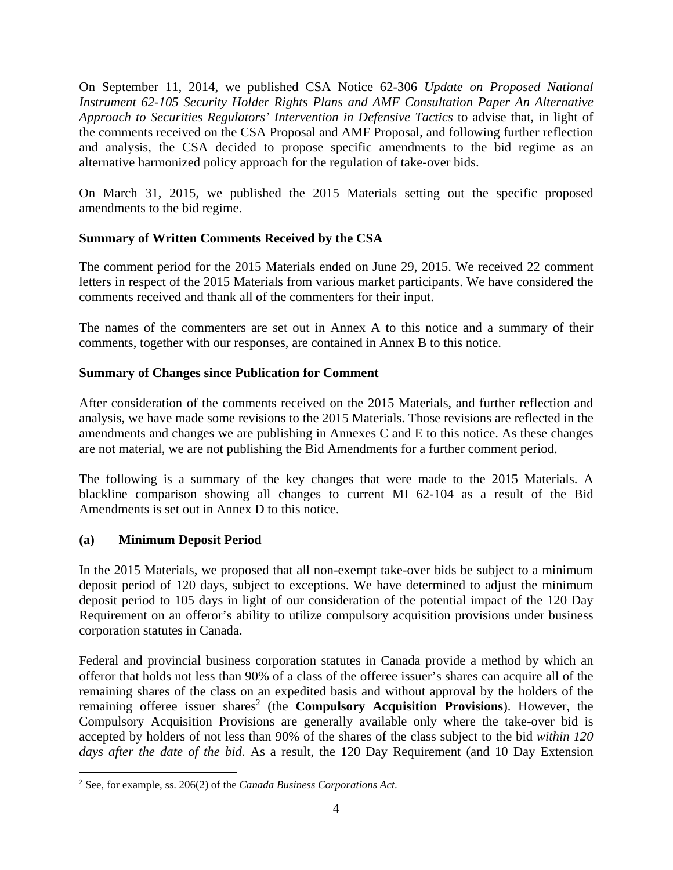On September 11, 2014, we published CSA Notice 62-306 *Update on Proposed National Instrument 62-105 Security Holder Rights Plans and AMF Consultation Paper An Alternative Approach to Securities Regulators' Intervention in Defensive Tactics* to advise that, in light of the comments received on the CSA Proposal and AMF Proposal, and following further reflection and analysis, the CSA decided to propose specific amendments to the bid regime as an alternative harmonized policy approach for the regulation of take-over bids.

On March 31, 2015, we published the 2015 Materials setting out the specific proposed amendments to the bid regime.

# **Summary of Written Comments Received by the CSA**

The comment period for the 2015 Materials ended on June 29, 2015. We received 22 comment letters in respect of the 2015 Materials from various market participants. We have considered the comments received and thank all of the commenters for their input.

The names of the commenters are set out in Annex A to this notice and a summary of their comments, together with our responses, are contained in Annex B to this notice.

# **Summary of Changes since Publication for Comment**

After consideration of the comments received on the 2015 Materials, and further reflection and analysis, we have made some revisions to the 2015 Materials. Those revisions are reflected in the amendments and changes we are publishing in Annexes C and E to this notice. As these changes are not material, we are not publishing the Bid Amendments for a further comment period.

The following is a summary of the key changes that were made to the 2015 Materials. A blackline comparison showing all changes to current MI 62-104 as a result of the Bid Amendments is set out in Annex D to this notice.

# **(a) Minimum Deposit Period**

 $\overline{a}$ 

In the 2015 Materials, we proposed that all non-exempt take-over bids be subject to a minimum deposit period of 120 days, subject to exceptions. We have determined to adjust the minimum deposit period to 105 days in light of our consideration of the potential impact of the 120 Day Requirement on an offeror's ability to utilize compulsory acquisition provisions under business corporation statutes in Canada.

Federal and provincial business corporation statutes in Canada provide a method by which an offeror that holds not less than 90% of a class of the offeree issuer's shares can acquire all of the remaining shares of the class on an expedited basis and without approval by the holders of the remaining offeree issuer shares<sup>2</sup> (the **Compulsory Acquisition Provisions**). However, the Compulsory Acquisition Provisions are generally available only where the take-over bid is accepted by holders of not less than 90% of the shares of the class subject to the bid *within 120 days after the date of the bid*. As a result, the 120 Day Requirement (and 10 Day Extension

<sup>2</sup> See, for example, ss. 206(2) of the *Canada Business Corporations Act*.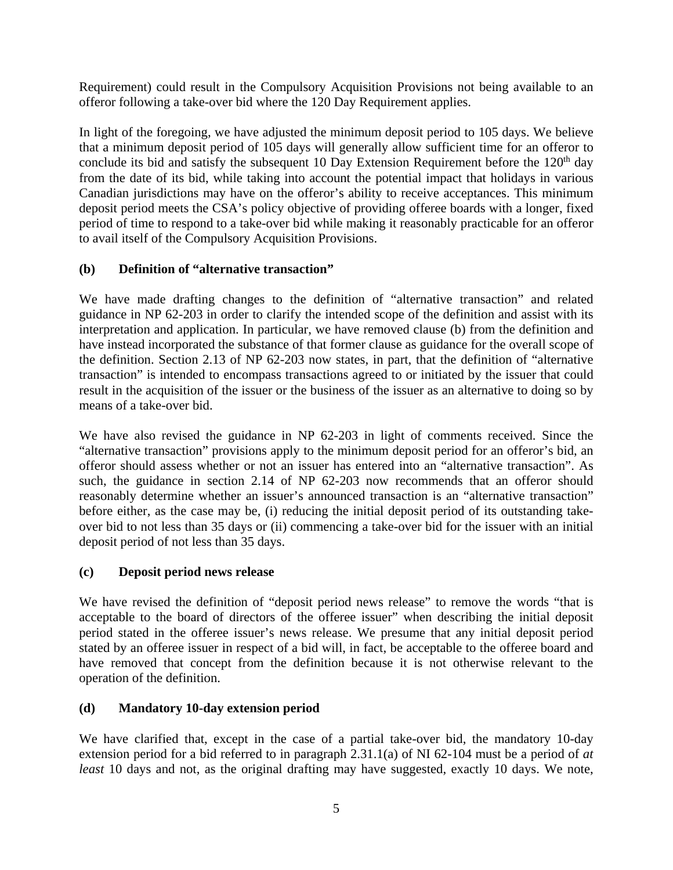Requirement) could result in the Compulsory Acquisition Provisions not being available to an offeror following a take-over bid where the 120 Day Requirement applies.

In light of the foregoing, we have adjusted the minimum deposit period to 105 days. We believe that a minimum deposit period of 105 days will generally allow sufficient time for an offeror to conclude its bid and satisfy the subsequent 10 Day Extension Requirement before the  $120<sup>th</sup>$  day from the date of its bid, while taking into account the potential impact that holidays in various Canadian jurisdictions may have on the offeror's ability to receive acceptances. This minimum deposit period meets the CSA's policy objective of providing offeree boards with a longer, fixed period of time to respond to a take-over bid while making it reasonably practicable for an offeror to avail itself of the Compulsory Acquisition Provisions.

# **(b) Definition of "alternative transaction"**

We have made drafting changes to the definition of "alternative transaction" and related guidance in NP 62-203 in order to clarify the intended scope of the definition and assist with its interpretation and application. In particular, we have removed clause (b) from the definition and have instead incorporated the substance of that former clause as guidance for the overall scope of the definition. Section 2.13 of NP 62-203 now states, in part, that the definition of "alternative transaction" is intended to encompass transactions agreed to or initiated by the issuer that could result in the acquisition of the issuer or the business of the issuer as an alternative to doing so by means of a take-over bid.

We have also revised the guidance in NP 62-203 in light of comments received. Since the "alternative transaction" provisions apply to the minimum deposit period for an offeror's bid, an offeror should assess whether or not an issuer has entered into an "alternative transaction". As such, the guidance in section 2.14 of NP 62-203 now recommends that an offeror should reasonably determine whether an issuer's announced transaction is an "alternative transaction" before either, as the case may be, (i) reducing the initial deposit period of its outstanding takeover bid to not less than 35 days or (ii) commencing a take-over bid for the issuer with an initial deposit period of not less than 35 days.

# **(c) Deposit period news release**

We have revised the definition of "deposit period news release" to remove the words "that is acceptable to the board of directors of the offeree issuer" when describing the initial deposit period stated in the offeree issuer's news release. We presume that any initial deposit period stated by an offeree issuer in respect of a bid will, in fact, be acceptable to the offeree board and have removed that concept from the definition because it is not otherwise relevant to the operation of the definition.

# **(d) Mandatory 10-day extension period**

We have clarified that, except in the case of a partial take-over bid, the mandatory 10-day extension period for a bid referred to in paragraph 2.31.1(a) of NI 62-104 must be a period of *at least* 10 days and not, as the original drafting may have suggested, exactly 10 days. We note,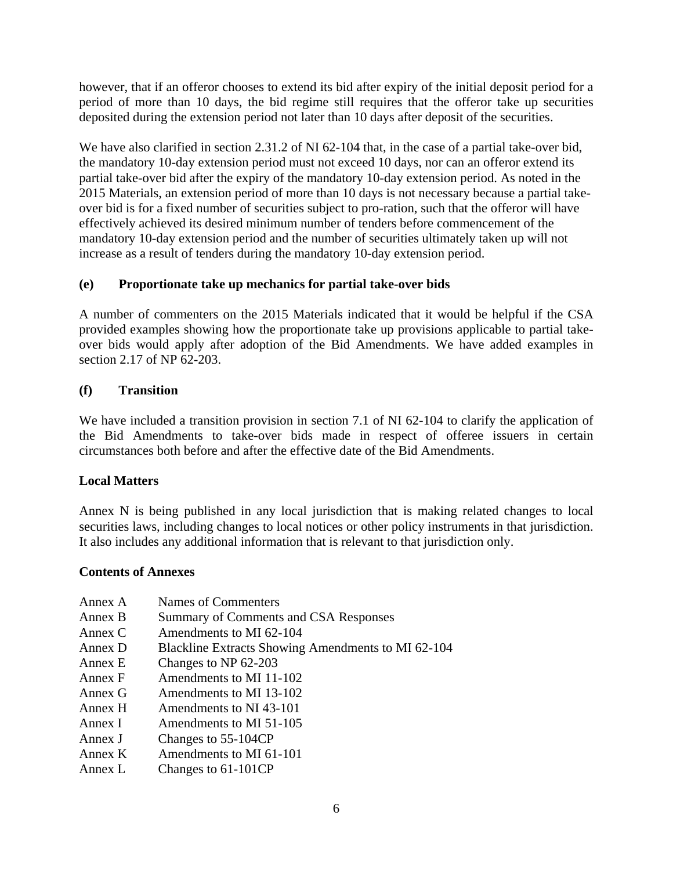however, that if an offeror chooses to extend its bid after expiry of the initial deposit period for a period of more than 10 days, the bid regime still requires that the offeror take up securities deposited during the extension period not later than 10 days after deposit of the securities.

We have also clarified in section 2.31.2 of NI 62-104 that, in the case of a partial take-over bid, the mandatory 10-day extension period must not exceed 10 days, nor can an offeror extend its partial take-over bid after the expiry of the mandatory 10-day extension period. As noted in the 2015 Materials, an extension period of more than 10 days is not necessary because a partial takeover bid is for a fixed number of securities subject to pro-ration, such that the offeror will have effectively achieved its desired minimum number of tenders before commencement of the mandatory 10-day extension period and the number of securities ultimately taken up will not increase as a result of tenders during the mandatory 10-day extension period.

# **(e) Proportionate take up mechanics for partial take-over bids**

A number of commenters on the 2015 Materials indicated that it would be helpful if the CSA provided examples showing how the proportionate take up provisions applicable to partial takeover bids would apply after adoption of the Bid Amendments. We have added examples in section 2.17 of NP 62-203.

# **(f) Transition**

We have included a transition provision in section 7.1 of NI 62-104 to clarify the application of the Bid Amendments to take-over bids made in respect of offeree issuers in certain circumstances both before and after the effective date of the Bid Amendments.

# **Local Matters**

Annex N is being published in any local jurisdiction that is making related changes to local securities laws, including changes to local notices or other policy instruments in that jurisdiction. It also includes any additional information that is relevant to that jurisdiction only.

# **Contents of Annexes**

- Annex A Names of Commenters
- Annex B Summary of Comments and CSA Responses
- Annex C Amendments to MI 62-104
- Annex D Blackline Extracts Showing Amendments to MI 62-104
- Annex E Changes to NP 62-203
- Annex F Amendments to MI 11-102
- Annex G Amendments to MI 13-102
- Annex H Amendments to NI 43-101
- Annex I Amendments to MI 51-105
- Annex J Changes to 55-104CP
- Annex K Amendments to MI 61-101
- Annex L Changes to 61-101CP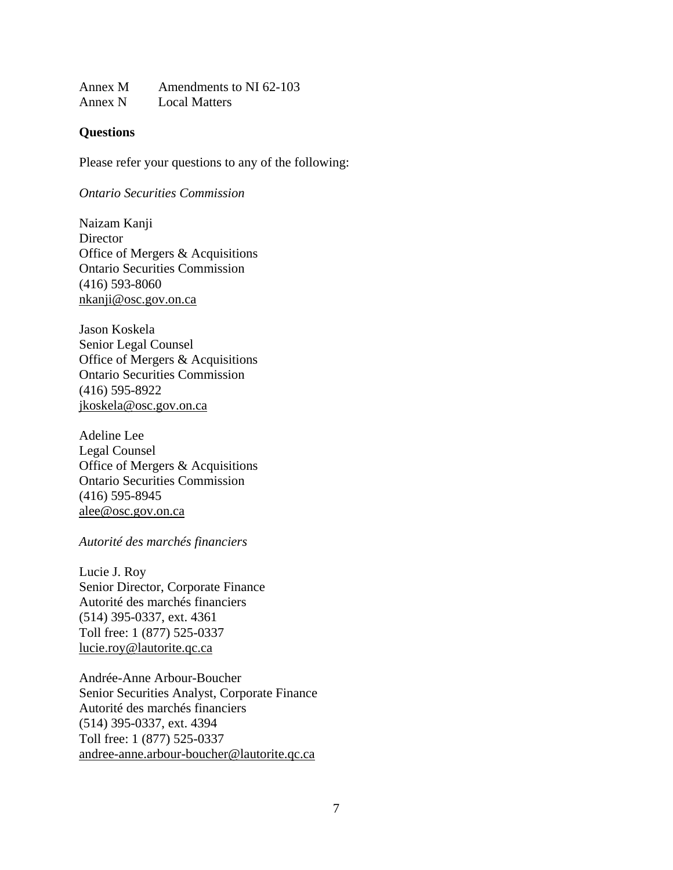Annex M Amendments to NI 62-103 Annex N Local Matters

## **Questions**

Please refer your questions to any of the following:

*Ontario Securities Commission* 

Naizam Kanji **Director** Office of Mergers & Acquisitions Ontario Securities Commission (416) 593-8060 nkanji@osc.gov.on.ca

Jason Koskela Senior Legal Counsel Office of Mergers & Acquisitions Ontario Securities Commission (416) 595-8922 jkoskela@osc.gov.on.ca

Adeline Lee Legal Counsel Office of Mergers & Acquisitions Ontario Securities Commission (416) 595-8945 alee@osc.gov.on.ca

*Autorité des marchés financiers* 

Lucie J. Roy Senior Director, Corporate Finance Autorité des marchés financiers (514) 395-0337, ext. 4361 Toll free: 1 (877) 525-0337 lucie.roy@lautorite.qc.ca

Andrée-Anne Arbour-Boucher Senior Securities Analyst, Corporate Finance Autorité des marchés financiers (514) 395-0337, ext. 4394 Toll free: 1 (877) 525-0337 andree-anne.arbour-boucher@lautorite.qc.ca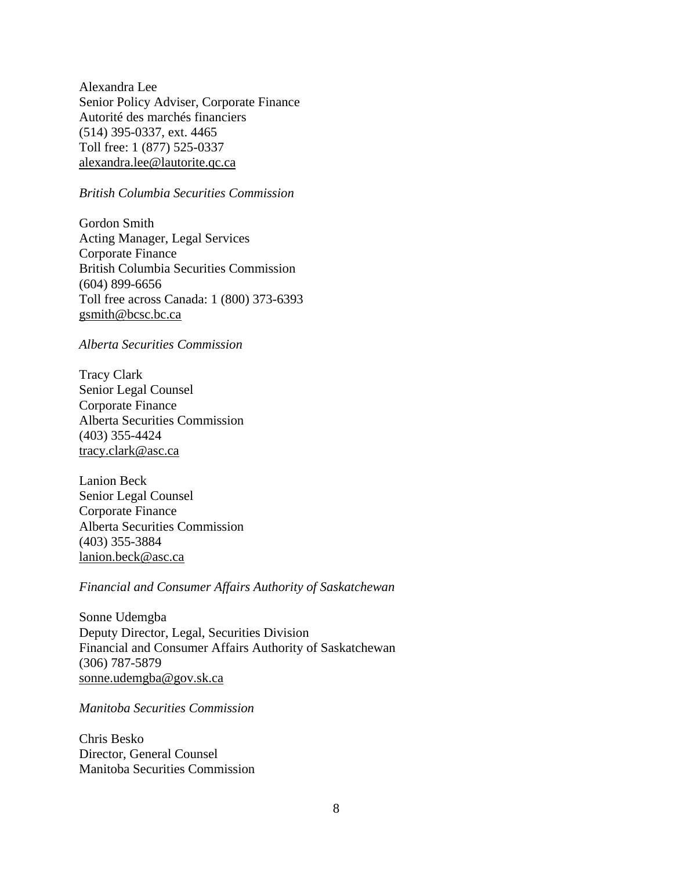Alexandra Lee Senior Policy Adviser, Corporate Finance Autorité des marchés financiers (514) 395-0337, ext. 4465 Toll free: 1 (877) 525-0337 alexandra.lee@lautorite.qc.ca

## *British Columbia Securities Commission*

Gordon Smith Acting Manager, Legal Services Corporate Finance British Columbia Securities Commission (604) 899-6656 Toll free across Canada: 1 (800) 373-6393 gsmith@bcsc.bc.ca

## *Alberta Securities Commission*

Tracy Clark Senior Legal Counsel Corporate Finance Alberta Securities Commission (403) 355-4424 tracy.clark@asc.ca

Lanion Beck Senior Legal Counsel Corporate Finance Alberta Securities Commission (403) 355-3884 lanion.beck@asc.ca

*Financial and Consumer Affairs Authority of Saskatchewan* 

Sonne Udemgba Deputy Director, Legal, Securities Division Financial and Consumer Affairs Authority of Saskatchewan (306) 787-5879 sonne.udemgba@gov.sk.ca

*Manitoba Securities Commission* 

Chris Besko Director, General Counsel Manitoba Securities Commission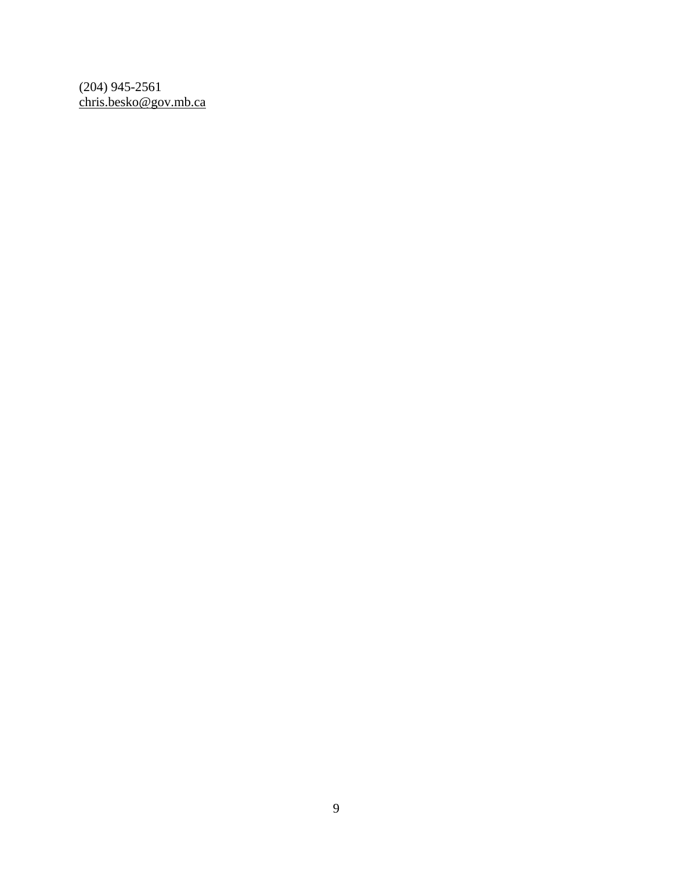(204) 945-2561 chris.besko@gov.mb.ca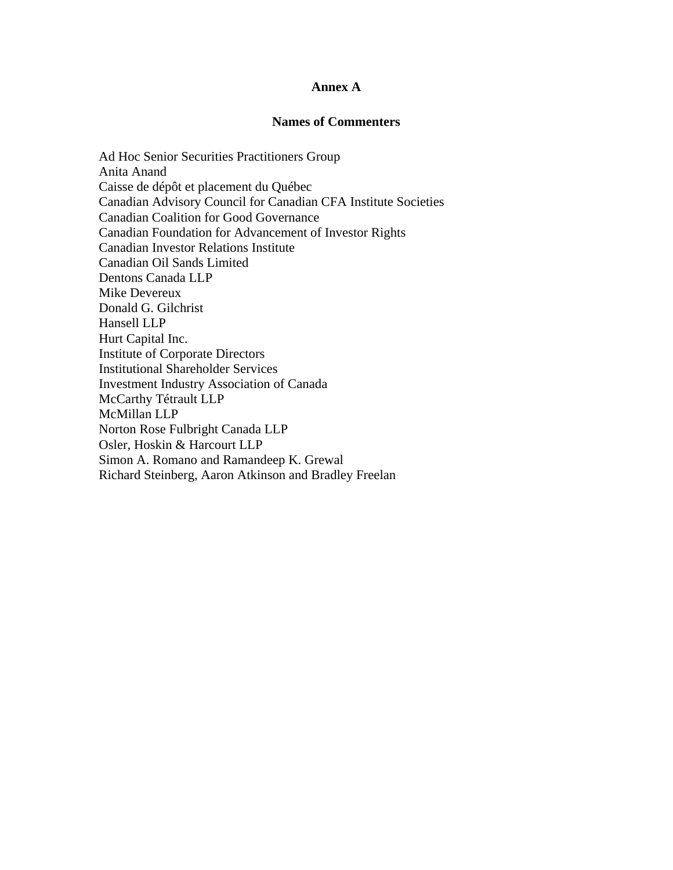## **Annex A**

### **Names of Commenters**

Ad Hoc Senior Securities Practitioners Group Anita Anand Caisse de dépôt et placement du Québec Canadian Advisory Council for Canadian CFA Institute Societies Canadian Coalition for Good Governance Canadian Foundation for Advancement of Investor Rights Canadian Investor Relations Institute Canadian Oil Sands Limited Dentons Canada LLP Mike Devereux Donald G. Gilchrist Hansell LLP Hurt Capital Inc. Institute of Corporate Directors Institutional Shareholder Services Investment Industry Association of Canada McCarthy Tétrault LLP McMillan LLP Norton Rose Fulbright Canada LLP Osler, Hoskin & Harcourt LLP Simon A. Romano and Ramandeep K. Grewal Richard Steinberg, Aaron Atkinson and Bradley Freelan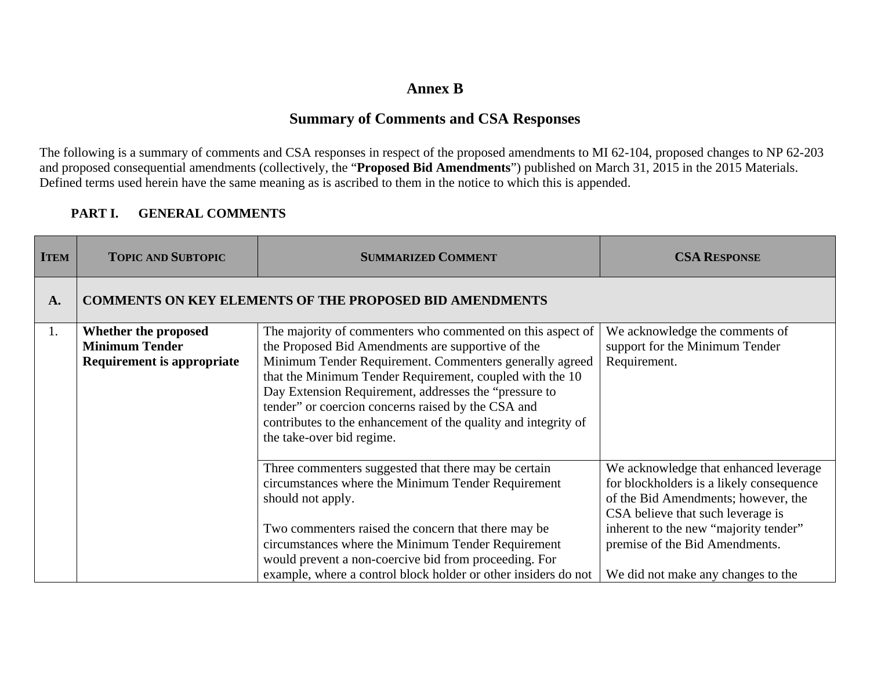# **Annex B**

# **Summary of Comments and CSA Responses**

The following is a summary of comments and CSA responses in respect of the proposed amendments to MI 62-104, proposed changes to NP 62-203 and proposed consequential amendments (collectively, the "**Proposed Bid Amendments**") published on March 31, 2015 in the 2015 Materials. Defined terms used herein have the same meaning as is ascribed to them in the notice to which this is appended.

#### **PART I.GENERAL COMMENTS**

| <b>ITEM</b>    | <b>TOPIC AND SUBTOPIC</b>                                                          | <b>SUMMARIZED COMMENT</b>                                                                                                                                                                                                                                                                                                                                                                                                                            | <b>CSA RESPONSE</b>                                                                                                                                                                                                                                                            |  |
|----------------|------------------------------------------------------------------------------------|------------------------------------------------------------------------------------------------------------------------------------------------------------------------------------------------------------------------------------------------------------------------------------------------------------------------------------------------------------------------------------------------------------------------------------------------------|--------------------------------------------------------------------------------------------------------------------------------------------------------------------------------------------------------------------------------------------------------------------------------|--|
| $\mathbf{A}$ . | <b>COMMENTS ON KEY ELEMENTS OF THE PROPOSED BID AMENDMENTS</b>                     |                                                                                                                                                                                                                                                                                                                                                                                                                                                      |                                                                                                                                                                                                                                                                                |  |
| 1.             | Whether the proposed<br><b>Minimum Tender</b><br><b>Requirement is appropriate</b> | The majority of commenters who commented on this aspect of<br>the Proposed Bid Amendments are supportive of the<br>Minimum Tender Requirement. Commenters generally agreed<br>that the Minimum Tender Requirement, coupled with the 10<br>Day Extension Requirement, addresses the "pressure to<br>tender" or coercion concerns raised by the CSA and<br>contributes to the enhancement of the quality and integrity of<br>the take-over bid regime. | We acknowledge the comments of<br>support for the Minimum Tender<br>Requirement.                                                                                                                                                                                               |  |
|                |                                                                                    | Three commenters suggested that there may be certain<br>circumstances where the Minimum Tender Requirement<br>should not apply.<br>Two commenters raised the concern that there may be<br>circumstances where the Minimum Tender Requirement<br>would prevent a non-coercive bid from proceeding. For<br>example, where a control block holder or other insiders do not                                                                              | We acknowledge that enhanced leverage<br>for blockholders is a likely consequence<br>of the Bid Amendments; however, the<br>CSA believe that such leverage is<br>inherent to the new "majority tender"<br>premise of the Bid Amendments.<br>We did not make any changes to the |  |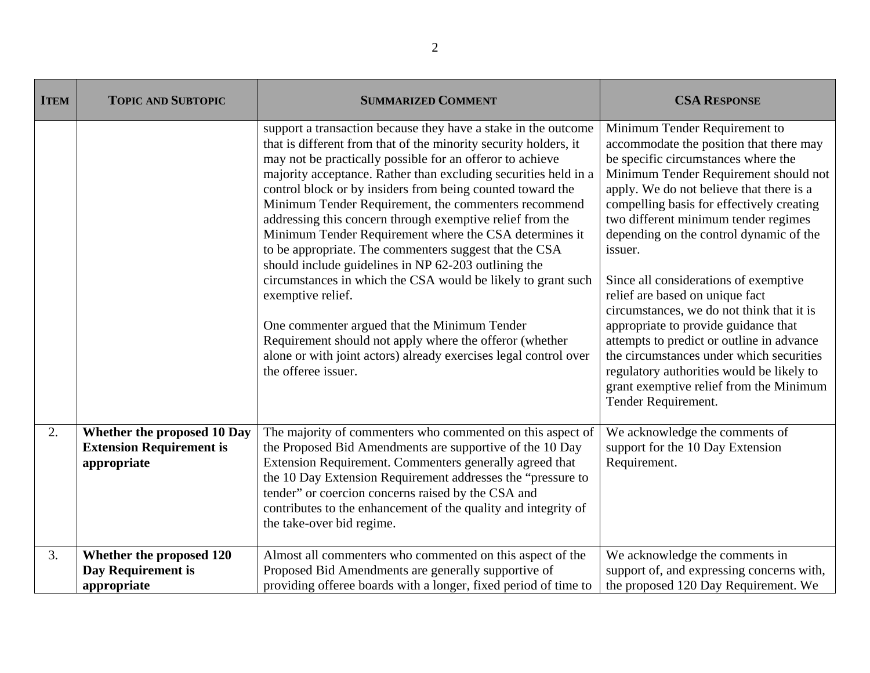| <b>ITEM</b> | <b>TOPIC AND SUBTOPIC</b>                                                     | <b>SUMMARIZED COMMENT</b>                                                                                                                                                                                                                                                                                                                                                                                                                                                                                                                                                                                                                                                                                                                                                                                                                                                                                                    | <b>CSA RESPONSE</b>                                                                                                                                                                                                                                                                                                                                                                                                                                                                                                                                                                                                                                                                                                      |
|-------------|-------------------------------------------------------------------------------|------------------------------------------------------------------------------------------------------------------------------------------------------------------------------------------------------------------------------------------------------------------------------------------------------------------------------------------------------------------------------------------------------------------------------------------------------------------------------------------------------------------------------------------------------------------------------------------------------------------------------------------------------------------------------------------------------------------------------------------------------------------------------------------------------------------------------------------------------------------------------------------------------------------------------|--------------------------------------------------------------------------------------------------------------------------------------------------------------------------------------------------------------------------------------------------------------------------------------------------------------------------------------------------------------------------------------------------------------------------------------------------------------------------------------------------------------------------------------------------------------------------------------------------------------------------------------------------------------------------------------------------------------------------|
|             |                                                                               | support a transaction because they have a stake in the outcome<br>that is different from that of the minority security holders, it<br>may not be practically possible for an offeror to achieve<br>majority acceptance. Rather than excluding securities held in a<br>control block or by insiders from being counted toward the<br>Minimum Tender Requirement, the commenters recommend<br>addressing this concern through exemptive relief from the<br>Minimum Tender Requirement where the CSA determines it<br>to be appropriate. The commenters suggest that the CSA<br>should include guidelines in NP 62-203 outlining the<br>circumstances in which the CSA would be likely to grant such<br>exemptive relief.<br>One commenter argued that the Minimum Tender<br>Requirement should not apply where the offeror (whether<br>alone or with joint actors) already exercises legal control over<br>the offeree issuer. | Minimum Tender Requirement to<br>accommodate the position that there may<br>be specific circumstances where the<br>Minimum Tender Requirement should not<br>apply. We do not believe that there is a<br>compelling basis for effectively creating<br>two different minimum tender regimes<br>depending on the control dynamic of the<br>issuer.<br>Since all considerations of exemptive<br>relief are based on unique fact<br>circumstances, we do not think that it is<br>appropriate to provide guidance that<br>attempts to predict or outline in advance<br>the circumstances under which securities<br>regulatory authorities would be likely to<br>grant exemptive relief from the Minimum<br>Tender Requirement. |
| 2.          | Whether the proposed 10 Day<br><b>Extension Requirement is</b><br>appropriate | The majority of commenters who commented on this aspect of<br>the Proposed Bid Amendments are supportive of the 10 Day<br>Extension Requirement. Commenters generally agreed that<br>the 10 Day Extension Requirement addresses the "pressure to<br>tender" or coercion concerns raised by the CSA and<br>contributes to the enhancement of the quality and integrity of<br>the take-over bid regime.                                                                                                                                                                                                                                                                                                                                                                                                                                                                                                                        | We acknowledge the comments of<br>support for the 10 Day Extension<br>Requirement.                                                                                                                                                                                                                                                                                                                                                                                                                                                                                                                                                                                                                                       |
| 3.          | Whether the proposed 120<br>Day Requirement is<br>appropriate                 | Almost all commenters who commented on this aspect of the<br>Proposed Bid Amendments are generally supportive of<br>providing offeree boards with a longer, fixed period of time to                                                                                                                                                                                                                                                                                                                                                                                                                                                                                                                                                                                                                                                                                                                                          | We acknowledge the comments in<br>support of, and expressing concerns with,<br>the proposed 120 Day Requirement. We                                                                                                                                                                                                                                                                                                                                                                                                                                                                                                                                                                                                      |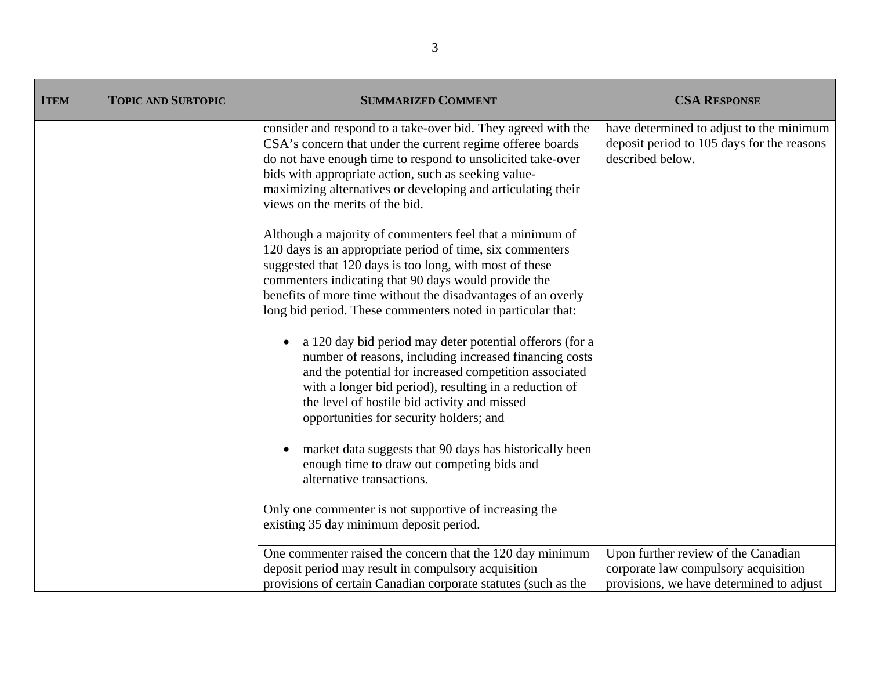| <b>ITEM</b> | <b>TOPIC AND SUBTOPIC</b> | <b>SUMMARIZED COMMENT</b>                                                                                                                                                                                                                                                                                                                                               | <b>CSA RESPONSE</b>                                                                                                     |
|-------------|---------------------------|-------------------------------------------------------------------------------------------------------------------------------------------------------------------------------------------------------------------------------------------------------------------------------------------------------------------------------------------------------------------------|-------------------------------------------------------------------------------------------------------------------------|
|             |                           | consider and respond to a take-over bid. They agreed with the<br>CSA's concern that under the current regime offeree boards<br>do not have enough time to respond to unsolicited take-over<br>bids with appropriate action, such as seeking value-<br>maximizing alternatives or developing and articulating their<br>views on the merits of the bid.                   | have determined to adjust to the minimum<br>deposit period to 105 days for the reasons<br>described below.              |
|             |                           | Although a majority of commenters feel that a minimum of<br>120 days is an appropriate period of time, six commenters<br>suggested that 120 days is too long, with most of these<br>commenters indicating that 90 days would provide the<br>benefits of more time without the disadvantages of an overly<br>long bid period. These commenters noted in particular that: |                                                                                                                         |
|             |                           | a 120 day bid period may deter potential offerors (for a<br>number of reasons, including increased financing costs<br>and the potential for increased competition associated<br>with a longer bid period), resulting in a reduction of<br>the level of hostile bid activity and missed<br>opportunities for security holders; and                                       |                                                                                                                         |
|             |                           | market data suggests that 90 days has historically been<br>enough time to draw out competing bids and<br>alternative transactions.                                                                                                                                                                                                                                      |                                                                                                                         |
|             |                           | Only one commenter is not supportive of increasing the<br>existing 35 day minimum deposit period.                                                                                                                                                                                                                                                                       |                                                                                                                         |
|             |                           | One commenter raised the concern that the 120 day minimum<br>deposit period may result in compulsory acquisition<br>provisions of certain Canadian corporate statutes (such as the                                                                                                                                                                                      | Upon further review of the Canadian<br>corporate law compulsory acquisition<br>provisions, we have determined to adjust |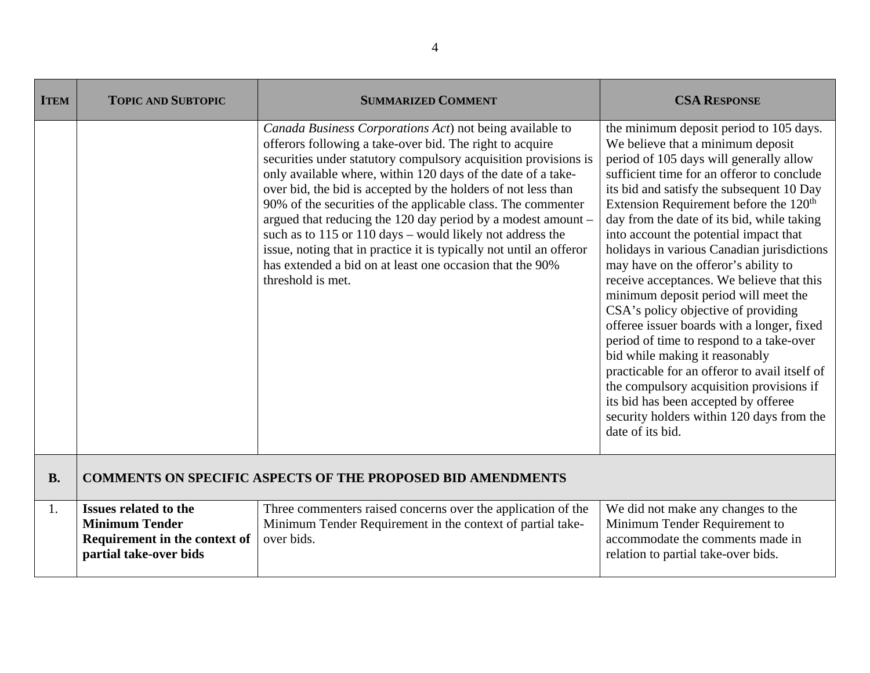| <b>ITEM</b> | <b>TOPIC AND SUBTOPIC</b>                                                                                        | <b>SUMMARIZED COMMENT</b>                                                                                                                                                                                                                                                                                                                                                                                                                                                                                                                                                                                                                                                     | <b>CSA RESPONSE</b>                                                                                                                                                                                                                                                                                                                                                                                                                                                                                                                                                                                                                                                                                                                                                                                                                                                                                                  |
|-------------|------------------------------------------------------------------------------------------------------------------|-------------------------------------------------------------------------------------------------------------------------------------------------------------------------------------------------------------------------------------------------------------------------------------------------------------------------------------------------------------------------------------------------------------------------------------------------------------------------------------------------------------------------------------------------------------------------------------------------------------------------------------------------------------------------------|----------------------------------------------------------------------------------------------------------------------------------------------------------------------------------------------------------------------------------------------------------------------------------------------------------------------------------------------------------------------------------------------------------------------------------------------------------------------------------------------------------------------------------------------------------------------------------------------------------------------------------------------------------------------------------------------------------------------------------------------------------------------------------------------------------------------------------------------------------------------------------------------------------------------|
|             |                                                                                                                  | Canada Business Corporations Act) not being available to<br>offerors following a take-over bid. The right to acquire<br>securities under statutory compulsory acquisition provisions is<br>only available where, within 120 days of the date of a take-<br>over bid, the bid is accepted by the holders of not less than<br>90% of the securities of the applicable class. The commenter<br>argued that reducing the 120 day period by a modest amount -<br>such as to 115 or 110 days - would likely not address the<br>issue, noting that in practice it is typically not until an offeror<br>has extended a bid on at least one occasion that the 90%<br>threshold is met. | the minimum deposit period to 105 days.<br>We believe that a minimum deposit<br>period of 105 days will generally allow<br>sufficient time for an offeror to conclude<br>its bid and satisfy the subsequent 10 Day<br>Extension Requirement before the 120 <sup>th</sup><br>day from the date of its bid, while taking<br>into account the potential impact that<br>holidays in various Canadian jurisdictions<br>may have on the offeror's ability to<br>receive acceptances. We believe that this<br>minimum deposit period will meet the<br>CSA's policy objective of providing<br>offeree issuer boards with a longer, fixed<br>period of time to respond to a take-over<br>bid while making it reasonably<br>practicable for an offeror to avail itself of<br>the compulsory acquisition provisions if<br>its bid has been accepted by offeree<br>security holders within 120 days from the<br>date of its bid. |
| <b>B.</b>   | <b>COMMENTS ON SPECIFIC ASPECTS OF THE PROPOSED BID AMENDMENTS</b>                                               |                                                                                                                                                                                                                                                                                                                                                                                                                                                                                                                                                                                                                                                                               |                                                                                                                                                                                                                                                                                                                                                                                                                                                                                                                                                                                                                                                                                                                                                                                                                                                                                                                      |
| 1.          | <b>Issues related to the</b><br><b>Minimum Tender</b><br>Requirement in the context of<br>partial take-over bids | Three commenters raised concerns over the application of the<br>Minimum Tender Requirement in the context of partial take-<br>over bids.                                                                                                                                                                                                                                                                                                                                                                                                                                                                                                                                      | We did not make any changes to the<br>Minimum Tender Requirement to<br>accommodate the comments made in<br>relation to partial take-over bids.                                                                                                                                                                                                                                                                                                                                                                                                                                                                                                                                                                                                                                                                                                                                                                       |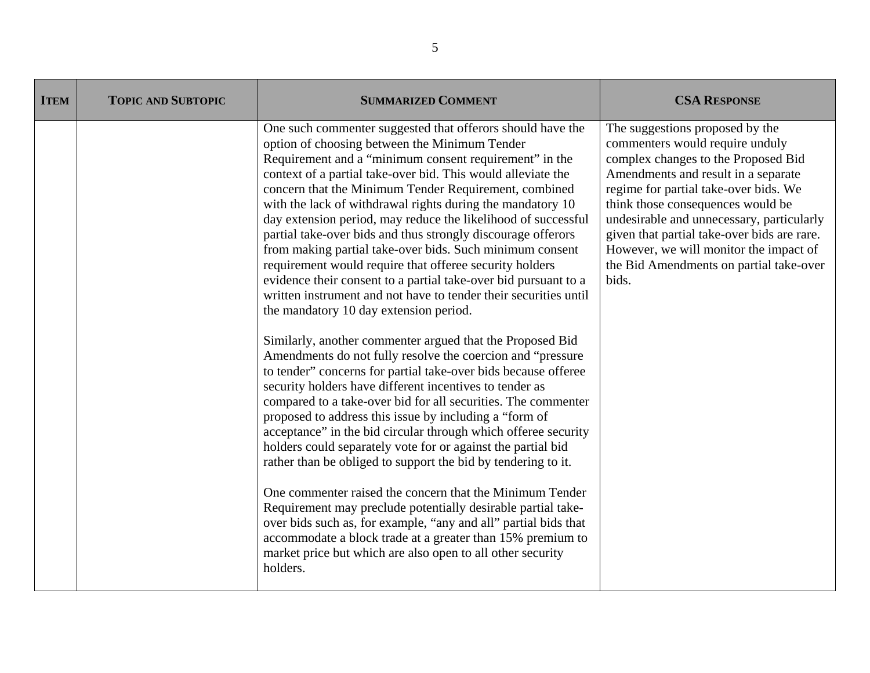| <b>ITEM</b> | <b>TOPIC AND SUBTOPIC</b> | <b>SUMMARIZED COMMENT</b>                                                                                                                                                                                                                                                                                                                                                                                                                                                                                                                                                                                                                                                                                                                                                                                                                                                                                                        | <b>CSA RESPONSE</b>                                                                                                                                                                                                                                                                                                                                                                                                      |
|-------------|---------------------------|----------------------------------------------------------------------------------------------------------------------------------------------------------------------------------------------------------------------------------------------------------------------------------------------------------------------------------------------------------------------------------------------------------------------------------------------------------------------------------------------------------------------------------------------------------------------------------------------------------------------------------------------------------------------------------------------------------------------------------------------------------------------------------------------------------------------------------------------------------------------------------------------------------------------------------|--------------------------------------------------------------------------------------------------------------------------------------------------------------------------------------------------------------------------------------------------------------------------------------------------------------------------------------------------------------------------------------------------------------------------|
|             |                           | One such commenter suggested that offerors should have the<br>option of choosing between the Minimum Tender<br>Requirement and a "minimum consent requirement" in the<br>context of a partial take-over bid. This would alleviate the<br>concern that the Minimum Tender Requirement, combined<br>with the lack of withdrawal rights during the mandatory 10<br>day extension period, may reduce the likelihood of successful<br>partial take-over bids and thus strongly discourage offerors<br>from making partial take-over bids. Such minimum consent<br>requirement would require that offeree security holders<br>evidence their consent to a partial take-over bid pursuant to a<br>written instrument and not have to tender their securities until<br>the mandatory 10 day extension period.<br>Similarly, another commenter argued that the Proposed Bid<br>Amendments do not fully resolve the coercion and "pressure | The suggestions proposed by the<br>commenters would require unduly<br>complex changes to the Proposed Bid<br>Amendments and result in a separate<br>regime for partial take-over bids. We<br>think those consequences would be<br>undesirable and unnecessary, particularly<br>given that partial take-over bids are rare.<br>However, we will monitor the impact of<br>the Bid Amendments on partial take-over<br>bids. |
|             |                           | to tender" concerns for partial take-over bids because offeree<br>security holders have different incentives to tender as<br>compared to a take-over bid for all securities. The commenter<br>proposed to address this issue by including a "form of<br>acceptance" in the bid circular through which offeree security<br>holders could separately vote for or against the partial bid<br>rather than be obliged to support the bid by tendering to it.                                                                                                                                                                                                                                                                                                                                                                                                                                                                          |                                                                                                                                                                                                                                                                                                                                                                                                                          |
|             |                           | One commenter raised the concern that the Minimum Tender<br>Requirement may preclude potentially desirable partial take-<br>over bids such as, for example, "any and all" partial bids that<br>accommodate a block trade at a greater than 15% premium to<br>market price but which are also open to all other security<br>holders.                                                                                                                                                                                                                                                                                                                                                                                                                                                                                                                                                                                              |                                                                                                                                                                                                                                                                                                                                                                                                                          |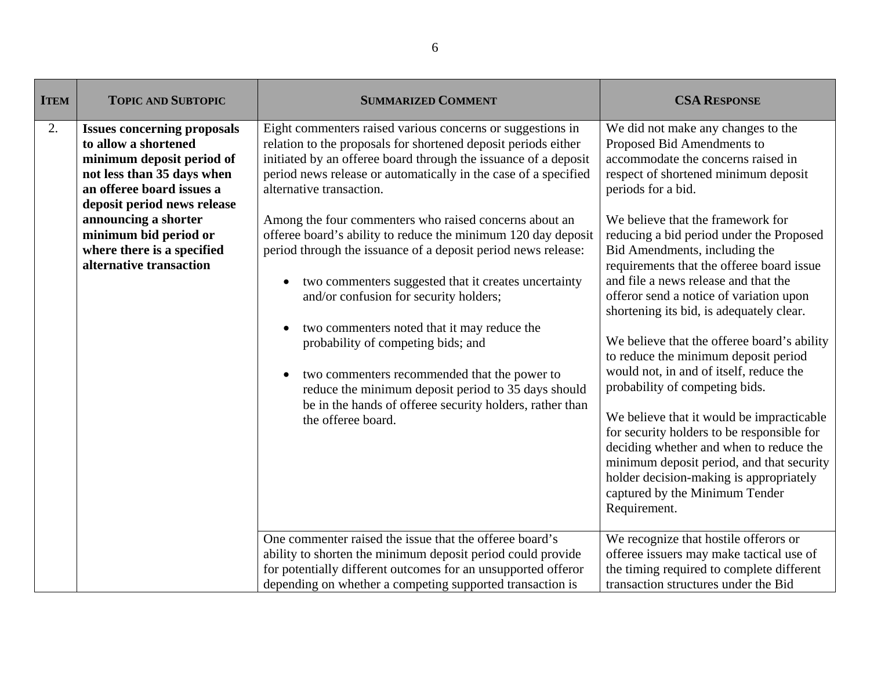| <b>ITEM</b> | <b>TOPIC AND SUBTOPIC</b>                                                                                                                                                                                                                                                                   | <b>SUMMARIZED COMMENT</b>                                                                                                                                                                                                                                                                                                                                                                                                                                                                                                                                                                                                                                                                                                                                                                                                                                                                                         | <b>CSA RESPONSE</b>                                                                                                                                                                                                                                                                                                                                                                                                                                                                                                                                                                                                                                                                                                                                                                                                                                                                                                    |
|-------------|---------------------------------------------------------------------------------------------------------------------------------------------------------------------------------------------------------------------------------------------------------------------------------------------|-------------------------------------------------------------------------------------------------------------------------------------------------------------------------------------------------------------------------------------------------------------------------------------------------------------------------------------------------------------------------------------------------------------------------------------------------------------------------------------------------------------------------------------------------------------------------------------------------------------------------------------------------------------------------------------------------------------------------------------------------------------------------------------------------------------------------------------------------------------------------------------------------------------------|------------------------------------------------------------------------------------------------------------------------------------------------------------------------------------------------------------------------------------------------------------------------------------------------------------------------------------------------------------------------------------------------------------------------------------------------------------------------------------------------------------------------------------------------------------------------------------------------------------------------------------------------------------------------------------------------------------------------------------------------------------------------------------------------------------------------------------------------------------------------------------------------------------------------|
| 2.          | <b>Issues concerning proposals</b><br>to allow a shortened<br>minimum deposit period of<br>not less than 35 days when<br>an offeree board issues a<br>deposit period news release<br>announcing a shorter<br>minimum bid period or<br>where there is a specified<br>alternative transaction | Eight commenters raised various concerns or suggestions in<br>relation to the proposals for shortened deposit periods either<br>initiated by an offeree board through the issuance of a deposit<br>period news release or automatically in the case of a specified<br>alternative transaction.<br>Among the four commenters who raised concerns about an<br>offeree board's ability to reduce the minimum 120 day deposit<br>period through the issuance of a deposit period news release:<br>two commenters suggested that it creates uncertainty<br>$\bullet$<br>and/or confusion for security holders;<br>two commenters noted that it may reduce the<br>$\bullet$<br>probability of competing bids; and<br>two commenters recommended that the power to<br>$\bullet$<br>reduce the minimum deposit period to 35 days should<br>be in the hands of offeree security holders, rather than<br>the offeree board. | We did not make any changes to the<br>Proposed Bid Amendments to<br>accommodate the concerns raised in<br>respect of shortened minimum deposit<br>periods for a bid.<br>We believe that the framework for<br>reducing a bid period under the Proposed<br>Bid Amendments, including the<br>requirements that the offeree board issue<br>and file a news release and that the<br>offeror send a notice of variation upon<br>shortening its bid, is adequately clear.<br>We believe that the offeree board's ability<br>to reduce the minimum deposit period<br>would not, in and of itself, reduce the<br>probability of competing bids.<br>We believe that it would be impracticable<br>for security holders to be responsible for<br>deciding whether and when to reduce the<br>minimum deposit period, and that security<br>holder decision-making is appropriately<br>captured by the Minimum Tender<br>Requirement. |
|             |                                                                                                                                                                                                                                                                                             | One commenter raised the issue that the offeree board's<br>ability to shorten the minimum deposit period could provide<br>for potentially different outcomes for an unsupported offeror<br>depending on whether a competing supported transaction is                                                                                                                                                                                                                                                                                                                                                                                                                                                                                                                                                                                                                                                              | We recognize that hostile offerors or<br>offeree issuers may make tactical use of<br>the timing required to complete different<br>transaction structures under the Bid                                                                                                                                                                                                                                                                                                                                                                                                                                                                                                                                                                                                                                                                                                                                                 |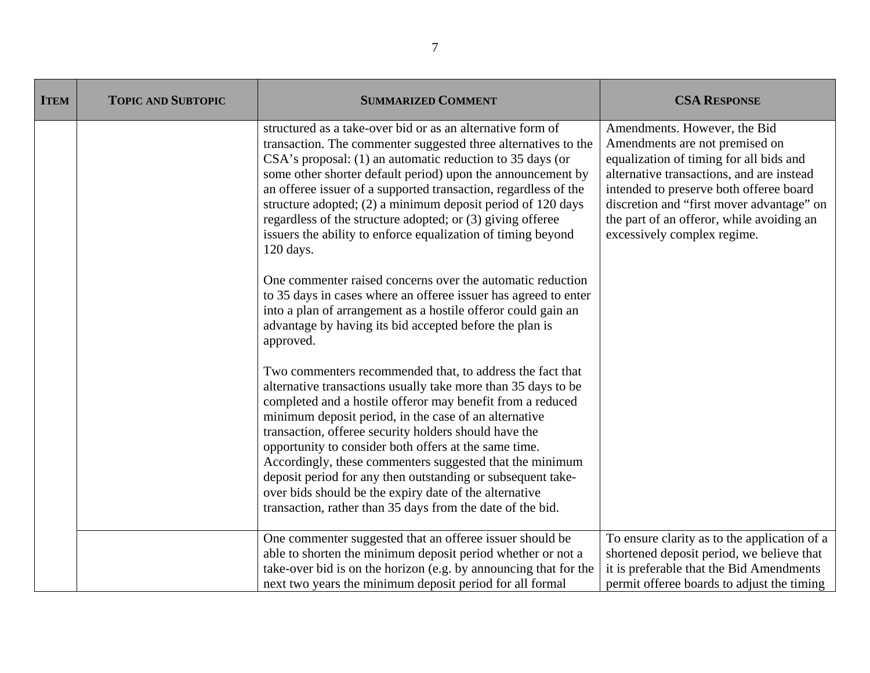| <b>ITEM</b> | <b>TOPIC AND SUBTOPIC</b> | <b>SUMMARIZED COMMENT</b>                                                                                                                                                                                                                                                                                                                                                                                                                                                                                                                                                                                                                                                                                                                                                                                                                                                                                                                                                                                                                                                                                                                                                                                                                            | <b>CSA RESPONSE</b>                                                                                                                                                                                                                                                                                                        |
|-------------|---------------------------|------------------------------------------------------------------------------------------------------------------------------------------------------------------------------------------------------------------------------------------------------------------------------------------------------------------------------------------------------------------------------------------------------------------------------------------------------------------------------------------------------------------------------------------------------------------------------------------------------------------------------------------------------------------------------------------------------------------------------------------------------------------------------------------------------------------------------------------------------------------------------------------------------------------------------------------------------------------------------------------------------------------------------------------------------------------------------------------------------------------------------------------------------------------------------------------------------------------------------------------------------|----------------------------------------------------------------------------------------------------------------------------------------------------------------------------------------------------------------------------------------------------------------------------------------------------------------------------|
|             |                           | structured as a take-over bid or as an alternative form of<br>transaction. The commenter suggested three alternatives to the<br>CSA's proposal: (1) an automatic reduction to 35 days (or<br>some other shorter default period) upon the announcement by<br>an offeree issuer of a supported transaction, regardless of the<br>structure adopted; (2) a minimum deposit period of 120 days<br>regardless of the structure adopted; or (3) giving offeree<br>issuers the ability to enforce equalization of timing beyond<br>$120$ days.<br>One commenter raised concerns over the automatic reduction<br>to 35 days in cases where an offeree issuer has agreed to enter<br>into a plan of arrangement as a hostile offeror could gain an<br>advantage by having its bid accepted before the plan is<br>approved.<br>Two commenters recommended that, to address the fact that<br>alternative transactions usually take more than 35 days to be<br>completed and a hostile offeror may benefit from a reduced<br>minimum deposit period, in the case of an alternative<br>transaction, offeree security holders should have the<br>opportunity to consider both offers at the same time.<br>Accordingly, these commenters suggested that the minimum | Amendments. However, the Bid<br>Amendments are not premised on<br>equalization of timing for all bids and<br>alternative transactions, and are instead<br>intended to preserve both offeree board<br>discretion and "first mover advantage" on<br>the part of an offeror, while avoiding an<br>excessively complex regime. |
|             |                           | deposit period for any then outstanding or subsequent take-<br>over bids should be the expiry date of the alternative<br>transaction, rather than 35 days from the date of the bid.                                                                                                                                                                                                                                                                                                                                                                                                                                                                                                                                                                                                                                                                                                                                                                                                                                                                                                                                                                                                                                                                  |                                                                                                                                                                                                                                                                                                                            |
|             |                           | One commenter suggested that an offeree issuer should be<br>able to shorten the minimum deposit period whether or not a<br>take-over bid is on the horizon (e.g. by announcing that for the<br>next two years the minimum deposit period for all formal                                                                                                                                                                                                                                                                                                                                                                                                                                                                                                                                                                                                                                                                                                                                                                                                                                                                                                                                                                                              | To ensure clarity as to the application of a<br>shortened deposit period, we believe that<br>it is preferable that the Bid Amendments<br>permit offeree boards to adjust the timing                                                                                                                                        |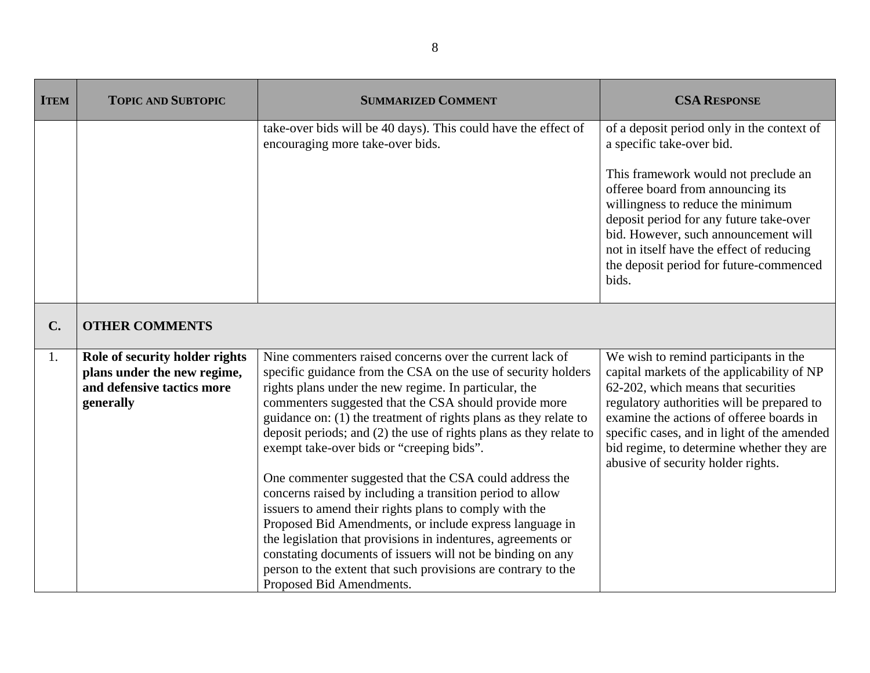| <b>ITEM</b> | <b>TOPIC AND SUBTOPIC</b>      | <b>SUMMARIZED COMMENT</b>                                                                                                              | <b>CSA RESPONSE</b>                                                                                                                                                                                                                                                                                |
|-------------|--------------------------------|----------------------------------------------------------------------------------------------------------------------------------------|----------------------------------------------------------------------------------------------------------------------------------------------------------------------------------------------------------------------------------------------------------------------------------------------------|
|             |                                | take-over bids will be 40 days). This could have the effect of<br>encouraging more take-over bids.                                     | of a deposit period only in the context of<br>a specific take-over bid.                                                                                                                                                                                                                            |
|             |                                |                                                                                                                                        | This framework would not preclude an<br>offeree board from announcing its<br>willingness to reduce the minimum<br>deposit period for any future take-over<br>bid. However, such announcement will<br>not in itself have the effect of reducing<br>the deposit period for future-commenced<br>bids. |
| C.          | <b>OTHER COMMENTS</b>          |                                                                                                                                        |                                                                                                                                                                                                                                                                                                    |
| 1.          | Role of security holder rights | Nine commenters raised concerns over the current lack of                                                                               | We wish to remind participants in the                                                                                                                                                                                                                                                              |
|             | plans under the new regime,    | specific guidance from the CSA on the use of security holders                                                                          | capital markets of the applicability of NP                                                                                                                                                                                                                                                         |
|             | and defensive tactics more     | rights plans under the new regime. In particular, the                                                                                  | 62-202, which means that securities                                                                                                                                                                                                                                                                |
|             | generally                      | commenters suggested that the CSA should provide more                                                                                  | regulatory authorities will be prepared to                                                                                                                                                                                                                                                         |
|             |                                | guidance on: (1) the treatment of rights plans as they relate to<br>deposit periods; and (2) the use of rights plans as they relate to | examine the actions of offeree boards in<br>specific cases, and in light of the amended                                                                                                                                                                                                            |
|             |                                | exempt take-over bids or "creeping bids".                                                                                              | bid regime, to determine whether they are<br>abusive of security holder rights.                                                                                                                                                                                                                    |
|             |                                | One commenter suggested that the CSA could address the                                                                                 |                                                                                                                                                                                                                                                                                                    |
|             |                                | concerns raised by including a transition period to allow                                                                              |                                                                                                                                                                                                                                                                                                    |
|             |                                | issuers to amend their rights plans to comply with the                                                                                 |                                                                                                                                                                                                                                                                                                    |
|             |                                | Proposed Bid Amendments, or include express language in                                                                                |                                                                                                                                                                                                                                                                                                    |
|             |                                | the legislation that provisions in indentures, agreements or                                                                           |                                                                                                                                                                                                                                                                                                    |
|             |                                | constating documents of issuers will not be binding on any<br>person to the extent that such provisions are contrary to the            |                                                                                                                                                                                                                                                                                                    |
|             |                                | Proposed Bid Amendments.                                                                                                               |                                                                                                                                                                                                                                                                                                    |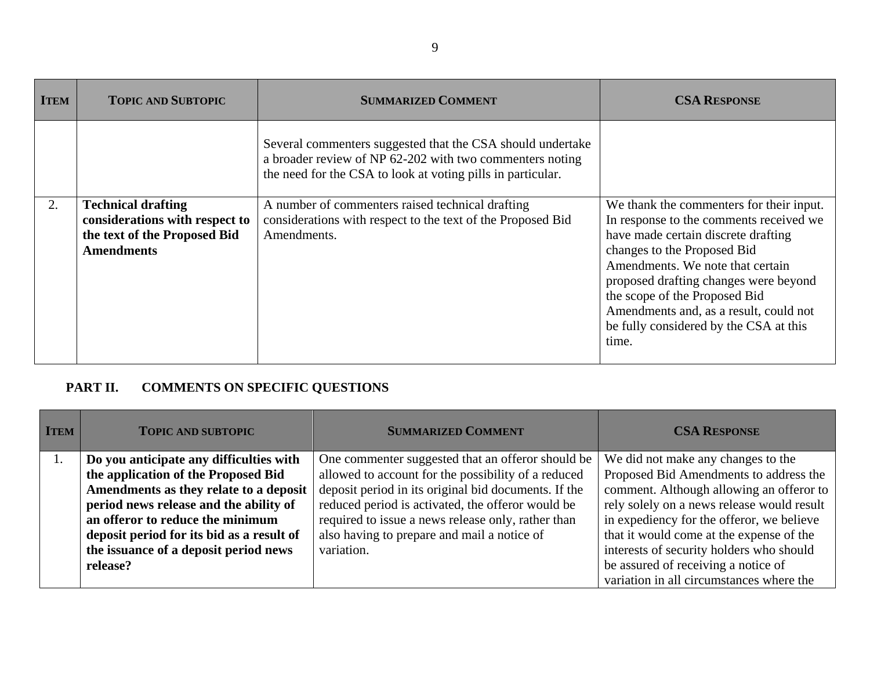| <b>ITEM</b> | <b>TOPIC AND SUBTOPIC</b>                                                                                        | <b>SUMMARIZED COMMENT</b>                                                                                                                                                             | <b>CSA RESPONSE</b>                                                                                                                                                                                                                                                                                                                                                  |
|-------------|------------------------------------------------------------------------------------------------------------------|---------------------------------------------------------------------------------------------------------------------------------------------------------------------------------------|----------------------------------------------------------------------------------------------------------------------------------------------------------------------------------------------------------------------------------------------------------------------------------------------------------------------------------------------------------------------|
|             |                                                                                                                  | Several commenters suggested that the CSA should undertake<br>a broader review of NP 62-202 with two commenters noting<br>the need for the CSA to look at voting pills in particular. |                                                                                                                                                                                                                                                                                                                                                                      |
| 2.          | <b>Technical drafting</b><br>considerations with respect to<br>the text of the Proposed Bid<br><b>Amendments</b> | A number of commenters raised technical drafting<br>considerations with respect to the text of the Proposed Bid<br>Amendments.                                                        | We thank the commenters for their input.<br>In response to the comments received we<br>have made certain discrete drafting<br>changes to the Proposed Bid<br>Amendments. We note that certain<br>proposed drafting changes were beyond<br>the scope of the Proposed Bid<br>Amendments and, as a result, could not<br>be fully considered by the CSA at this<br>time. |

# **PART II. COMMENTS ON SPECIFIC QUESTIONS**

| <b>ITEM</b> | <b>TOPIC AND SUBTOPIC</b>                 | <b>SUMMARIZED COMMENT</b>                            | <b>CSA RESPONSE</b>                        |
|-------------|-------------------------------------------|------------------------------------------------------|--------------------------------------------|
|             | Do you anticipate any difficulties with   | One commenter suggested that an offeror should be    | We did not make any changes to the         |
|             | the application of the Proposed Bid       | allowed to account for the possibility of a reduced  | Proposed Bid Amendments to address the     |
|             | Amendments as they relate to a deposit    | deposit period in its original bid documents. If the | comment. Although allowing an offeror to   |
|             | period news release and the ability of    | reduced period is activated, the offeror would be    | rely solely on a news release would result |
|             | an offeror to reduce the minimum          | required to issue a news release only, rather than   | in expediency for the offeror, we believe  |
|             | deposit period for its bid as a result of | also having to prepare and mail a notice of          | that it would come at the expense of the   |
|             | the issuance of a deposit period news     | variation.                                           | interests of security holders who should   |
|             | release?                                  |                                                      | be assured of receiving a notice of        |
|             |                                           |                                                      | variation in all circumstances where the   |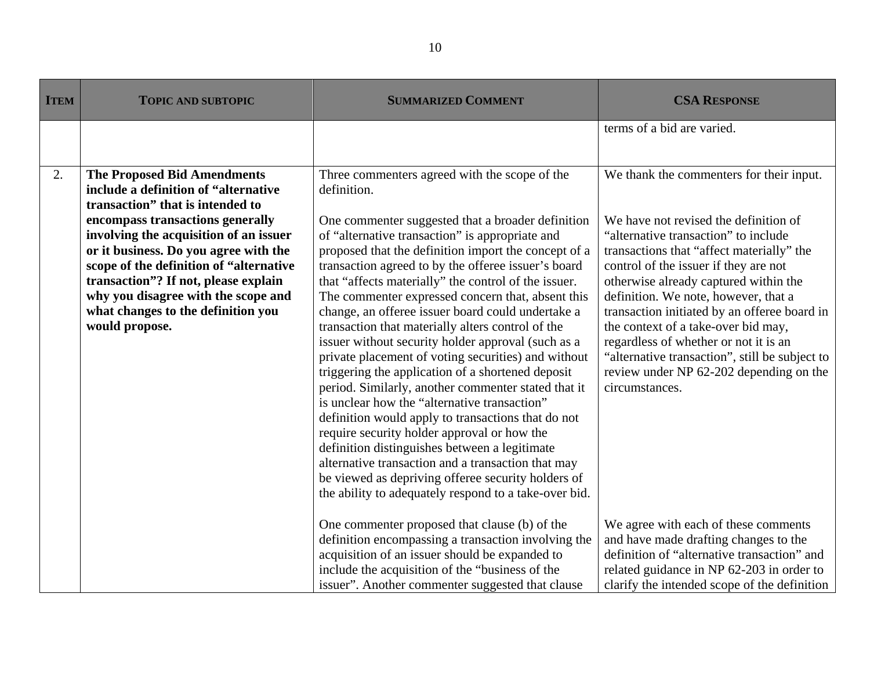| <b>ITEM</b> | <b>TOPIC AND SUBTOPIC</b>                                                                                                                                                                                                                                                                                                                                                                                                | <b>SUMMARIZED COMMENT</b>                                                                                                                                                                                                                                                                                                                                                                                                                                                                                                                                                                                                                                                                                                                                                                                                                                                                                                                                                                                                                                                                                      | <b>CSA RESPONSE</b>                                                                                                                                                                                                                                                                                                                                                                                                                                                                                                                             |
|-------------|--------------------------------------------------------------------------------------------------------------------------------------------------------------------------------------------------------------------------------------------------------------------------------------------------------------------------------------------------------------------------------------------------------------------------|----------------------------------------------------------------------------------------------------------------------------------------------------------------------------------------------------------------------------------------------------------------------------------------------------------------------------------------------------------------------------------------------------------------------------------------------------------------------------------------------------------------------------------------------------------------------------------------------------------------------------------------------------------------------------------------------------------------------------------------------------------------------------------------------------------------------------------------------------------------------------------------------------------------------------------------------------------------------------------------------------------------------------------------------------------------------------------------------------------------|-------------------------------------------------------------------------------------------------------------------------------------------------------------------------------------------------------------------------------------------------------------------------------------------------------------------------------------------------------------------------------------------------------------------------------------------------------------------------------------------------------------------------------------------------|
|             |                                                                                                                                                                                                                                                                                                                                                                                                                          |                                                                                                                                                                                                                                                                                                                                                                                                                                                                                                                                                                                                                                                                                                                                                                                                                                                                                                                                                                                                                                                                                                                | terms of a bid are varied.                                                                                                                                                                                                                                                                                                                                                                                                                                                                                                                      |
| 2.          | <b>The Proposed Bid Amendments</b><br>include a definition of "alternative"<br>transaction" that is intended to<br>encompass transactions generally<br>involving the acquisition of an issuer<br>or it business. Do you agree with the<br>scope of the definition of "alternative<br>transaction"? If not, please explain<br>why you disagree with the scope and<br>what changes to the definition you<br>would propose. | Three commenters agreed with the scope of the<br>definition.<br>One commenter suggested that a broader definition<br>of "alternative transaction" is appropriate and<br>proposed that the definition import the concept of a<br>transaction agreed to by the offeree issuer's board<br>that "affects materially" the control of the issuer.<br>The commenter expressed concern that, absent this<br>change, an offeree issuer board could undertake a<br>transaction that materially alters control of the<br>issuer without security holder approval (such as a<br>private placement of voting securities) and without<br>triggering the application of a shortened deposit<br>period. Similarly, another commenter stated that it<br>is unclear how the "alternative transaction"<br>definition would apply to transactions that do not<br>require security holder approval or how the<br>definition distinguishes between a legitimate<br>alternative transaction and a transaction that may<br>be viewed as depriving offeree security holders of<br>the ability to adequately respond to a take-over bid. | We thank the commenters for their input.<br>We have not revised the definition of<br>"alternative transaction" to include<br>transactions that "affect materially" the<br>control of the issuer if they are not<br>otherwise already captured within the<br>definition. We note, however, that a<br>transaction initiated by an offeree board in<br>the context of a take-over bid may,<br>regardless of whether or not it is an<br>"alternative transaction", still be subject to<br>review under NP 62-202 depending on the<br>circumstances. |
|             |                                                                                                                                                                                                                                                                                                                                                                                                                          | One commenter proposed that clause (b) of the<br>definition encompassing a transaction involving the<br>acquisition of an issuer should be expanded to<br>include the acquisition of the "business of the<br>issuer". Another commenter suggested that clause                                                                                                                                                                                                                                                                                                                                                                                                                                                                                                                                                                                                                                                                                                                                                                                                                                                  | We agree with each of these comments<br>and have made drafting changes to the<br>definition of "alternative transaction" and<br>related guidance in NP 62-203 in order to<br>clarify the intended scope of the definition                                                                                                                                                                                                                                                                                                                       |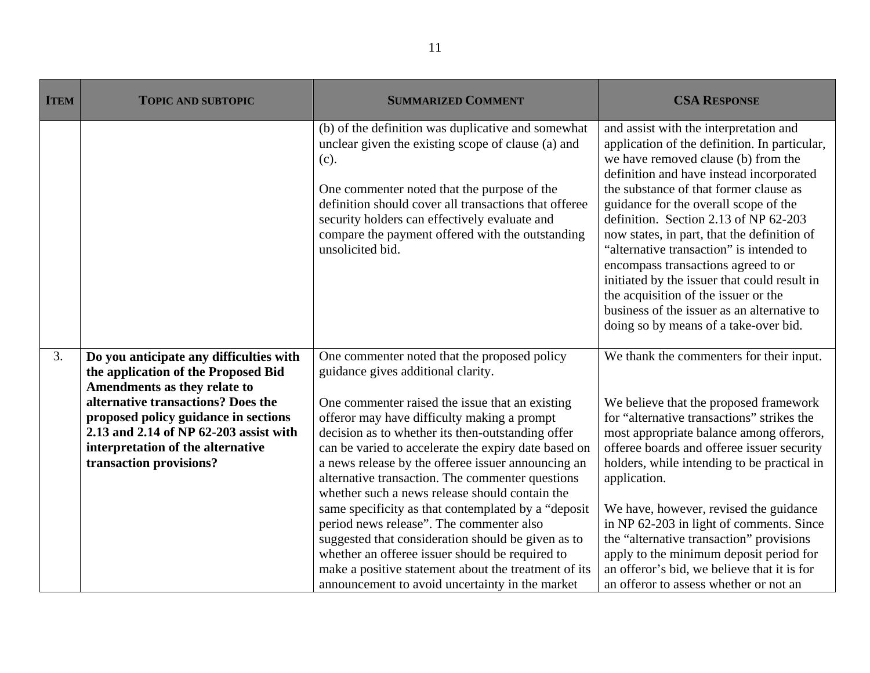| <b>ITEM</b> | <b>TOPIC AND SUBTOPIC</b>                                                                                                                                                            | <b>SUMMARIZED COMMENT</b>                                                                                                                                                                                                                                                                                                                                                                                                                                                                                                                                                                                                                                                                       | <b>CSA RESPONSE</b>                                                                                                                                                                                                                                                                                                                                                                                                                                                                                                                                                                                                      |
|-------------|--------------------------------------------------------------------------------------------------------------------------------------------------------------------------------------|-------------------------------------------------------------------------------------------------------------------------------------------------------------------------------------------------------------------------------------------------------------------------------------------------------------------------------------------------------------------------------------------------------------------------------------------------------------------------------------------------------------------------------------------------------------------------------------------------------------------------------------------------------------------------------------------------|--------------------------------------------------------------------------------------------------------------------------------------------------------------------------------------------------------------------------------------------------------------------------------------------------------------------------------------------------------------------------------------------------------------------------------------------------------------------------------------------------------------------------------------------------------------------------------------------------------------------------|
|             |                                                                                                                                                                                      | (b) of the definition was duplicative and somewhat<br>unclear given the existing scope of clause (a) and<br>(c).<br>One commenter noted that the purpose of the<br>definition should cover all transactions that offeree<br>security holders can effectively evaluate and<br>compare the payment offered with the outstanding<br>unsolicited bid.                                                                                                                                                                                                                                                                                                                                               | and assist with the interpretation and<br>application of the definition. In particular,<br>we have removed clause (b) from the<br>definition and have instead incorporated<br>the substance of that former clause as<br>guidance for the overall scope of the<br>definition. Section 2.13 of NP 62-203<br>now states, in part, that the definition of<br>"alternative transaction" is intended to<br>encompass transactions agreed to or<br>initiated by the issuer that could result in<br>the acquisition of the issuer or the<br>business of the issuer as an alternative to<br>doing so by means of a take-over bid. |
| 3.          | Do you anticipate any difficulties with<br>the application of the Proposed Bid<br>Amendments as they relate to                                                                       | One commenter noted that the proposed policy<br>guidance gives additional clarity.                                                                                                                                                                                                                                                                                                                                                                                                                                                                                                                                                                                                              | We thank the commenters for their input.                                                                                                                                                                                                                                                                                                                                                                                                                                                                                                                                                                                 |
|             | alternative transactions? Does the<br>proposed policy guidance in sections<br>2.13 and 2.14 of NP 62-203 assist with<br>interpretation of the alternative<br>transaction provisions? | One commenter raised the issue that an existing<br>offeror may have difficulty making a prompt<br>decision as to whether its then-outstanding offer<br>can be varied to accelerate the expiry date based on<br>a news release by the offeree issuer announcing an<br>alternative transaction. The commenter questions<br>whether such a news release should contain the<br>same specificity as that contemplated by a "deposit"<br>period news release". The commenter also<br>suggested that consideration should be given as to<br>whether an offeree issuer should be required to<br>make a positive statement about the treatment of its<br>announcement to avoid uncertainty in the market | We believe that the proposed framework<br>for "alternative transactions" strikes the<br>most appropriate balance among offerors,<br>offeree boards and offeree issuer security<br>holders, while intending to be practical in<br>application.<br>We have, however, revised the guidance<br>in NP 62-203 in light of comments. Since<br>the "alternative transaction" provisions<br>apply to the minimum deposit period for<br>an offeror's bid, we believe that it is for<br>an offeror to assess whether or not an                                                                                                      |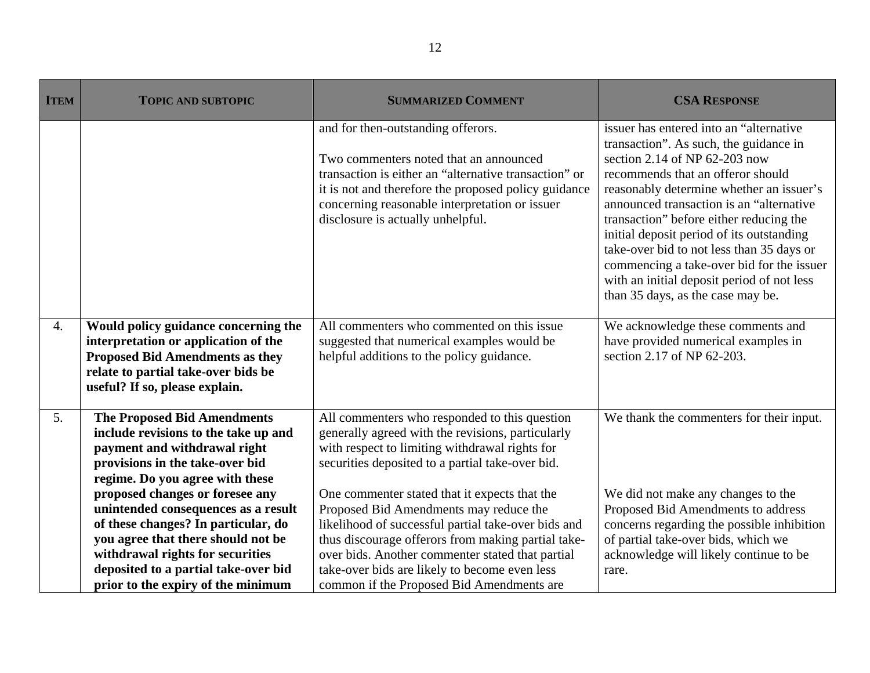| <b>ITEM</b>      | <b>TOPIC AND SUBTOPIC</b>                                                                                                                                                                                                                                             | <b>SUMMARIZED COMMENT</b>                                                                                                                                                                                                                                                                                                                              | <b>CSA RESPONSE</b>                                                                                                                                                                                                                                                                                                                                                                                                                                                                                                     |
|------------------|-----------------------------------------------------------------------------------------------------------------------------------------------------------------------------------------------------------------------------------------------------------------------|--------------------------------------------------------------------------------------------------------------------------------------------------------------------------------------------------------------------------------------------------------------------------------------------------------------------------------------------------------|-------------------------------------------------------------------------------------------------------------------------------------------------------------------------------------------------------------------------------------------------------------------------------------------------------------------------------------------------------------------------------------------------------------------------------------------------------------------------------------------------------------------------|
|                  |                                                                                                                                                                                                                                                                       | and for then-outstanding offerors.<br>Two commenters noted that an announced<br>transaction is either an "alternative transaction" or<br>it is not and therefore the proposed policy guidance<br>concerning reasonable interpretation or issuer<br>disclosure is actually unhelpful.                                                                   | issuer has entered into an "alternative<br>transaction". As such, the guidance in<br>section 2.14 of NP $62-203$ now<br>recommends that an offeror should<br>reasonably determine whether an issuer's<br>announced transaction is an "alternative"<br>transaction" before either reducing the<br>initial deposit period of its outstanding<br>take-over bid to not less than 35 days or<br>commencing a take-over bid for the issuer<br>with an initial deposit period of not less<br>than 35 days, as the case may be. |
| $\overline{4}$ . | Would policy guidance concerning the<br>interpretation or application of the<br><b>Proposed Bid Amendments as they</b><br>relate to partial take-over bids be<br>useful? If so, please explain.                                                                       | All commenters who commented on this issue<br>suggested that numerical examples would be<br>helpful additions to the policy guidance.                                                                                                                                                                                                                  | We acknowledge these comments and<br>have provided numerical examples in<br>section 2.17 of NP 62-203.                                                                                                                                                                                                                                                                                                                                                                                                                  |
| 5.               | <b>The Proposed Bid Amendments</b><br>include revisions to the take up and<br>payment and withdrawal right<br>provisions in the take-over bid<br>regime. Do you agree with these                                                                                      | All commenters who responded to this question<br>generally agreed with the revisions, particularly<br>with respect to limiting withdrawal rights for<br>securities deposited to a partial take-over bid.                                                                                                                                               | We thank the commenters for their input.                                                                                                                                                                                                                                                                                                                                                                                                                                                                                |
|                  | proposed changes or foresee any<br>unintended consequences as a result<br>of these changes? In particular, do<br>you agree that there should not be<br>withdrawal rights for securities<br>deposited to a partial take-over bid<br>prior to the expiry of the minimum | One commenter stated that it expects that the<br>Proposed Bid Amendments may reduce the<br>likelihood of successful partial take-over bids and<br>thus discourage offerors from making partial take-<br>over bids. Another commenter stated that partial<br>take-over bids are likely to become even less<br>common if the Proposed Bid Amendments are | We did not make any changes to the<br>Proposed Bid Amendments to address<br>concerns regarding the possible inhibition<br>of partial take-over bids, which we<br>acknowledge will likely continue to be<br>rare.                                                                                                                                                                                                                                                                                                        |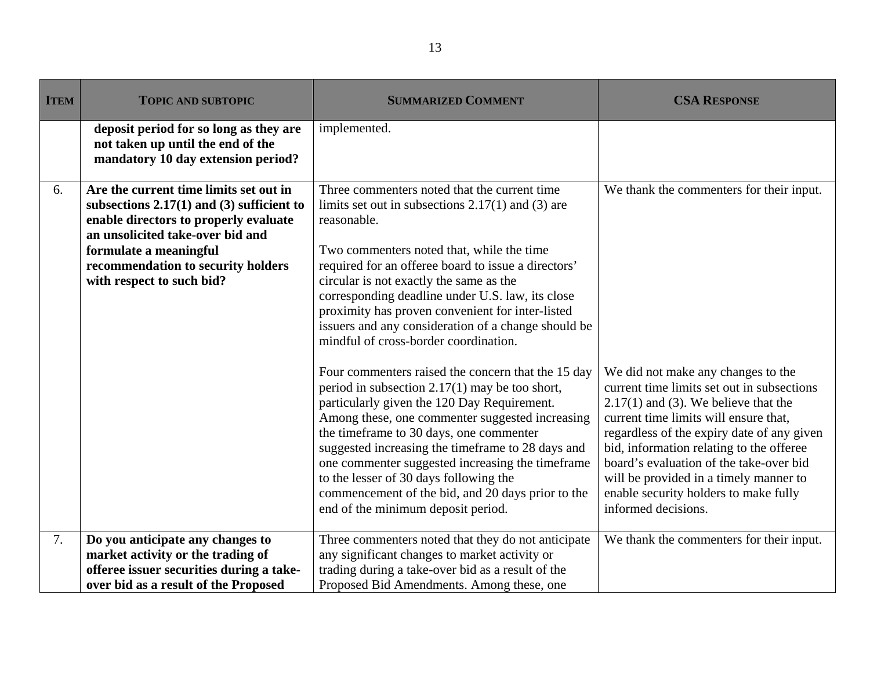| <b>ITEM</b> | <b>TOPIC AND SUBTOPIC</b>                                                                                                                                                                                                                                       | <b>SUMMARIZED COMMENT</b>                                                                                                                                                                                                                                                                                                                                                                                                                                                                         | <b>CSA RESPONSE</b>                                                                                                                                                                                                                                                                                                                                                                                                |
|-------------|-----------------------------------------------------------------------------------------------------------------------------------------------------------------------------------------------------------------------------------------------------------------|---------------------------------------------------------------------------------------------------------------------------------------------------------------------------------------------------------------------------------------------------------------------------------------------------------------------------------------------------------------------------------------------------------------------------------------------------------------------------------------------------|--------------------------------------------------------------------------------------------------------------------------------------------------------------------------------------------------------------------------------------------------------------------------------------------------------------------------------------------------------------------------------------------------------------------|
|             | deposit period for so long as they are<br>not taken up until the end of the<br>mandatory 10 day extension period?                                                                                                                                               | implemented.                                                                                                                                                                                                                                                                                                                                                                                                                                                                                      |                                                                                                                                                                                                                                                                                                                                                                                                                    |
| 6.          | Are the current time limits set out in<br>subsections $2.17(1)$ and (3) sufficient to<br>enable directors to properly evaluate<br>an unsolicited take-over bid and<br>formulate a meaningful<br>recommendation to security holders<br>with respect to such bid? | Three commenters noted that the current time<br>limits set out in subsections $2.17(1)$ and (3) are<br>reasonable.<br>Two commenters noted that, while the time<br>required for an offeree board to issue a directors'<br>circular is not exactly the same as the<br>corresponding deadline under U.S. law, its close<br>proximity has proven convenient for inter-listed<br>issuers and any consideration of a change should be<br>mindful of cross-border coordination.                         | We thank the commenters for their input.                                                                                                                                                                                                                                                                                                                                                                           |
|             |                                                                                                                                                                                                                                                                 | Four commenters raised the concern that the 15 day<br>period in subsection $2.17(1)$ may be too short,<br>particularly given the 120 Day Requirement.<br>Among these, one commenter suggested increasing<br>the timeframe to 30 days, one commenter<br>suggested increasing the timeframe to 28 days and<br>one commenter suggested increasing the timeframe<br>to the lesser of 30 days following the<br>commencement of the bid, and 20 days prior to the<br>end of the minimum deposit period. | We did not make any changes to the<br>current time limits set out in subsections<br>$2.17(1)$ and (3). We believe that the<br>current time limits will ensure that,<br>regardless of the expiry date of any given<br>bid, information relating to the offeree<br>board's evaluation of the take-over bid<br>will be provided in a timely manner to<br>enable security holders to make fully<br>informed decisions. |
| 7.          | Do you anticipate any changes to<br>market activity or the trading of                                                                                                                                                                                           | Three commenters noted that they do not anticipate<br>any significant changes to market activity or                                                                                                                                                                                                                                                                                                                                                                                               | We thank the commenters for their input.                                                                                                                                                                                                                                                                                                                                                                           |
|             | offeree issuer securities during a take-                                                                                                                                                                                                                        | trading during a take-over bid as a result of the                                                                                                                                                                                                                                                                                                                                                                                                                                                 |                                                                                                                                                                                                                                                                                                                                                                                                                    |
|             | over bid as a result of the Proposed                                                                                                                                                                                                                            | Proposed Bid Amendments. Among these, one                                                                                                                                                                                                                                                                                                                                                                                                                                                         |                                                                                                                                                                                                                                                                                                                                                                                                                    |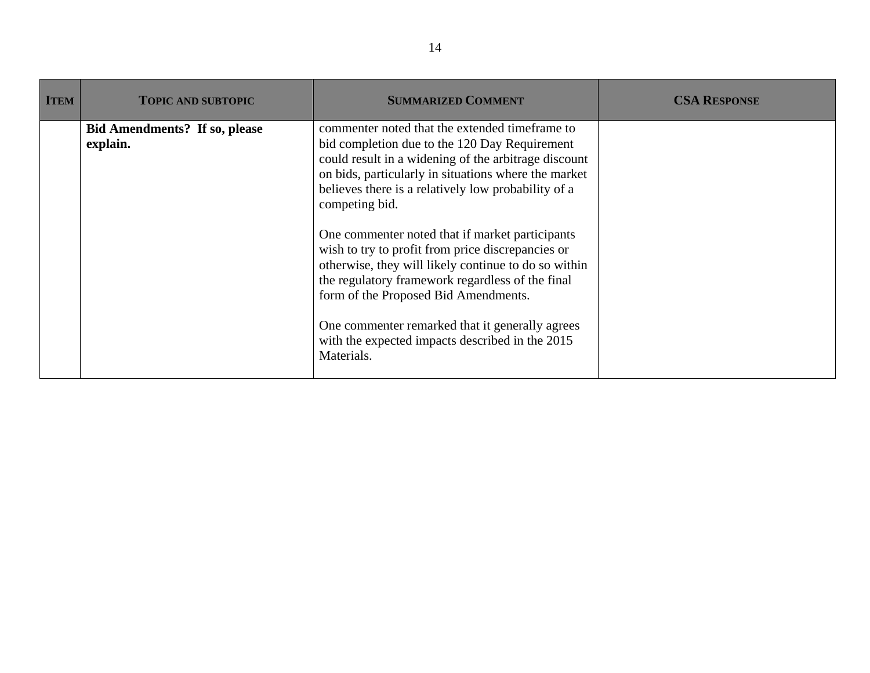| <b>ITEM</b> | <b>TOPIC AND SUBTOPIC</b>                 | <b>SUMMARIZED COMMENT</b>                                                                                                                                                                                                                                                                                                                                                                                                                                                                                                                                                                                                                                                | <b>CSA RESPONSE</b> |
|-------------|-------------------------------------------|--------------------------------------------------------------------------------------------------------------------------------------------------------------------------------------------------------------------------------------------------------------------------------------------------------------------------------------------------------------------------------------------------------------------------------------------------------------------------------------------------------------------------------------------------------------------------------------------------------------------------------------------------------------------------|---------------------|
|             | Bid Amendments? If so, please<br>explain. | commenter noted that the extended timeframe to<br>bid completion due to the 120 Day Requirement<br>could result in a widening of the arbitrage discount<br>on bids, particularly in situations where the market<br>believes there is a relatively low probability of a<br>competing bid.<br>One commenter noted that if market participants<br>wish to try to profit from price discrepancies or<br>otherwise, they will likely continue to do so within<br>the regulatory framework regardless of the final<br>form of the Proposed Bid Amendments.<br>One commenter remarked that it generally agrees<br>with the expected impacts described in the 2015<br>Materials. |                     |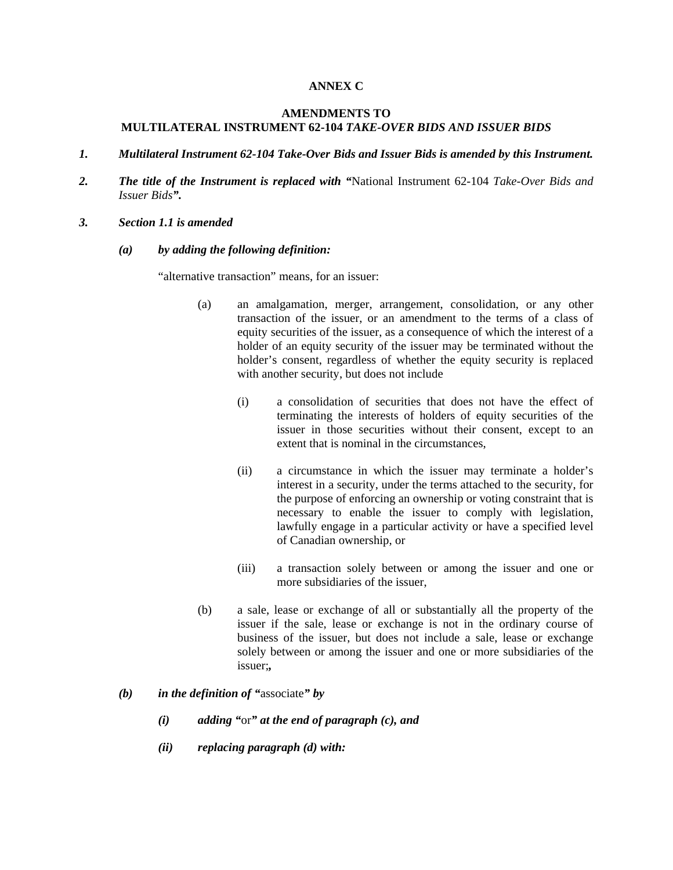#### **ANNEX C**

## **AMENDMENTS TO MULTILATERAL INSTRUMENT 62-104** *TAKE-OVER BIDS AND ISSUER BIDS*

- *1. Multilateral Instrument 62-104 Take-Over Bids and Issuer Bids is amended by this Instrument.*
- *2. The title of the Instrument is replaced with "*National Instrument 62-104 *Take-Over Bids and Issuer Bids".*
- *3. Section 1.1 is amended*

#### *(a) by adding the following definition:*

"alternative transaction" means, for an issuer:

- (a) an amalgamation, merger, arrangement, consolidation, or any other transaction of the issuer, or an amendment to the terms of a class of equity securities of the issuer, as a consequence of which the interest of a holder of an equity security of the issuer may be terminated without the holder's consent, regardless of whether the equity security is replaced with another security, but does not include
	- (i) a consolidation of securities that does not have the effect of terminating the interests of holders of equity securities of the issuer in those securities without their consent, except to an extent that is nominal in the circumstances,
	- (ii) a circumstance in which the issuer may terminate a holder's interest in a security, under the terms attached to the security, for the purpose of enforcing an ownership or voting constraint that is necessary to enable the issuer to comply with legislation, lawfully engage in a particular activity or have a specified level of Canadian ownership, or
	- (iii) a transaction solely between or among the issuer and one or more subsidiaries of the issuer,
- (b) a sale, lease or exchange of all or substantially all the property of the issuer if the sale, lease or exchange is not in the ordinary course of business of the issuer, but does not include a sale, lease or exchange solely between or among the issuer and one or more subsidiaries of the issuer;*,*

#### *(b) in the definition of "*associate*" by*

- *(i) adding "*or*" at the end of paragraph (c), and*
- *(ii) replacing paragraph (d) with:*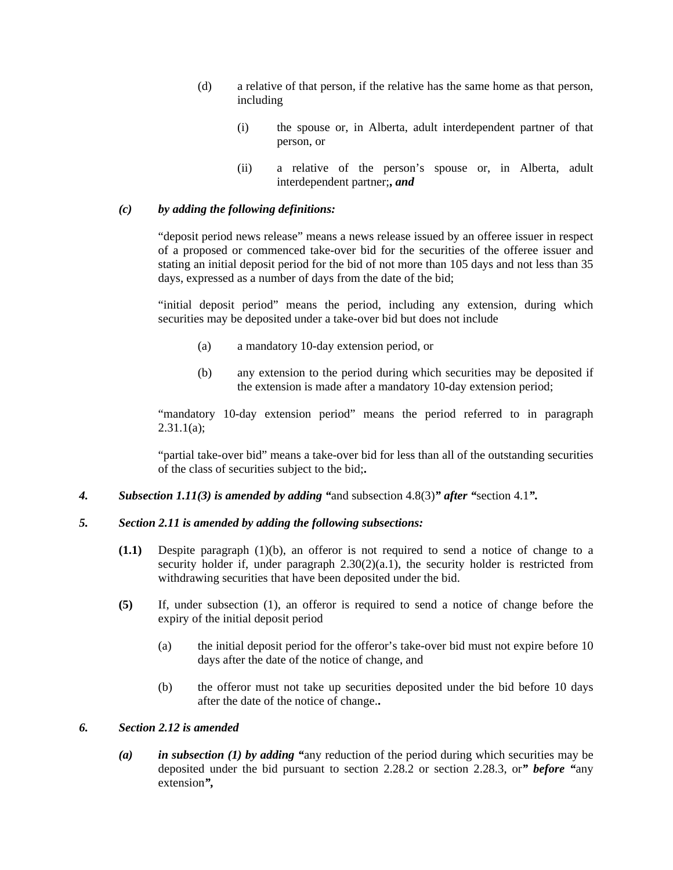- (d) a relative of that person, if the relative has the same home as that person, including
	- (i) the spouse or, in Alberta, adult interdependent partner of that person, or
	- (ii) a relative of the person's spouse or, in Alberta, adult interdependent partner;**,** *and*

#### *(c) by adding the following definitions:*

"deposit period news release" means a news release issued by an offeree issuer in respect of a proposed or commenced take-over bid for the securities of the offeree issuer and stating an initial deposit period for the bid of not more than 105 days and not less than 35 days, expressed as a number of days from the date of the bid;

"initial deposit period" means the period, including any extension, during which securities may be deposited under a take-over bid but does not include

- (a) a mandatory 10-day extension period, or
- (b) any extension to the period during which securities may be deposited if the extension is made after a mandatory 10-day extension period;

"mandatory 10-day extension period" means the period referred to in paragraph  $2.31.1(a);$ 

"partial take-over bid" means a take-over bid for less than all of the outstanding securities of the class of securities subject to the bid;**.** 

*4. Subsection 1.11(3) is amended by adding "*and subsection 4.8(3)*" after "*section 4.1*".*

### *5. Section 2.11 is amended by adding the following subsections:*

- **(1.1)** Despite paragraph (1)(b), an offeror is not required to send a notice of change to a security holder if, under paragraph  $2.30(2)(a.1)$ , the security holder is restricted from withdrawing securities that have been deposited under the bid.
- **(5)** If, under subsection (1), an offeror is required to send a notice of change before the expiry of the initial deposit period
	- (a) the initial deposit period for the offeror's take-over bid must not expire before 10 days after the date of the notice of change, and
	- (b) the offeror must not take up securities deposited under the bid before 10 days after the date of the notice of change.**.**

#### *6. Section 2.12 is amended*

*(a) in subsection (1) by adding "*any reduction of the period during which securities may be deposited under the bid pursuant to section 2.28.2 or section 2.28.3, or*" before "*any extension*",*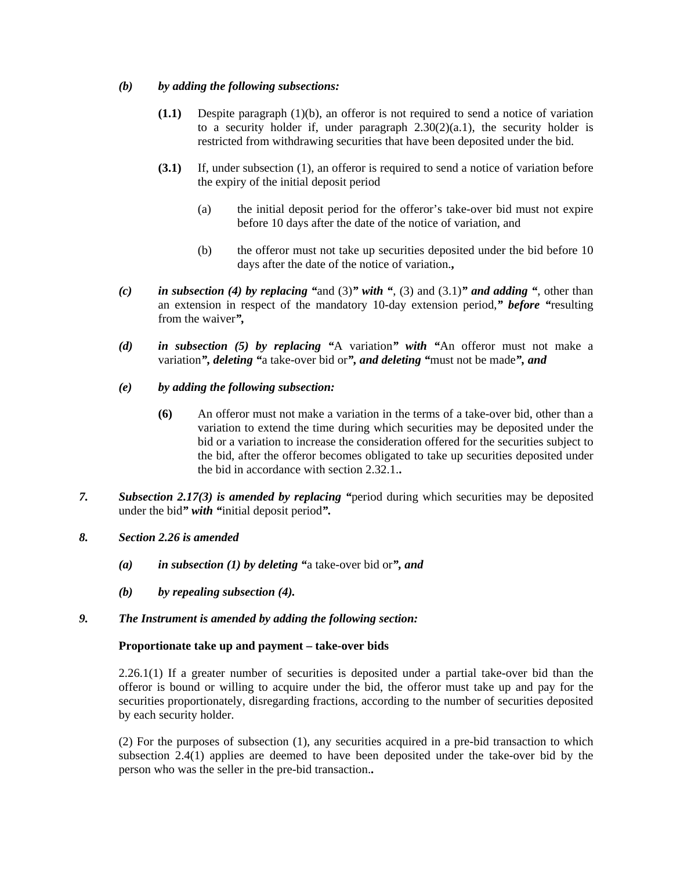#### *(b) by adding the following subsections:*

- **(1.1)** Despite paragraph (1)(b), an offeror is not required to send a notice of variation to a security holder if, under paragraph  $2.30(2)(a.1)$ , the security holder is restricted from withdrawing securities that have been deposited under the bid.
- **(3.1)** If, under subsection (1), an offeror is required to send a notice of variation before the expiry of the initial deposit period
	- (a) the initial deposit period for the offeror's take-over bid must not expire before 10 days after the date of the notice of variation, and
	- (b) the offeror must not take up securities deposited under the bid before 10 days after the date of the notice of variation.**,**
- *(c) in subsection (4) by replacing "*and (3)*" with "*, (3) and (3.1)*" and adding "*, other than an extension in respect of the mandatory 10-day extension period,*" before "*resulting from the waiver*",*
- *(d) in subsection (5) by replacing "*A variation*" with "*An offeror must not make a variation*", deleting "*a take-over bid or*", and deleting "*must not be made*", and*
- *(e) by adding the following subsection:*
	- **(6)** An offeror must not make a variation in the terms of a take-over bid, other than a variation to extend the time during which securities may be deposited under the bid or a variation to increase the consideration offered for the securities subject to the bid, after the offeror becomes obligated to take up securities deposited under the bid in accordance with section 2.32.1.**.**
- *7. Subsection 2.17(3) is amended by replacing "*period during which securities may be deposited under the bid*" with "*initial deposit period*".*
- *8. Section 2.26 is amended* 
	- *(a) in subsection (1) by deleting "*a take-over bid or*", and*
	- *(b) by repealing subsection (4).*

#### *9. The Instrument is amended by adding the following section:*

#### **Proportionate take up and payment – take-over bids**

2.26.1(1) If a greater number of securities is deposited under a partial take-over bid than the offeror is bound or willing to acquire under the bid, the offeror must take up and pay for the securities proportionately, disregarding fractions, according to the number of securities deposited by each security holder.

(2) For the purposes of subsection (1), any securities acquired in a pre-bid transaction to which subsection 2.4(1) applies are deemed to have been deposited under the take-over bid by the person who was the seller in the pre-bid transaction.**.**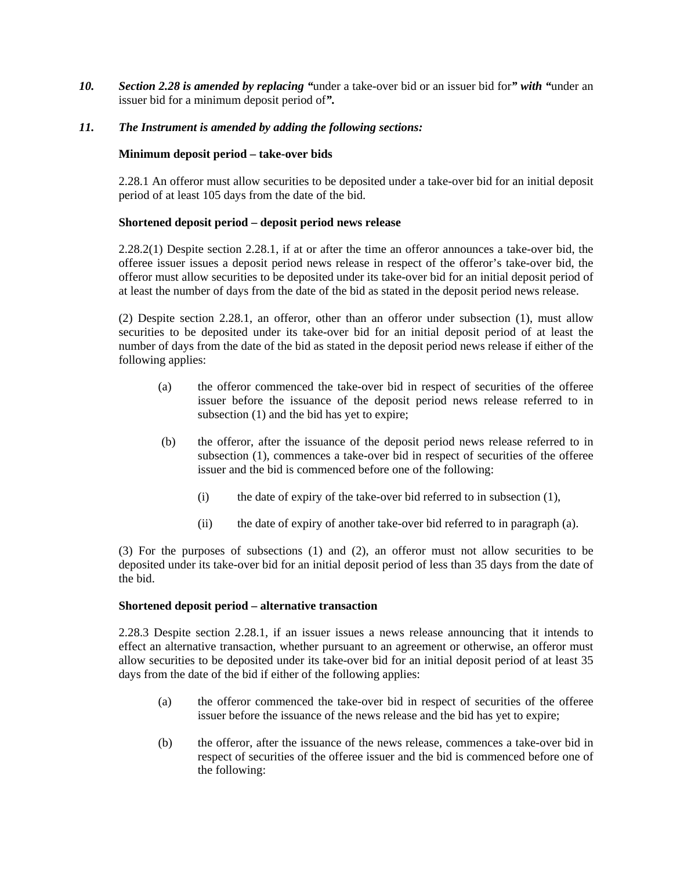*10. Section 2.28 is amended by replacing "*under a take-over bid or an issuer bid for*" with "*under an issuer bid for a minimum deposit period of*".* 

### *11. The Instrument is amended by adding the following sections:*

### **Minimum deposit period – take-over bids**

2.28.1 An offeror must allow securities to be deposited under a take-over bid for an initial deposit period of at least 105 days from the date of the bid.

#### **Shortened deposit period – deposit period news release**

2.28.2(1) Despite section 2.28.1, if at or after the time an offeror announces a take-over bid, the offeree issuer issues a deposit period news release in respect of the offeror's take-over bid, the offeror must allow securities to be deposited under its take-over bid for an initial deposit period of at least the number of days from the date of the bid as stated in the deposit period news release.

(2) Despite section 2.28.1, an offeror, other than an offeror under subsection (1), must allow securities to be deposited under its take-over bid for an initial deposit period of at least the number of days from the date of the bid as stated in the deposit period news release if either of the following applies:

- (a) the offeror commenced the take-over bid in respect of securities of the offeree issuer before the issuance of the deposit period news release referred to in subsection (1) and the bid has yet to expire;
- (b) the offeror, after the issuance of the deposit period news release referred to in subsection (1), commences a take-over bid in respect of securities of the offeree issuer and the bid is commenced before one of the following:
	- (i) the date of expiry of the take-over bid referred to in subsection (1),
	- (ii) the date of expiry of another take-over bid referred to in paragraph (a).

(3) For the purposes of subsections (1) and (2), an offeror must not allow securities to be deposited under its take-over bid for an initial deposit period of less than 35 days from the date of the bid.

#### **Shortened deposit period – alternative transaction**

2.28.3 Despite section 2.28.1, if an issuer issues a news release announcing that it intends to effect an alternative transaction, whether pursuant to an agreement or otherwise, an offeror must allow securities to be deposited under its take-over bid for an initial deposit period of at least 35 days from the date of the bid if either of the following applies:

- (a) the offeror commenced the take-over bid in respect of securities of the offeree issuer before the issuance of the news release and the bid has yet to expire;
- (b) the offeror, after the issuance of the news release, commences a take-over bid in respect of securities of the offeree issuer and the bid is commenced before one of the following: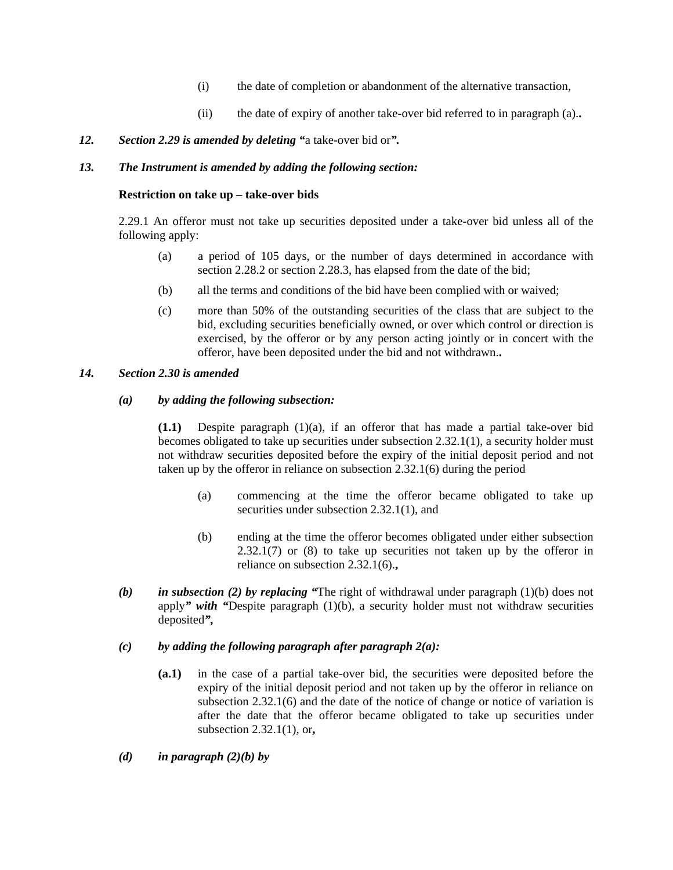- (i) the date of completion or abandonment of the alternative transaction,
- (ii) the date of expiry of another take-over bid referred to in paragraph (a).**.**

#### *12. Section 2.29 is amended by deleting "*a take-over bid or*".*

#### *13. The Instrument is amended by adding the following section:*

#### **Restriction on take up – take-over bids**

2.29.1 An offeror must not take up securities deposited under a take-over bid unless all of the following apply:

- (a) a period of 105 days, or the number of days determined in accordance with section 2.28.2 or section 2.28.3, has elapsed from the date of the bid;
- (b) all the terms and conditions of the bid have been complied with or waived;
- (c) more than 50% of the outstanding securities of the class that are subject to the bid, excluding securities beneficially owned, or over which control or direction is exercised, by the offeror or by any person acting jointly or in concert with the offeror, have been deposited under the bid and not withdrawn.**.**

#### *14. Section 2.30 is amended*

#### *(a) by adding the following subsection:*

**(1.1)** Despite paragraph (1)(a), if an offeror that has made a partial take-over bid becomes obligated to take up securities under subsection 2.32.1(1), a security holder must not withdraw securities deposited before the expiry of the initial deposit period and not taken up by the offeror in reliance on subsection 2.32.1(6) during the period

- (a) commencing at the time the offeror became obligated to take up securities under subsection 2.32.1(1), and
- (b) ending at the time the offeror becomes obligated under either subsection  $2.32.1(7)$  or  $(8)$  to take up securities not taken up by the offeror in reliance on subsection 2.32.1(6).**,**
- *(b) in subsection (2) by replacing "*The right of withdrawal under paragraph (1)(b) does not apply*" with "*Despite paragraph (1)(b), a security holder must not withdraw securities deposited*",*

### *(c) by adding the following paragraph after paragraph 2(a):*

**(a.1)** in the case of a partial take-over bid, the securities were deposited before the expiry of the initial deposit period and not taken up by the offeror in reliance on subsection 2.32.1(6) and the date of the notice of change or notice of variation is after the date that the offeror became obligated to take up securities under subsection 2.32.1(1), or**,** 

### *(d) in paragraph (2)(b) by*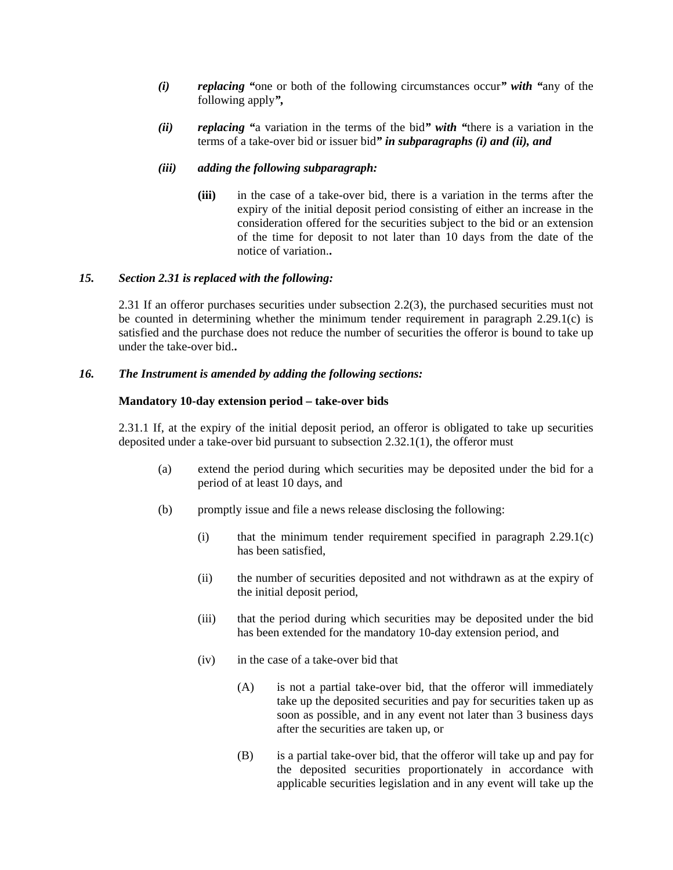- *(i) replacing "*one or both of the following circumstances occur*" with "*any of the following apply*",*
- *(ii) replacing "*a variation in the terms of the bid*" with "*there is a variation in the terms of a take-over bid or issuer bid*" in subparagraphs (i) and (ii), and*

### *(iii) adding the following subparagraph:*

**(iii)** in the case of a take-over bid, there is a variation in the terms after the expiry of the initial deposit period consisting of either an increase in the consideration offered for the securities subject to the bid or an extension of the time for deposit to not later than 10 days from the date of the notice of variation.**.** 

#### *15. Section 2.31 is replaced with the following:*

2.31 If an offeror purchases securities under subsection 2.2(3), the purchased securities must not be counted in determining whether the minimum tender requirement in paragraph 2.29.1(c) is satisfied and the purchase does not reduce the number of securities the offeror is bound to take up under the take-over bid.**.** 

#### *16. The Instrument is amended by adding the following sections:*

#### **Mandatory 10-day extension period – take-over bids**

2.31.1 If, at the expiry of the initial deposit period, an offeror is obligated to take up securities deposited under a take-over bid pursuant to subsection 2.32.1(1), the offeror must

- (a) extend the period during which securities may be deposited under the bid for a period of at least 10 days, and
- (b) promptly issue and file a news release disclosing the following:
	- (i) that the minimum tender requirement specified in paragraph 2.29.1(c) has been satisfied,
	- (ii) the number of securities deposited and not withdrawn as at the expiry of the initial deposit period,
	- (iii) that the period during which securities may be deposited under the bid has been extended for the mandatory 10-day extension period, and
	- (iv) in the case of a take-over bid that
		- (A) is not a partial take-over bid, that the offeror will immediately take up the deposited securities and pay for securities taken up as soon as possible, and in any event not later than 3 business days after the securities are taken up, or
		- (B) is a partial take-over bid, that the offeror will take up and pay for the deposited securities proportionately in accordance with applicable securities legislation and in any event will take up the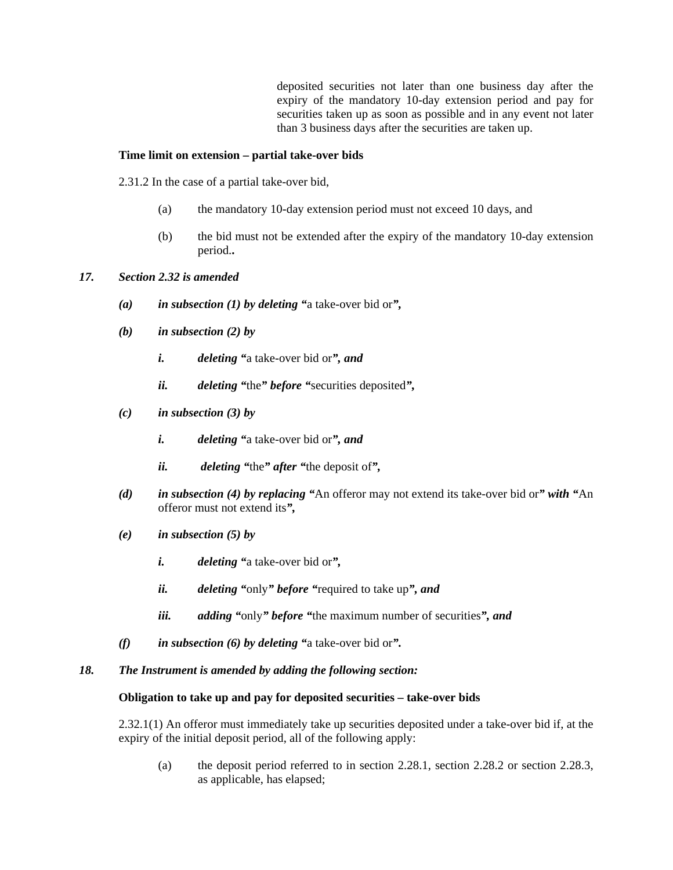deposited securities not later than one business day after the expiry of the mandatory 10-day extension period and pay for securities taken up as soon as possible and in any event not later than 3 business days after the securities are taken up.

#### **Time limit on extension – partial take-over bids**

2.31.2 In the case of a partial take-over bid,

- (a) the mandatory 10-day extension period must not exceed 10 days, and
- (b) the bid must not be extended after the expiry of the mandatory 10-day extension period.**.**

#### *17. Section 2.32 is amended*

- *(a) in subsection (1) by deleting "*a take-over bid or*",*
- *(b) in subsection (2) by* 
	- *i. deleting "*a take-over bid or*", and*
	- *ii. deleting "*the*" before "*securities deposited*",*
- *(c) in subsection (3) by* 
	- *i. deleting "*a take-over bid or*", and*
	- *ii. deleting "*the*" after "*the deposit of*",*
- *(d) in subsection (4) by replacing "*An offeror may not extend its take-over bid or*" with "*An offeror must not extend its*",*
- *(e) in subsection (5) by* 
	- *i. deleting "*a take-over bid or*",*
	- *ii. deleting "*only*" before "*required to take up*", and*
	- *iii. adding "*only*" before "*the maximum number of securities*", and*
- *(f) in subsection (6) by deleting "*a take-over bid or*".*
- *18. The Instrument is amended by adding the following section:*

#### **Obligation to take up and pay for deposited securities – take-over bids**

2.32.1(1) An offeror must immediately take up securities deposited under a take-over bid if, at the expiry of the initial deposit period, all of the following apply:

(a) the deposit period referred to in section 2.28.1, section 2.28.2 or section 2.28.3, as applicable, has elapsed;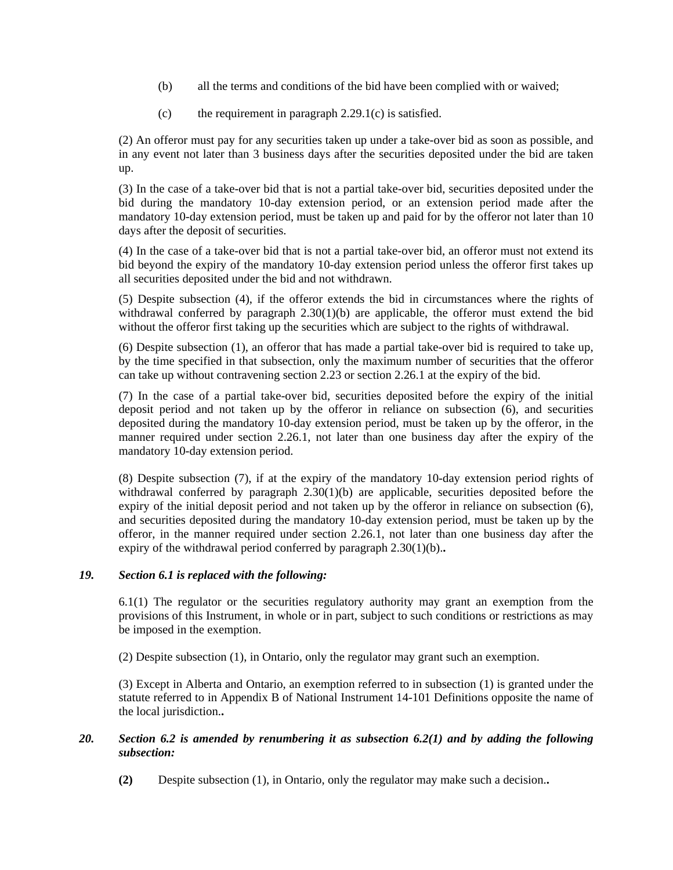- (b) all the terms and conditions of the bid have been complied with or waived;
- (c) the requirement in paragraph  $2.29.1(c)$  is satisfied.

(2) An offeror must pay for any securities taken up under a take-over bid as soon as possible, and in any event not later than 3 business days after the securities deposited under the bid are taken up.

(3) In the case of a take-over bid that is not a partial take-over bid, securities deposited under the bid during the mandatory 10-day extension period, or an extension period made after the mandatory 10-day extension period, must be taken up and paid for by the offeror not later than 10 days after the deposit of securities.

(4) In the case of a take-over bid that is not a partial take-over bid, an offeror must not extend its bid beyond the expiry of the mandatory 10-day extension period unless the offeror first takes up all securities deposited under the bid and not withdrawn.

(5) Despite subsection (4), if the offeror extends the bid in circumstances where the rights of withdrawal conferred by paragraph 2.30(1)(b) are applicable, the offeror must extend the bid without the offeror first taking up the securities which are subject to the rights of withdrawal.

(6) Despite subsection (1), an offeror that has made a partial take-over bid is required to take up, by the time specified in that subsection, only the maximum number of securities that the offeror can take up without contravening section 2.23 or section 2.26.1 at the expiry of the bid.

(7) In the case of a partial take-over bid, securities deposited before the expiry of the initial deposit period and not taken up by the offeror in reliance on subsection (6), and securities deposited during the mandatory 10-day extension period, must be taken up by the offeror, in the manner required under section 2.26.1, not later than one business day after the expiry of the mandatory 10-day extension period.

(8) Despite subsection (7), if at the expiry of the mandatory 10-day extension period rights of withdrawal conferred by paragraph  $2.30(1)(b)$  are applicable, securities deposited before the expiry of the initial deposit period and not taken up by the offeror in reliance on subsection (6), and securities deposited during the mandatory 10-day extension period, must be taken up by the offeror, in the manner required under section 2.26.1, not later than one business day after the expiry of the withdrawal period conferred by paragraph 2.30(1)(b).**.**

## *19. Section 6.1 is replaced with the following:*

6.1(1) The regulator or the securities regulatory authority may grant an exemption from the provisions of this Instrument, in whole or in part, subject to such conditions or restrictions as may be imposed in the exemption.

(2) Despite subsection (1), in Ontario, only the regulator may grant such an exemption.

(3) Except in Alberta and Ontario, an exemption referred to in subsection (1) is granted under the statute referred to in Appendix B of National Instrument 14-101 Definitions opposite the name of the local jurisdiction.**.** 

## *20. Section 6.2 is amended by renumbering it as subsection 6.2(1) and by adding the following subsection:*

**(2)** Despite subsection (1), in Ontario, only the regulator may make such a decision.**.**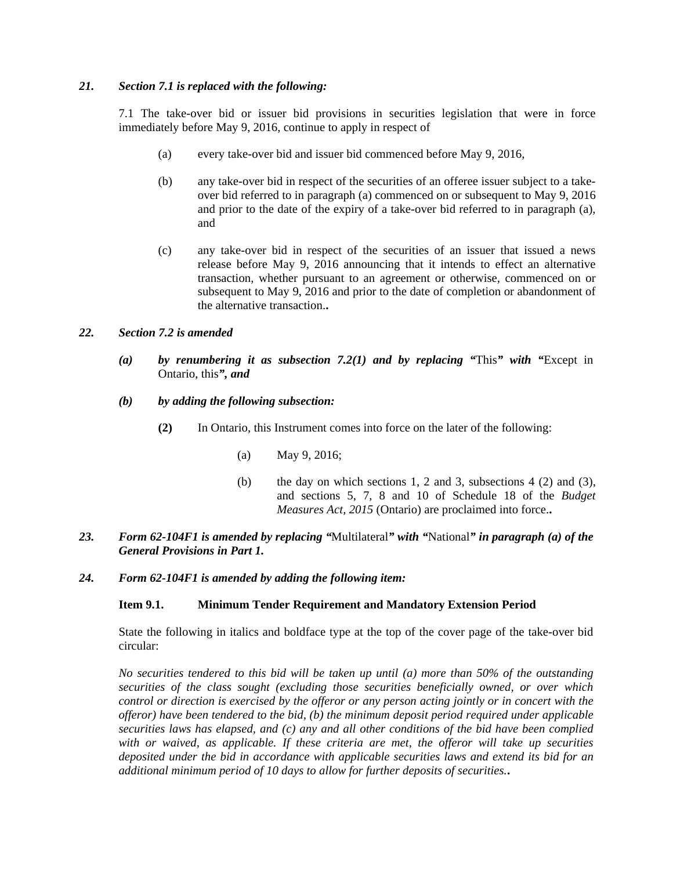#### *21. Section 7.1 is replaced with the following:*

7.1 The take-over bid or issuer bid provisions in securities legislation that were in force immediately before May 9, 2016, continue to apply in respect of

- (a) every take-over bid and issuer bid commenced before May 9, 2016,
- (b) any take-over bid in respect of the securities of an offeree issuer subject to a takeover bid referred to in paragraph (a) commenced on or subsequent to May 9, 2016 and prior to the date of the expiry of a take-over bid referred to in paragraph (a), and
- (c) any take-over bid in respect of the securities of an issuer that issued a news release before May 9, 2016 announcing that it intends to effect an alternative transaction, whether pursuant to an agreement or otherwise, commenced on or subsequent to May 9, 2016 and prior to the date of completion or abandonment of the alternative transaction.**.**

## *22. Section 7.2 is amended*

- *(a) by renumbering it as subsection 7.2(1) and by replacing "*This*" with "*Except in Ontario, this*", and*
- *(b) by adding the following subsection:*
	- **(2)** In Ontario, this Instrument comes into force on the later of the following:
		- (a) May 9, 2016;
		- (b) the day on which sections 1, 2 and 3, subsections  $4$  (2) and (3), and sections 5, 7, 8 and 10 of Schedule 18 of the *Budget Measures Act, 2015* (Ontario) are proclaimed into force.**.**
- *23. Form 62-104F1 is amended by replacing "*Multilateral*" with "*National*" in paragraph (a) of the General Provisions in Part 1.*
- *24. Form 62-104F1 is amended by adding the following item:*

#### **Item 9.1. Minimum Tender Requirement and Mandatory Extension Period**

State the following in italics and boldface type at the top of the cover page of the take-over bid circular:

*No securities tendered to this bid will be taken up until (a) more than 50% of the outstanding securities of the class sought (excluding those securities beneficially owned, or over which control or direction is exercised by the offeror or any person acting jointly or in concert with the offeror) have been tendered to the bid, (b) the minimum deposit period required under applicable securities laws has elapsed, and (c) any and all other conditions of the bid have been complied with or waived, as applicable. If these criteria are met, the offeror will take up securities deposited under the bid in accordance with applicable securities laws and extend its bid for an additional minimum period of 10 days to allow for further deposits of securities.***.**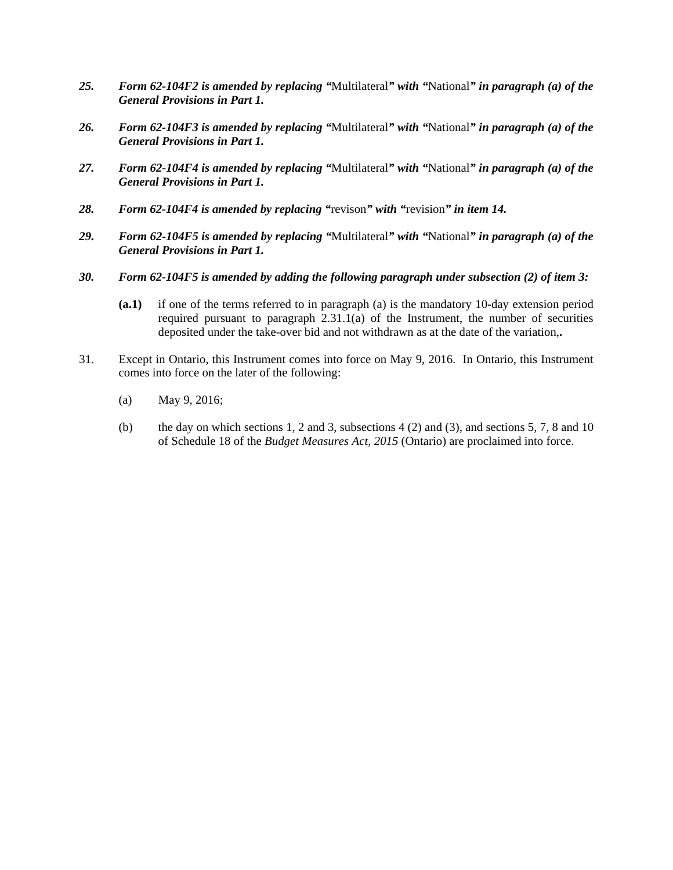- *25. Form 62-104F2 is amended by replacing "*Multilateral*" with "*National*" in paragraph (a) of the General Provisions in Part 1.*
- *26. Form 62-104F3 is amended by replacing "*Multilateral*" with "*National*" in paragraph (a) of the General Provisions in Part 1.*
- *27. Form 62-104F4 is amended by replacing "*Multilateral*" with "*National*" in paragraph (a) of the General Provisions in Part 1.*
- *28. Form 62-104F4 is amended by replacing "*revison*" with "*revision*" in item 14.*
- *29. Form 62-104F5 is amended by replacing "*Multilateral*" with "*National*" in paragraph (a) of the General Provisions in Part 1.*
- *30. Form 62-104F5 is amended by adding the following paragraph under subsection (2) of item 3:*
	- **(a.1)** if one of the terms referred to in paragraph (a) is the mandatory 10-day extension period required pursuant to paragraph 2.31.1(a) of the Instrument, the number of securities deposited under the take-over bid and not withdrawn as at the date of the variation,**.**
- 31. Except in Ontario, this Instrument comes into force on May 9, 2016. In Ontario, this Instrument comes into force on the later of the following:
	- (a) May 9, 2016;
	- (b) the day on which sections 1, 2 and 3, subsections 4 (2) and (3), and sections 5, 7, 8 and 10 of Schedule 18 of the *Budget Measures Act, 2015* (Ontario) are proclaimed into force.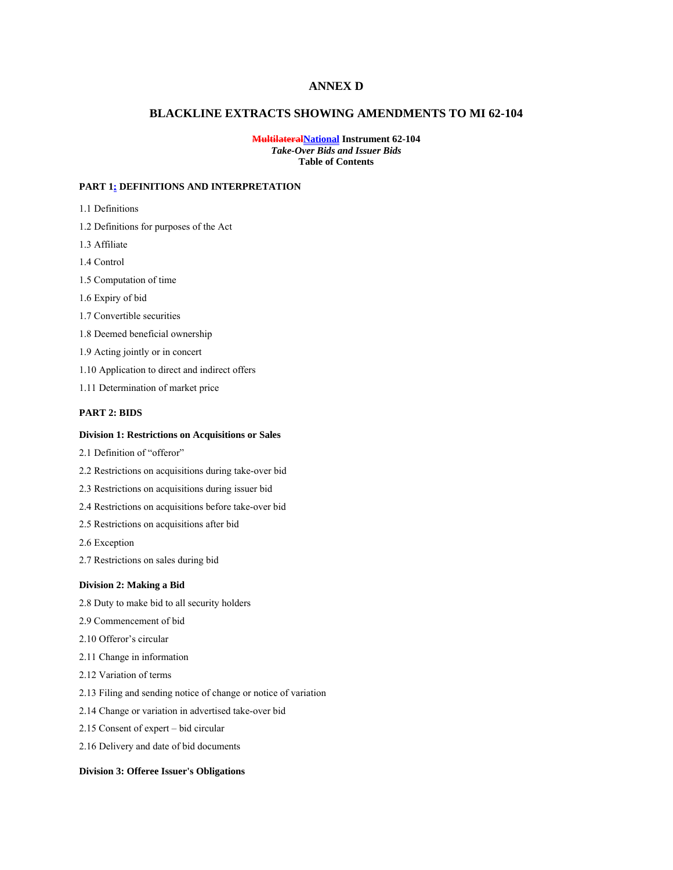#### **ANNEX D**

#### **BLACKLINE EXTRACTS SHOWING AMENDMENTS TO MI 62-104**

**MultilateralNational Instrument 62-104**  *Take-Over Bids and Issuer Bids*  **Table of Contents** 

#### **PART 1: DEFINITIONS AND INTERPRETATION**

1.1 Definitions

1.2 Definitions for purposes of the Act

1.3 Affiliate

1.4 Control

1.5 Computation of time

1.6 Expiry of bid

- 1.7 Convertible securities
- 1.8 Deemed beneficial ownership
- 1.9 Acting jointly or in concert
- 1.10 Application to direct and indirect offers
- 1.11 Determination of market price

#### **PART 2: BIDS**

#### **Division 1: Restrictions on Acquisitions or Sales**

- 2.1 Definition of "offeror"
- 2.2 Restrictions on acquisitions during take-over bid
- 2.3 Restrictions on acquisitions during issuer bid
- 2.4 Restrictions on acquisitions before take-over bid
- 2.5 Restrictions on acquisitions after bid
- 2.6 Exception
- 2.7 Restrictions on sales during bid

#### **Division 2: Making a Bid**

- 2.8 Duty to make bid to all security holders
- 2.9 Commencement of bid
- 2.10 Offeror's circular
- 2.11 Change in information
- 2.12 Variation of terms
- 2.13 Filing and sending notice of change or notice of variation
- 2.14 Change or variation in advertised take-over bid
- 2.15 Consent of expert bid circular
- 2.16 Delivery and date of bid documents

#### **Division 3: Offeree Issuer's Obligations**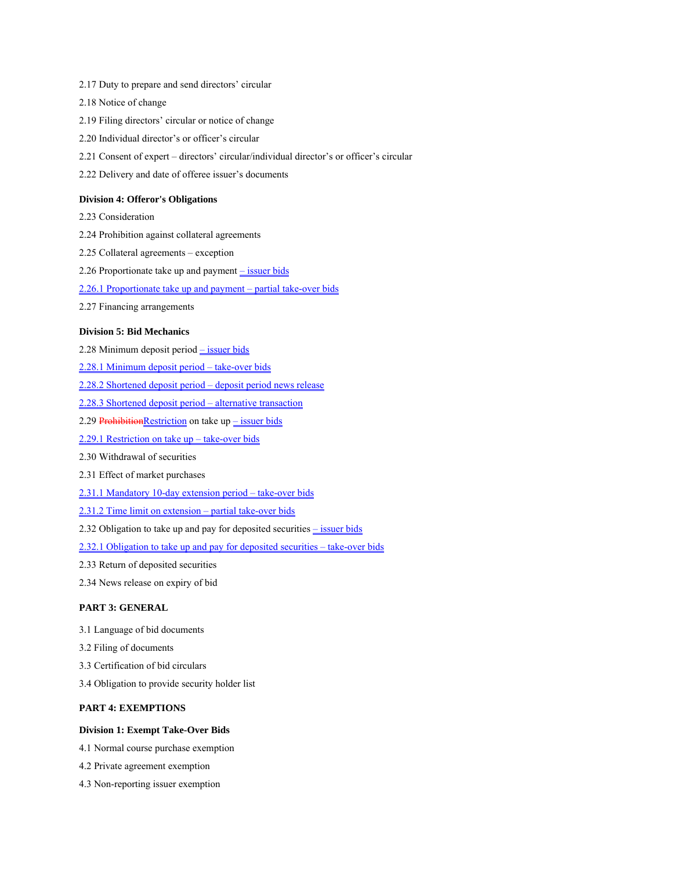- 2.17 Duty to prepare and send directors' circular
- 2.18 Notice of change
- 2.19 Filing directors' circular or notice of change
- 2.20 Individual director's or officer's circular
- 2.21 Consent of expert directors' circular/individual director's or officer's circular
- 2.22 Delivery and date of offeree issuer's documents

#### **Division 4: Offeror's Obligations**

- 2.23 Consideration
- 2.24 Prohibition against collateral agreements
- 2.25 Collateral agreements exception
- 2.26 Proportionate take up and payment  $\frac{-}{\text{issuer bids}}$
- 2.26.1 Proportionate take up and payment partial take-over bids
- 2.27 Financing arrangements

#### **Division 5: Bid Mechanics**

2.28 Minimum deposit period  $\frac{-}{\text{issuer bids}}$ 

2.28.1 Minimum deposit period – take-over bids

2.28.2 Shortened deposit period – deposit period news release

2.28.3 Shortened deposit period – alternative transaction

2.29 ProhibitionRestriction on take up  $\frac{1}{2}$  issuer bids

2.29.1 Restriction on take up – take-over bids

- 2.30 Withdrawal of securities
- 2.31 Effect of market purchases
- 2.31.1 Mandatory 10-day extension period take-over bids
- 2.31.2 Time limit on extension partial take-over bids
- 2.32 Obligation to take up and pay for deposited securities  $\frac{-}{\text{issuer bids}}$
- 2.32.1 Obligation to take up and pay for deposited securities take-over bids
- 2.33 Return of deposited securities

2.34 News release on expiry of bid

#### **PART 3: GENERAL**

- 3.1 Language of bid documents
- 3.2 Filing of documents
- 3.3 Certification of bid circulars
- 3.4 Obligation to provide security holder list

#### **PART 4: EXEMPTIONS**

#### **Division 1: Exempt Take-Over Bids**

- 4.1 Normal course purchase exemption
- 4.2 Private agreement exemption
- 4.3 Non-reporting issuer exemption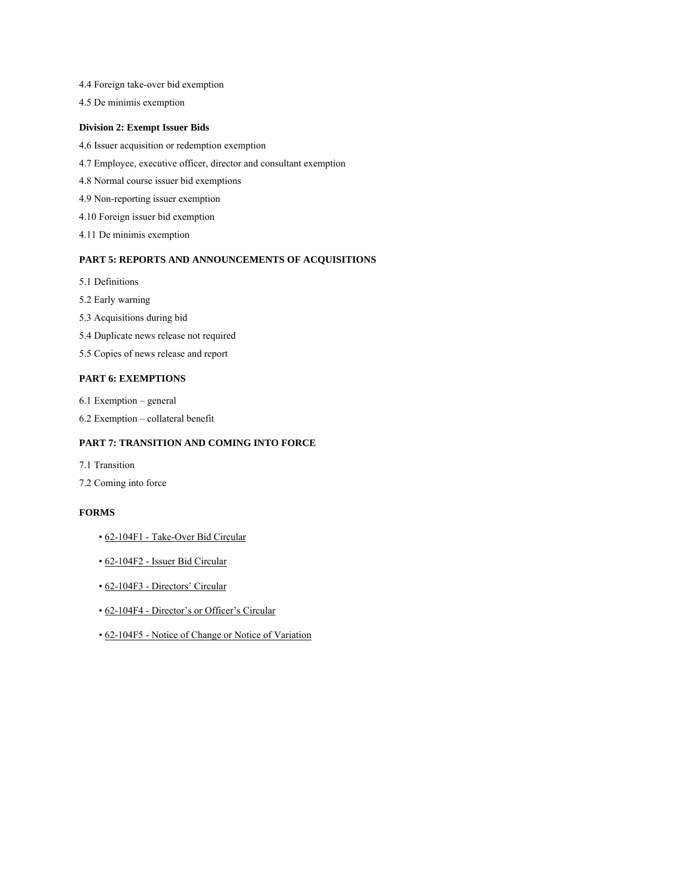- 4.4 Foreign take-over bid exemption
- 4.5 De minimis exemption

## **Division 2: Exempt Issuer Bids**

- 4.6 Issuer acquisition or redemption exemption
- 4.7 Employee, executive officer, director and consultant exemption
- 4.8 Normal course issuer bid exemptions
- 4.9 Non-reporting issuer exemption
- 4.10 Foreign issuer bid exemption
- 4.11 De minimis exemption

# **PART 5: REPORTS AND ANNOUNCEMENTS OF ACQUISITIONS**

- 5.1 Definitions
- 5.2 Early warning
- 5.3 Acquisitions during bid
- 5.4 Duplicate news release not required
- 5.5 Copies of news release and report

# **PART 6: EXEMPTIONS**

6.1 Exemption – general

6.2 Exemption – collateral benefit

# **PART 7: TRANSITION AND COMING INTO FORCE**

- 7.1 Transition
- 7.2 Coming into force

# **FORMS**

- 62-104F1 Take-Over Bid Circular
- 62-104F2 Issuer Bid Circular
- 62-104F3 Directors' Circular
- 62-104F4 Director's or Officer's Circular
- 62-104F5 Notice of Change or Notice of Variation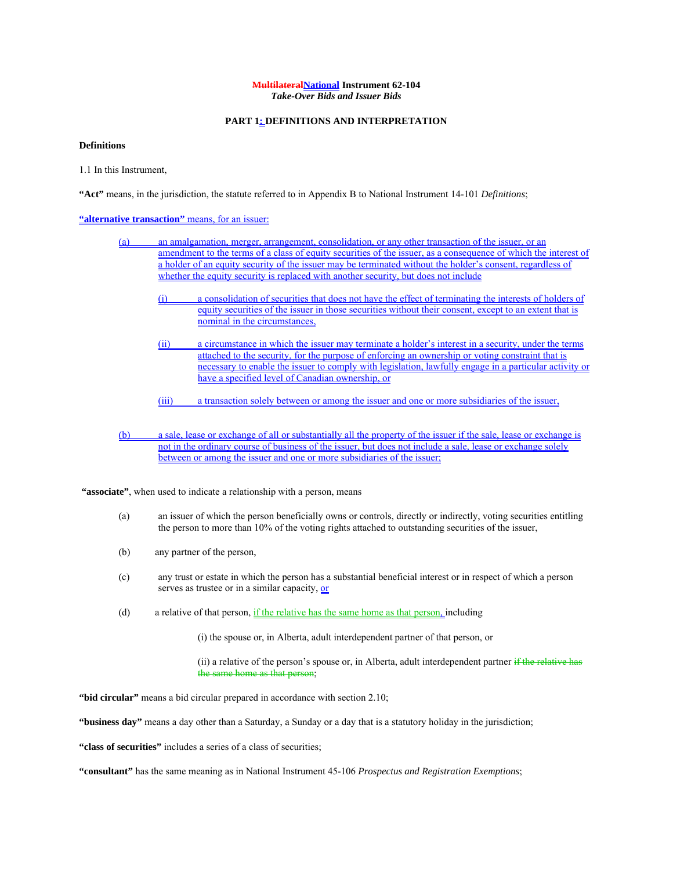### **MultilateralNational Instrument 62-104**  *Take-Over Bids and Issuer Bids*

### **PART 1: DEFINITIONS AND INTERPRETATION**

### **Definitions**

1.1 In this Instrument,

**"Act"** means, in the jurisdiction, the statute referred to in Appendix B to National Instrument 14-101 *Definitions*;

**"alternative transaction"** means, for an issuer:

- (a) an amalgamation, merger, arrangement, consolidation, or any other transaction of the issuer, or an amendment to the terms of a class of equity securities of the issuer, as a consequence of which the interest of a holder of an equity security of the issuer may be terminated without the holder's consent, regardless of whether the equity security is replaced with another security, but does not include
	- (i) a consolidation of securities that does not have the effect of terminating the interests of holders of equity securities of the issuer in those securities without their consent, except to an extent that is nominal in the circumstances,
	- (ii) a circumstance in which the issuer may terminate a holder's interest in a security, under the terms attached to the security, for the purpose of enforcing an ownership or voting constraint that is necessary to enable the issuer to comply with legislation, lawfully engage in a particular activity or have a specified level of Canadian ownership, or
	- (iii) a transaction solely between or among the issuer and one or more subsidiaries of the issuer,
- (b) a sale, lease or exchange of all or substantially all the property of the issuer if the sale, lease or exchange is not in the ordinary course of business of the issuer, but does not include a sale, lease or exchange solely between or among the issuer and one or more subsidiaries of the issuer;

 **"associate"**, when used to indicate a relationship with a person, means

- (a) an issuer of which the person beneficially owns or controls, directly or indirectly, voting securities entitling the person to more than 10% of the voting rights attached to outstanding securities of the issuer,
- (b) any partner of the person,
- (c) any trust or estate in which the person has a substantial beneficial interest or in respect of which a person serves as trustee or in a similar capacity, or
- (d) a relative of that person, if the relative has the same home as that person, including
	- (i) the spouse or, in Alberta, adult interdependent partner of that person, or
	- (ii) a relative of the person's spouse or, in Alberta, adult interdependent partner  $\frac{d\mathbf{f}}{dt}$  the relative has the same home as that person;

**"bid circular"** means a bid circular prepared in accordance with section 2.10;

**"business day"** means a day other than a Saturday, a Sunday or a day that is a statutory holiday in the jurisdiction;

**"class of securities"** includes a series of a class of securities;

**"consultant"** has the same meaning as in National Instrument 45-106 *Prospectus and Registration Exemptions*;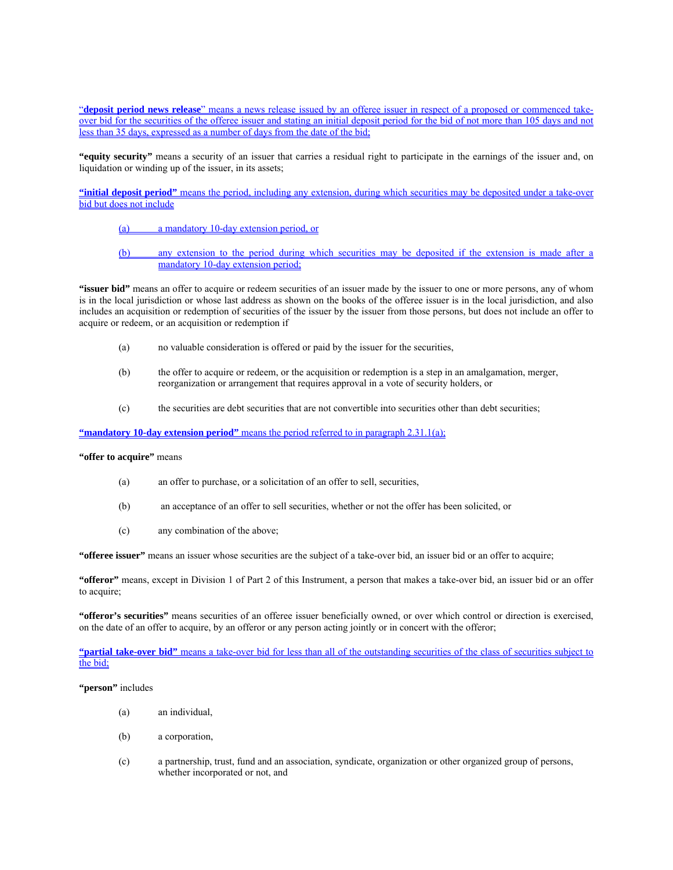"**deposit period news release**" means a news release issued by an offeree issuer in respect of a proposed or commenced takeover bid for the securities of the offeree issuer and stating an initial deposit period for the bid of not more than 105 days and not less than 35 days, expressed as a number of days from the date of the bid;

**"equity security"** means a security of an issuer that carries a residual right to participate in the earnings of the issuer and, on liquidation or winding up of the issuer, in its assets;

**"initial deposit period"** means the period, including any extension, during which securities may be deposited under a take-over bid but does not include

- (a) a mandatory 10-day extension period, or
- (b) any extension to the period during which securities may be deposited if the extension is made after a mandatory 10-day extension period;

"issuer bid" means an offer to acquire or redeem securities of an issuer made by the issuer to one or more persons, any of whom is in the local jurisdiction or whose last address as shown on the books of the offeree issuer is in the local jurisdiction, and also includes an acquisition or redemption of securities of the issuer by the issuer from those persons, but does not include an offer to acquire or redeem, or an acquisition or redemption if

- (a) no valuable consideration is offered or paid by the issuer for the securities,
- (b) the offer to acquire or redeem, or the acquisition or redemption is a step in an amalgamation, merger, reorganization or arrangement that requires approval in a vote of security holders, or
- (c) the securities are debt securities that are not convertible into securities other than debt securities;

**"mandatory 10-day extension period"** means the period referred to in paragraph 2.31.1(a);

**"offer to acquire"** means

- (a) an offer to purchase, or a solicitation of an offer to sell, securities,
- (b) an acceptance of an offer to sell securities, whether or not the offer has been solicited, or
- (c) any combination of the above;

**"offeree issuer"** means an issuer whose securities are the subject of a take-over bid, an issuer bid or an offer to acquire;

**"offeror"** means, except in Division 1 of Part 2 of this Instrument, a person that makes a take-over bid, an issuer bid or an offer to acquire;

**"offeror's securities"** means securities of an offeree issuer beneficially owned, or over which control or direction is exercised, on the date of an offer to acquire, by an offeror or any person acting jointly or in concert with the offeror;

**"partial take-over bid"** means a take-over bid for less than all of the outstanding securities of the class of securities subject to the bid;

**"person"** includes

- (a) an individual,
- (b) a corporation,
- (c) a partnership, trust, fund and an association, syndicate, organization or other organized group of persons, whether incorporated or not, and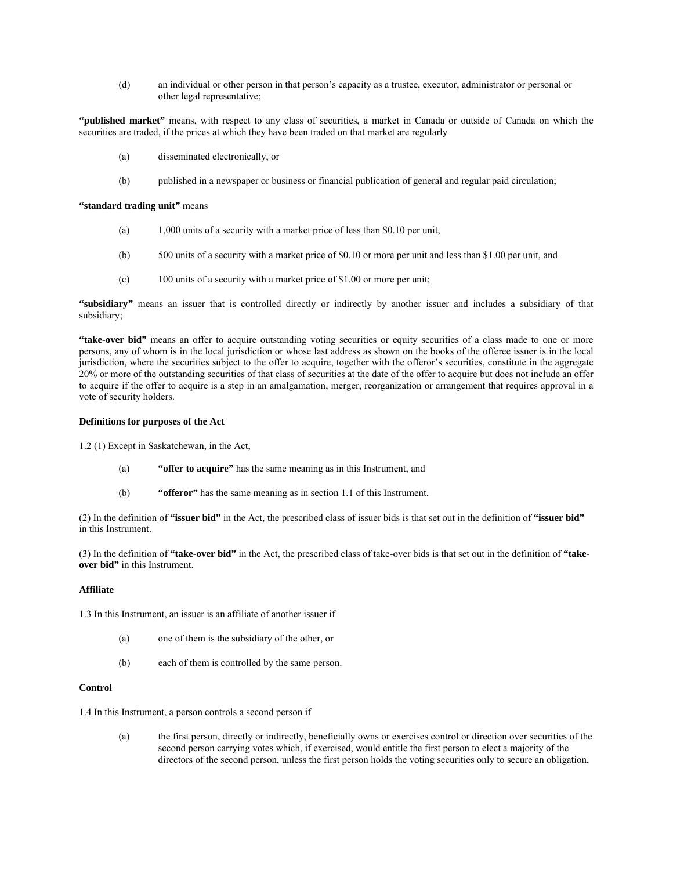(d) an individual or other person in that person's capacity as a trustee, executor, administrator or personal or other legal representative;

**"published market"** means, with respect to any class of securities, a market in Canada or outside of Canada on which the securities are traded, if the prices at which they have been traded on that market are regularly

- (a) disseminated electronically, or
- (b) published in a newspaper or business or financial publication of general and regular paid circulation;

### "standard trading unit" means

- (a) 1,000 units of a security with a market price of less than \$0.10 per unit,
- (b) 500 units of a security with a market price of \$0.10 or more per unit and less than \$1.00 per unit, and
- (c) 100 units of a security with a market price of \$1.00 or more per unit;

**"subsidiary"** means an issuer that is controlled directly or indirectly by another issuer and includes a subsidiary of that subsidiary;

**"take-over bid"** means an offer to acquire outstanding voting securities or equity securities of a class made to one or more persons, any of whom is in the local jurisdiction or whose last address as shown on the books of the offeree issuer is in the local jurisdiction, where the securities subject to the offer to acquire, together with the offeror's securities, constitute in the aggregate 20% or more of the outstanding securities of that class of securities at the date of the offer to acquire but does not include an offer to acquire if the offer to acquire is a step in an amalgamation, merger, reorganization or arrangement that requires approval in a vote of security holders.

### **Definitions for purposes of the Act**

1.2 (1) Except in Saskatchewan, in the Act,

- (a) **"offer to acquire"** has the same meaning as in this Instrument, and
- (b) **"offeror"** has the same meaning as in section 1.1 of this Instrument.

(2) In the definition of **"issuer bid"** in the Act, the prescribed class of issuer bids is that set out in the definition of **"issuer bid"**  in this Instrument.

(3) In the definition of **"take-over bid"** in the Act, the prescribed class of take-over bids is that set out in the definition of **"takeover bid"** in this Instrument.

## **Affiliate**

1.3 In this Instrument, an issuer is an affiliate of another issuer if

- (a) one of them is the subsidiary of the other, or
- (b) each of them is controlled by the same person.

#### **Control**

1.4 In this Instrument, a person controls a second person if

(a) the first person, directly or indirectly, beneficially owns or exercises control or direction over securities of the second person carrying votes which, if exercised, would entitle the first person to elect a majority of the directors of the second person, unless the first person holds the voting securities only to secure an obligation,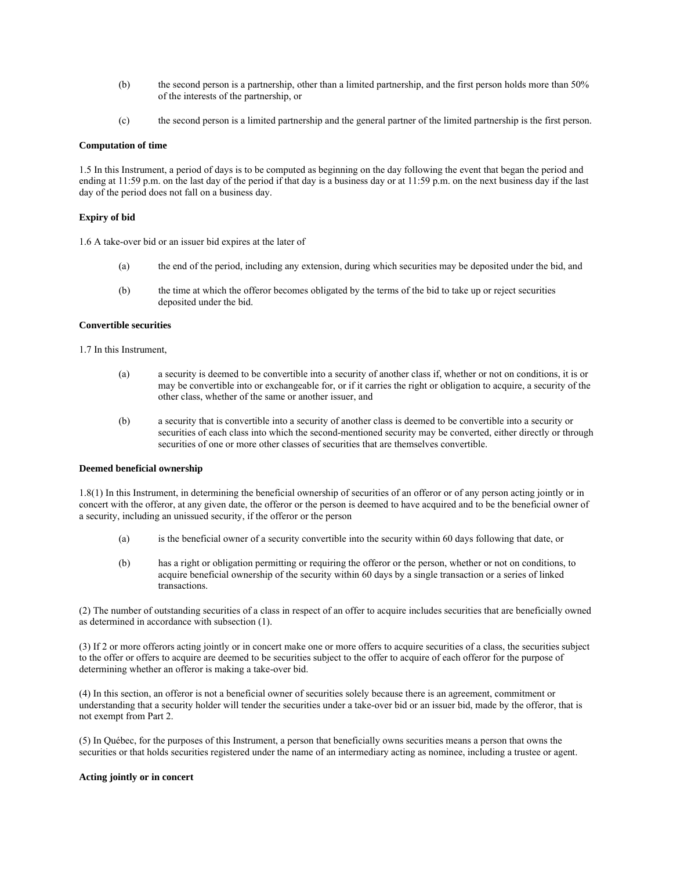- (b) the second person is a partnership, other than a limited partnership, and the first person holds more than 50% of the interests of the partnership, or
- (c) the second person is a limited partnership and the general partner of the limited partnership is the first person.

### **Computation of time**

1.5 In this Instrument, a period of days is to be computed as beginning on the day following the event that began the period and ending at 11:59 p.m. on the last day of the period if that day is a business day or at 11:59 p.m. on the next business day if the last day of the period does not fall on a business day.

### **Expiry of bid**

1.6 A take-over bid or an issuer bid expires at the later of

- (a) the end of the period, including any extension, during which securities may be deposited under the bid, and
- (b) the time at which the offeror becomes obligated by the terms of the bid to take up or reject securities deposited under the bid.

### **Convertible securities**

1.7 In this Instrument,

- (a) a security is deemed to be convertible into a security of another class if, whether or not on conditions, it is or may be convertible into or exchangeable for, or if it carries the right or obligation to acquire, a security of the other class, whether of the same or another issuer, and
- (b) a security that is convertible into a security of another class is deemed to be convertible into a security or securities of each class into which the second-mentioned security may be converted, either directly or through securities of one or more other classes of securities that are themselves convertible.

### **Deemed beneficial ownership**

1.8(1) In this Instrument, in determining the beneficial ownership of securities of an offeror or of any person acting jointly or in concert with the offeror, at any given date, the offeror or the person is deemed to have acquired and to be the beneficial owner of a security, including an unissued security, if the offeror or the person

- (a) is the beneficial owner of a security convertible into the security within 60 days following that date, or
- (b) has a right or obligation permitting or requiring the offeror or the person, whether or not on conditions, to acquire beneficial ownership of the security within 60 days by a single transaction or a series of linked transactions.

(2) The number of outstanding securities of a class in respect of an offer to acquire includes securities that are beneficially owned as determined in accordance with subsection (1).

(3) If 2 or more offerors acting jointly or in concert make one or more offers to acquire securities of a class, the securities subject to the offer or offers to acquire are deemed to be securities subject to the offer to acquire of each offeror for the purpose of determining whether an offeror is making a take-over bid.

(4) In this section, an offeror is not a beneficial owner of securities solely because there is an agreement, commitment or understanding that a security holder will tender the securities under a take-over bid or an issuer bid, made by the offeror, that is not exempt from Part 2.

(5) In Québec, for the purposes of this Instrument, a person that beneficially owns securities means a person that owns the securities or that holds securities registered under the name of an intermediary acting as nominee, including a trustee or agent.

#### **Acting jointly or in concert**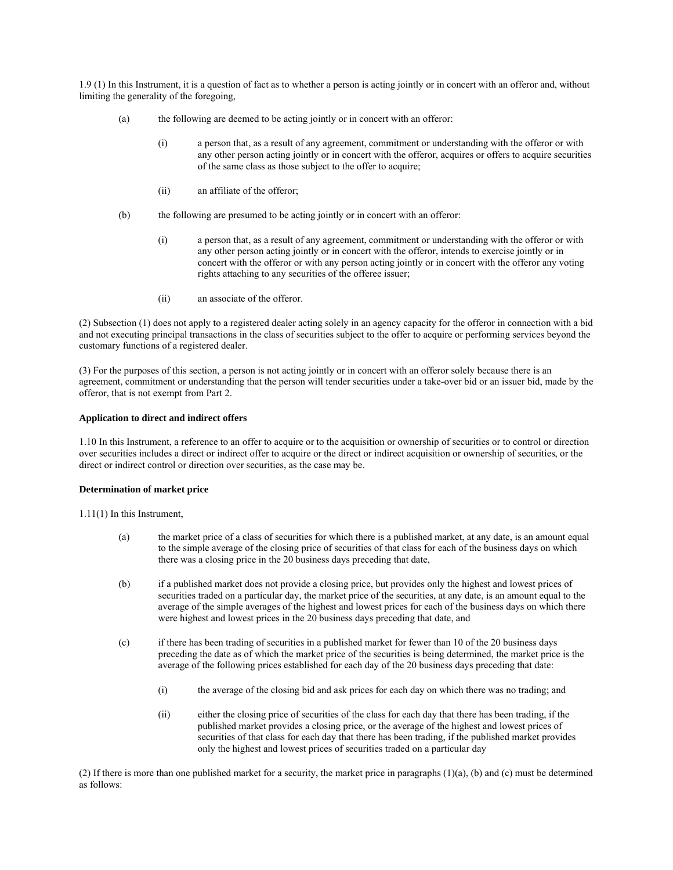1.9 (1) In this Instrument, it is a question of fact as to whether a person is acting jointly or in concert with an offeror and, without limiting the generality of the foregoing,

- (a) the following are deemed to be acting jointly or in concert with an offeror:
	- (i) a person that, as a result of any agreement, commitment or understanding with the offeror or with any other person acting jointly or in concert with the offeror, acquires or offers to acquire securities of the same class as those subject to the offer to acquire;
	- (ii) an affiliate of the offeror;
- (b) the following are presumed to be acting jointly or in concert with an offeror:
	- (i) a person that, as a result of any agreement, commitment or understanding with the offeror or with any other person acting jointly or in concert with the offeror, intends to exercise jointly or in concert with the offeror or with any person acting jointly or in concert with the offeror any voting rights attaching to any securities of the offeree issuer;
	- (ii) an associate of the offeror.

(2) Subsection (1) does not apply to a registered dealer acting solely in an agency capacity for the offeror in connection with a bid and not executing principal transactions in the class of securities subject to the offer to acquire or performing services beyond the customary functions of a registered dealer.

(3) For the purposes of this section, a person is not acting jointly or in concert with an offeror solely because there is an agreement, commitment or understanding that the person will tender securities under a take-over bid or an issuer bid, made by the offeror, that is not exempt from Part 2.

## **Application to direct and indirect offers**

1.10 In this Instrument, a reference to an offer to acquire or to the acquisition or ownership of securities or to control or direction over securities includes a direct or indirect offer to acquire or the direct or indirect acquisition or ownership of securities, or the direct or indirect control or direction over securities, as the case may be.

### **Determination of market price**

1.11(1) In this Instrument,

- (a) the market price of a class of securities for which there is a published market, at any date, is an amount equal to the simple average of the closing price of securities of that class for each of the business days on which there was a closing price in the 20 business days preceding that date,
- (b) if a published market does not provide a closing price, but provides only the highest and lowest prices of securities traded on a particular day, the market price of the securities, at any date, is an amount equal to the average of the simple averages of the highest and lowest prices for each of the business days on which there were highest and lowest prices in the 20 business days preceding that date, and
- (c) if there has been trading of securities in a published market for fewer than 10 of the 20 business days preceding the date as of which the market price of the securities is being determined, the market price is the average of the following prices established for each day of the 20 business days preceding that date:
	- (i) the average of the closing bid and ask prices for each day on which there was no trading; and
	- (ii) either the closing price of securities of the class for each day that there has been trading, if the published market provides a closing price, or the average of the highest and lowest prices of securities of that class for each day that there has been trading, if the published market provides only the highest and lowest prices of securities traded on a particular day

(2) If there is more than one published market for a security, the market price in paragraphs (1)(a), (b) and (c) must be determined as follows: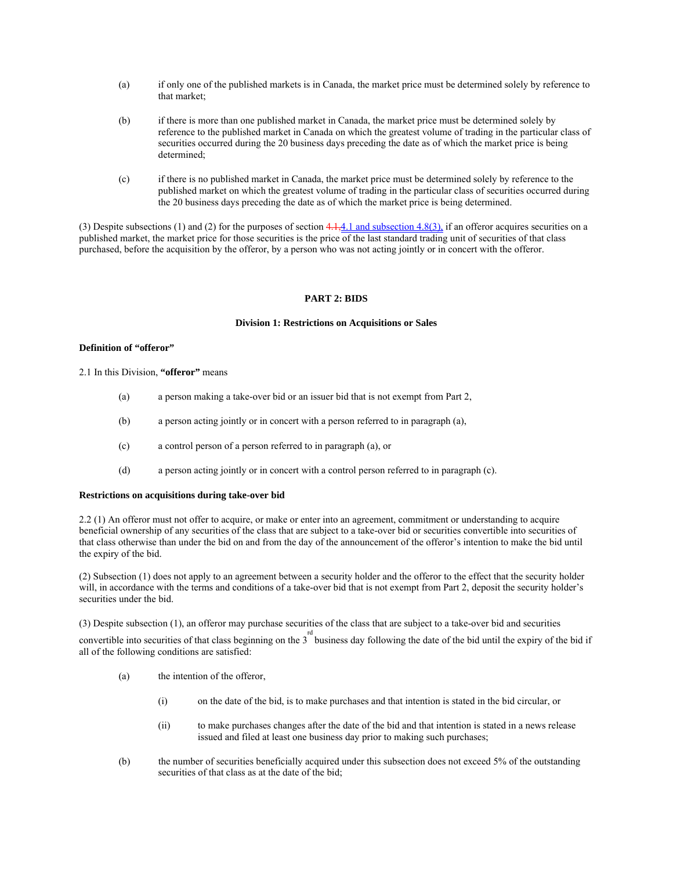- (a) if only one of the published markets is in Canada, the market price must be determined solely by reference to that market;
- (b) if there is more than one published market in Canada, the market price must be determined solely by reference to the published market in Canada on which the greatest volume of trading in the particular class of securities occurred during the 20 business days preceding the date as of which the market price is being determined;
- (c) if there is no published market in Canada, the market price must be determined solely by reference to the published market on which the greatest volume of trading in the particular class of securities occurred during the 20 business days preceding the date as of which the market price is being determined.

(3) Despite subsections (1) and (2) for the purposes of section  $4.1,4.1$  and subsection 4.8(3), if an offeror acquires securities on a published market, the market price for those securities is the price of the last standard trading unit of securities of that class purchased, before the acquisition by the offeror, by a person who was not acting jointly or in concert with the offeror.

### **PART 2: BIDS**

### **Division 1: Restrictions on Acquisitions or Sales**

#### **Definition of "offeror"**

2.1 In this Division, **"offeror"** means

- (a) a person making a take-over bid or an issuer bid that is not exempt from Part 2,
- (b) a person acting jointly or in concert with a person referred to in paragraph (a),
- (c) a control person of a person referred to in paragraph (a), or
- (d) a person acting jointly or in concert with a control person referred to in paragraph (c).

#### **Restrictions on acquisitions during take-over bid**

2.2 (1) An offeror must not offer to acquire, or make or enter into an agreement, commitment or understanding to acquire beneficial ownership of any securities of the class that are subject to a take-over bid or securities convertible into securities of that class otherwise than under the bid on and from the day of the announcement of the offeror's intention to make the bid until the expiry of the bid.

(2) Subsection (1) does not apply to an agreement between a security holder and the offeror to the effect that the security holder will, in accordance with the terms and conditions of a take-over bid that is not exempt from Part 2, deposit the security holder's securities under the bid.

(3) Despite subsection (1), an offeror may purchase securities of the class that are subject to a take-over bid and securities

convertible into securities of that class beginning on the  $3<sup>rd</sup>$  business day following the date of the bid until the expiry of the bid if all of the following conditions are satisfied:

- (a) the intention of the offeror,
	- (i) on the date of the bid, is to make purchases and that intention is stated in the bid circular, or
	- (ii) to make purchases changes after the date of the bid and that intention is stated in a news release issued and filed at least one business day prior to making such purchases;
- (b) the number of securities beneficially acquired under this subsection does not exceed 5% of the outstanding securities of that class as at the date of the bid: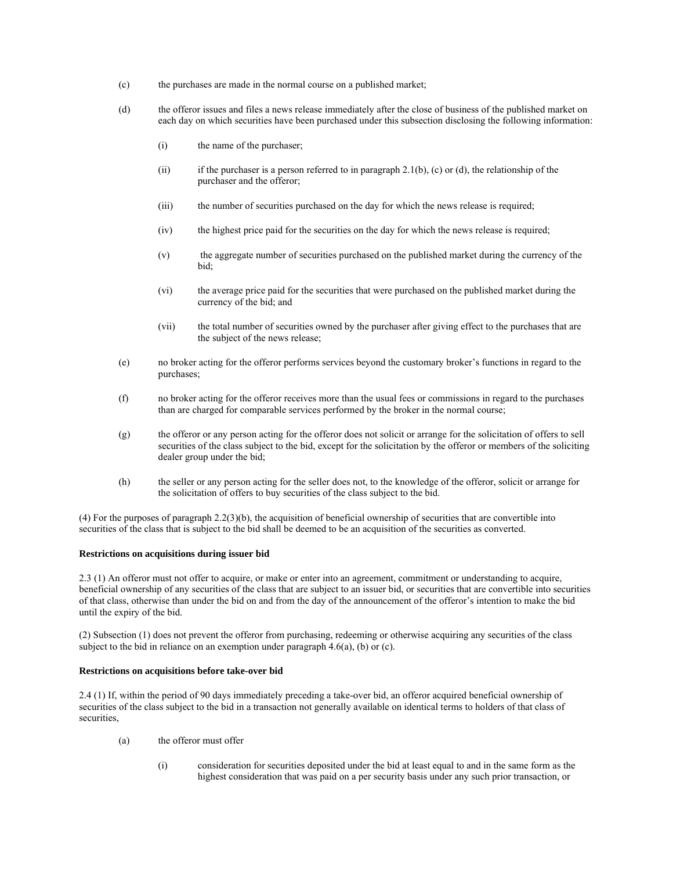- (c) the purchases are made in the normal course on a published market;
- (d) the offeror issues and files a news release immediately after the close of business of the published market on each day on which securities have been purchased under this subsection disclosing the following information:
	- (i) the name of the purchaser;
	- (ii) if the purchaser is a person referred to in paragraph 2.1(b), (c) or (d), the relationship of the purchaser and the offeror;
	- (iii) the number of securities purchased on the day for which the news release is required;
	- (iv) the highest price paid for the securities on the day for which the news release is required;
	- (v) the aggregate number of securities purchased on the published market during the currency of the bid;
	- (vi) the average price paid for the securities that were purchased on the published market during the currency of the bid; and
	- (vii) the total number of securities owned by the purchaser after giving effect to the purchases that are the subject of the news release;
- (e) no broker acting for the offeror performs services beyond the customary broker's functions in regard to the purchases;
- (f) no broker acting for the offeror receives more than the usual fees or commissions in regard to the purchases than are charged for comparable services performed by the broker in the normal course;
- (g) the offeror or any person acting for the offeror does not solicit or arrange for the solicitation of offers to sell securities of the class subject to the bid, except for the solicitation by the offeror or members of the soliciting dealer group under the bid;
- (h) the seller or any person acting for the seller does not, to the knowledge of the offeror, solicit or arrange for the solicitation of offers to buy securities of the class subject to the bid.

(4) For the purposes of paragraph 2.2(3)(b), the acquisition of beneficial ownership of securities that are convertible into securities of the class that is subject to the bid shall be deemed to be an acquisition of the securities as converted.

### **Restrictions on acquisitions during issuer bid**

2.3 (1) An offeror must not offer to acquire, or make or enter into an agreement, commitment or understanding to acquire, beneficial ownership of any securities of the class that are subject to an issuer bid, or securities that are convertible into securities of that class, otherwise than under the bid on and from the day of the announcement of the offeror's intention to make the bid until the expiry of the bid.

(2) Subsection (1) does not prevent the offeror from purchasing, redeeming or otherwise acquiring any securities of the class subject to the bid in reliance on an exemption under paragraph  $4.6(a)$ , (b) or (c).

### **Restrictions on acquisitions before take-over bid**

2.4 (1) If, within the period of 90 days immediately preceding a take-over bid, an offeror acquired beneficial ownership of securities of the class subject to the bid in a transaction not generally available on identical terms to holders of that class of securities,

- (a) the offeror must offer
	- (i) consideration for securities deposited under the bid at least equal to and in the same form as the highest consideration that was paid on a per security basis under any such prior transaction, or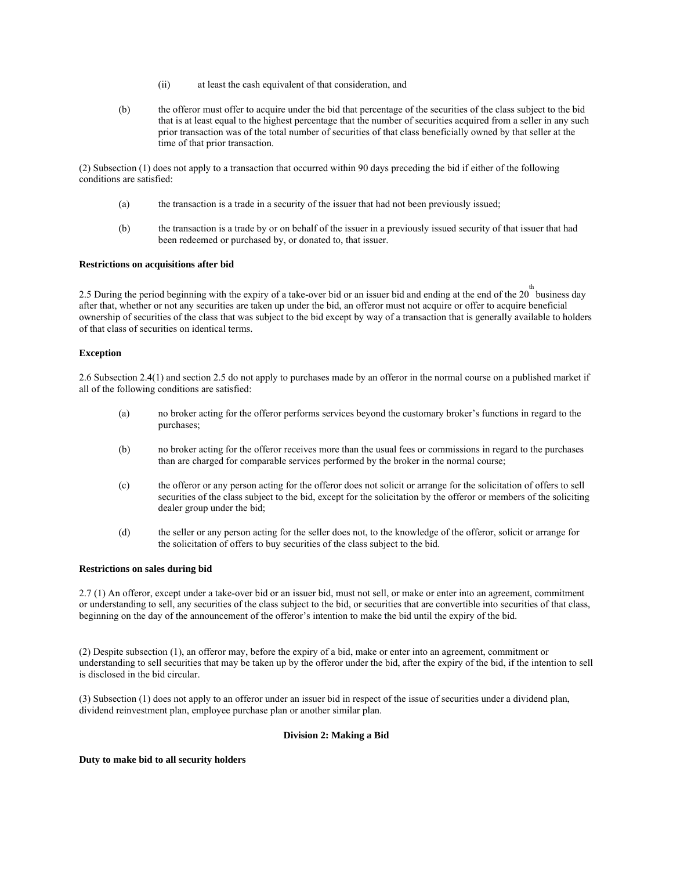- (ii) at least the cash equivalent of that consideration, and
- (b) the offeror must offer to acquire under the bid that percentage of the securities of the class subject to the bid that is at least equal to the highest percentage that the number of securities acquired from a seller in any such prior transaction was of the total number of securities of that class beneficially owned by that seller at the time of that prior transaction.

(2) Subsection (1) does not apply to a transaction that occurred within 90 days preceding the bid if either of the following conditions are satisfied:

- (a) the transaction is a trade in a security of the issuer that had not been previously issued;
- (b) the transaction is a trade by or on behalf of the issuer in a previously issued security of that issuer that had been redeemed or purchased by, or donated to, that issuer.

### **Restrictions on acquisitions after bid**

2.5 During the period beginning with the expiry of a take-over bid or an issuer bid and ending at the end of the 20<sup>th</sup> business day after that, whether or not any securities are taken up under the bid, an offeror must not acquire or offer to acquire beneficial ownership of securities of the class that was subject to the bid except by way of a transaction that is generally available to holders of that class of securities on identical terms.

#### **Exception**

2.6 Subsection 2.4(1) and section 2.5 do not apply to purchases made by an offeror in the normal course on a published market if all of the following conditions are satisfied:

- (a) no broker acting for the offeror performs services beyond the customary broker's functions in regard to the purchases;
- (b) no broker acting for the offeror receives more than the usual fees or commissions in regard to the purchases than are charged for comparable services performed by the broker in the normal course;
- (c) the offeror or any person acting for the offeror does not solicit or arrange for the solicitation of offers to sell securities of the class subject to the bid, except for the solicitation by the offeror or members of the soliciting dealer group under the bid;
- (d) the seller or any person acting for the seller does not, to the knowledge of the offeror, solicit or arrange for the solicitation of offers to buy securities of the class subject to the bid.

### **Restrictions on sales during bid**

2.7 (1) An offeror, except under a take-over bid or an issuer bid, must not sell, or make or enter into an agreement, commitment or understanding to sell, any securities of the class subject to the bid, or securities that are convertible into securities of that class, beginning on the day of the announcement of the offeror's intention to make the bid until the expiry of the bid.

(2) Despite subsection (1), an offeror may, before the expiry of a bid, make or enter into an agreement, commitment or understanding to sell securities that may be taken up by the offeror under the bid, after the expiry of the bid, if the intention to sell is disclosed in the bid circular.

(3) Subsection (1) does not apply to an offeror under an issuer bid in respect of the issue of securities under a dividend plan, dividend reinvestment plan, employee purchase plan or another similar plan.

#### **Division 2: Making a Bid**

#### **Duty to make bid to all security holders**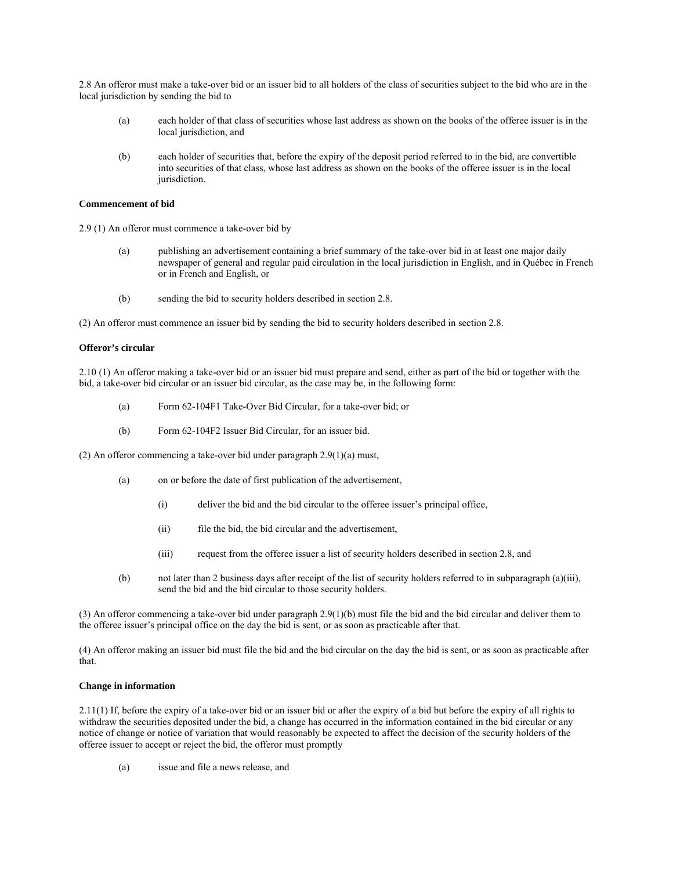2.8 An offeror must make a take-over bid or an issuer bid to all holders of the class of securities subject to the bid who are in the local jurisdiction by sending the bid to

- (a) each holder of that class of securities whose last address as shown on the books of the offeree issuer is in the local jurisdiction, and
- (b) each holder of securities that, before the expiry of the deposit period referred to in the bid, are convertible into securities of that class, whose last address as shown on the books of the offeree issuer is in the local jurisdiction.

### **Commencement of bid**

2.9 (1) An offeror must commence a take-over bid by

- (a) publishing an advertisement containing a brief summary of the take-over bid in at least one major daily newspaper of general and regular paid circulation in the local jurisdiction in English, and in Québec in French or in French and English, or
- (b) sending the bid to security holders described in section 2.8.

(2) An offeror must commence an issuer bid by sending the bid to security holders described in section 2.8.

### **Offeror's circular**

2.10 (1) An offeror making a take-over bid or an issuer bid must prepare and send, either as part of the bid or together with the bid, a take-over bid circular or an issuer bid circular, as the case may be, in the following form:

- (a) Form 62-104F1 Take-Over Bid Circular, for a take-over bid; or
- (b) Form 62-104F2 Issuer Bid Circular, for an issuer bid.

(2) An offeror commencing a take-over bid under paragraph 2.9(1)(a) must,

- (a) on or before the date of first publication of the advertisement,
	- (i) deliver the bid and the bid circular to the offeree issuer's principal office,
	- (ii) file the bid, the bid circular and the advertisement,
	- (iii) request from the offeree issuer a list of security holders described in section 2.8, and
- (b) not later than 2 business days after receipt of the list of security holders referred to in subparagraph (a)(iii), send the bid and the bid circular to those security holders.

(3) An offeror commencing a take-over bid under paragraph 2.9(1)(b) must file the bid and the bid circular and deliver them to the offeree issuer's principal office on the day the bid is sent, or as soon as practicable after that.

(4) An offeror making an issuer bid must file the bid and the bid circular on the day the bid is sent, or as soon as practicable after that.

#### **Change in information**

2.11(1) If, before the expiry of a take-over bid or an issuer bid or after the expiry of a bid but before the expiry of all rights to withdraw the securities deposited under the bid, a change has occurred in the information contained in the bid circular or any notice of change or notice of variation that would reasonably be expected to affect the decision of the security holders of the offeree issuer to accept or reject the bid, the offeror must promptly

(a) issue and file a news release, and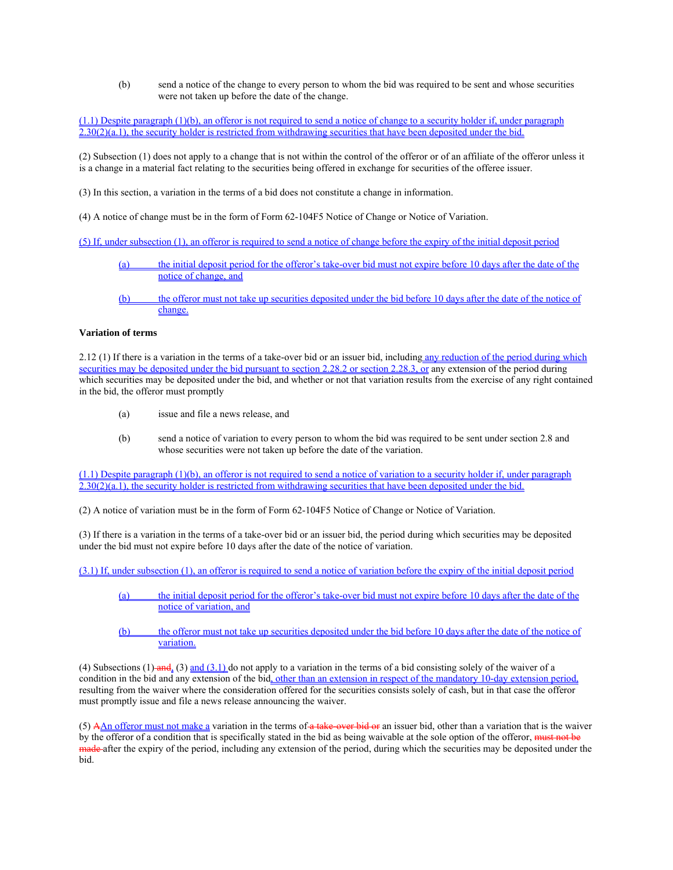(b) send a notice of the change to every person to whom the bid was required to be sent and whose securities were not taken up before the date of the change.

(1.1) Despite paragraph (1)(b), an offeror is not required to send a notice of change to a security holder if, under paragraph  $2.30(2)(a.1)$ , the security holder is restricted from withdrawing securities that have been deposited under the bid.

(2) Subsection (1) does not apply to a change that is not within the control of the offeror or of an affiliate of the offeror unless it is a change in a material fact relating to the securities being offered in exchange for securities of the offeree issuer.

- (3) In this section, a variation in the terms of a bid does not constitute a change in information.
- (4) A notice of change must be in the form of Form 62-104F5 Notice of Change or Notice of Variation.

(5) If, under subsection (1), an offeror is required to send a notice of change before the expiry of the initial deposit period

- (a) the initial deposit period for the offeror's take-over bid must not expire before 10 days after the date of the notice of change, and
- (b) the offeror must not take up securities deposited under the bid before 10 days after the date of the notice of change.

### **Variation of terms**

2.12 (1) If there is a variation in the terms of a take-over bid or an issuer bid, including any reduction of the period during which securities may be deposited under the bid pursuant to section 2.28.2 or section 2.28.3, or any extension of the period during which securities may be deposited under the bid, and whether or not that variation results from the exercise of any right contained in the bid, the offeror must promptly

- (a) issue and file a news release, and
- (b) send a notice of variation to every person to whom the bid was required to be sent under section 2.8 and whose securities were not taken up before the date of the variation.

 $(1.1)$  Despite paragraph  $(1)(b)$ , an offeror is not required to send a notice of variation to a security holder if, under paragraph  $2.30(2)(a_1)$ , the security holder is restricted from withdrawing securities that have been deposited under the bid.

(2) A notice of variation must be in the form of Form 62-104F5 Notice of Change or Notice of Variation.

(3) If there is a variation in the terms of a take-over bid or an issuer bid, the period during which securities may be deposited under the bid must not expire before 10 days after the date of the notice of variation.

(3.1) If, under subsection (1), an offeror is required to send a notice of variation before the expiry of the initial deposit period

- (a) the initial deposit period for the offeror's take-over bid must not expire before 10 days after the date of the notice of variation, and
- (b) the offeror must not take up securities deposited under the bid before 10 days after the date of the notice of variation.

(4) Subsections (1) and, (3) and (3, 1) do not apply to a variation in the terms of a bid consisting solely of the waiver of a condition in the bid and any extension of the bid, other than an extension in respect of the mandatory 10-day extension period, resulting from the waiver where the consideration offered for the securities consists solely of cash, but in that case the offeror must promptly issue and file a news release announcing the waiver.

(5) AAn offeror must not make a variation in the terms of a take-over bid-or an issuer bid, other than a variation that is the waiver by the offeror of a condition that is specifically stated in the bid as being waivable at the sole option of the offeror, must not be made after the expiry of the period, including any extension of the period, during which the securities may be deposited under the bid.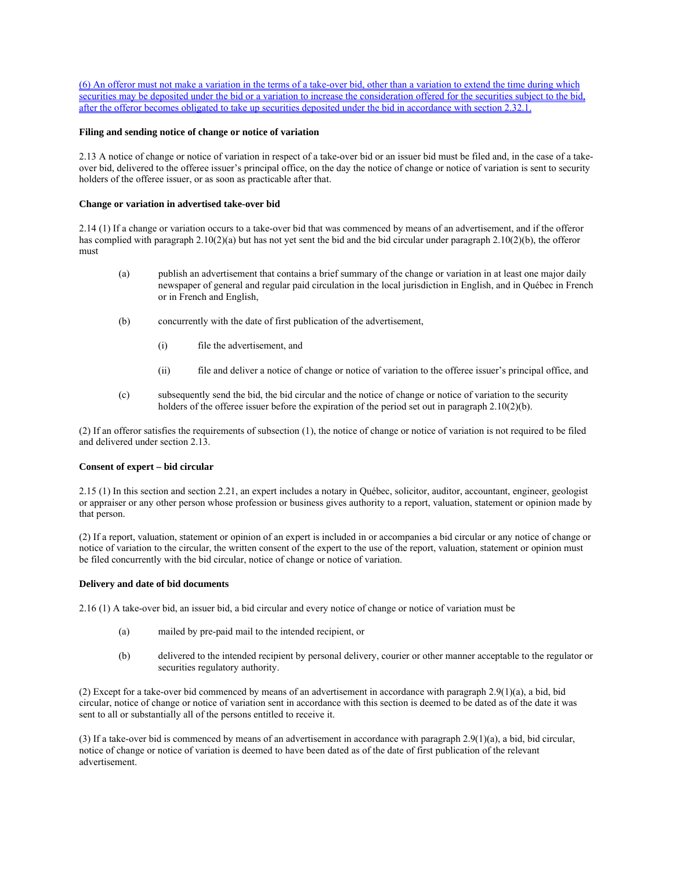(6) An offeror must not make a variation in the terms of a take-over bid, other than a variation to extend the time during which securities may be deposited under the bid or a variation to increase the consideration offered for the securities subject to the bid, after the offeror becomes obligated to take up securities deposited under the bid in accordance with section 2.32.1.

## **Filing and sending notice of change or notice of variation**

2.13 A notice of change or notice of variation in respect of a take-over bid or an issuer bid must be filed and, in the case of a takeover bid, delivered to the offeree issuer's principal office, on the day the notice of change or notice of variation is sent to security holders of the offeree issuer, or as soon as practicable after that.

## **Change or variation in advertised take-over bid**

2.14 (1) If a change or variation occurs to a take-over bid that was commenced by means of an advertisement, and if the offeror has complied with paragraph 2.10(2)(a) but has not yet sent the bid and the bid circular under paragraph 2.10(2)(b), the offeror must

- (a) publish an advertisement that contains a brief summary of the change or variation in at least one major daily newspaper of general and regular paid circulation in the local jurisdiction in English, and in Québec in French or in French and English,
- (b) concurrently with the date of first publication of the advertisement,
	- (i) file the advertisement, and
	- (ii) file and deliver a notice of change or notice of variation to the offeree issuer's principal office, and
- (c) subsequently send the bid, the bid circular and the notice of change or notice of variation to the security holders of the offeree issuer before the expiration of the period set out in paragraph 2.10(2)(b).

(2) If an offeror satisfies the requirements of subsection (1), the notice of change or notice of variation is not required to be filed and delivered under section 2.13.

# **Consent of expert – bid circular**

2.15 (1) In this section and section 2.21, an expert includes a notary in Québec, solicitor, auditor, accountant, engineer, geologist or appraiser or any other person whose profession or business gives authority to a report, valuation, statement or opinion made by that person.

(2) If a report, valuation, statement or opinion of an expert is included in or accompanies a bid circular or any notice of change or notice of variation to the circular, the written consent of the expert to the use of the report, valuation, statement or opinion must be filed concurrently with the bid circular, notice of change or notice of variation.

### **Delivery and date of bid documents**

2.16 (1) A take-over bid, an issuer bid, a bid circular and every notice of change or notice of variation must be

- (a) mailed by pre-paid mail to the intended recipient, or
- (b) delivered to the intended recipient by personal delivery, courier or other manner acceptable to the regulator or securities regulatory authority.

(2) Except for a take-over bid commenced by means of an advertisement in accordance with paragraph 2.9(1)(a), a bid, bid circular, notice of change or notice of variation sent in accordance with this section is deemed to be dated as of the date it was sent to all or substantially all of the persons entitled to receive it.

(3) If a take-over bid is commenced by means of an advertisement in accordance with paragraph 2.9(1)(a), a bid, bid circular, notice of change or notice of variation is deemed to have been dated as of the date of first publication of the relevant advertisement.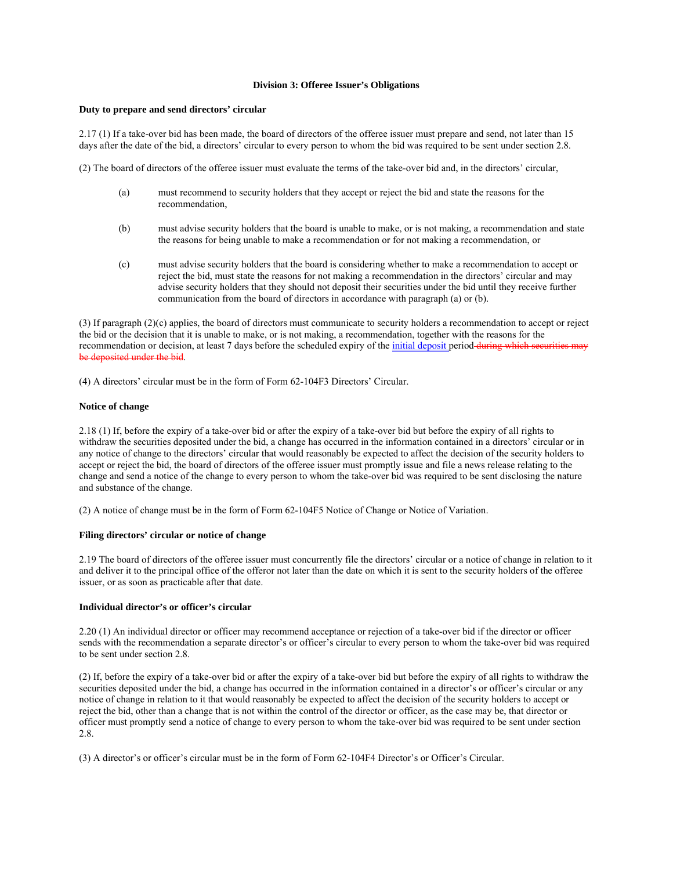### **Division 3: Offeree Issuer's Obligations**

#### **Duty to prepare and send directors' circular**

2.17 (1) If a take-over bid has been made, the board of directors of the offeree issuer must prepare and send, not later than 15 days after the date of the bid, a directors' circular to every person to whom the bid was required to be sent under section 2.8.

(2) The board of directors of the offeree issuer must evaluate the terms of the take-over bid and, in the directors' circular,

- (a) must recommend to security holders that they accept or reject the bid and state the reasons for the recommendation,
- (b) must advise security holders that the board is unable to make, or is not making, a recommendation and state the reasons for being unable to make a recommendation or for not making a recommendation, or
- (c) must advise security holders that the board is considering whether to make a recommendation to accept or reject the bid, must state the reasons for not making a recommendation in the directors' circular and may advise security holders that they should not deposit their securities under the bid until they receive further communication from the board of directors in accordance with paragraph (a) or (b).

(3) If paragraph (2)(c) applies, the board of directors must communicate to security holders a recommendation to accept or reject the bid or the decision that it is unable to make, or is not making, a recommendation, together with the reasons for the recommendation or decision, at least 7 days before the scheduled expiry of the initial deposit period during which be deposited under the bid.

(4) A directors' circular must be in the form of Form 62-104F3 Directors' Circular.

#### **Notice of change**

2.18 (1) If, before the expiry of a take-over bid or after the expiry of a take-over bid but before the expiry of all rights to withdraw the securities deposited under the bid, a change has occurred in the information contained in a directors' circular or in any notice of change to the directors' circular that would reasonably be expected to affect the decision of the security holders to accept or reject the bid, the board of directors of the offeree issuer must promptly issue and file a news release relating to the change and send a notice of the change to every person to whom the take-over bid was required to be sent disclosing the nature and substance of the change.

(2) A notice of change must be in the form of Form 62-104F5 Notice of Change or Notice of Variation.

### **Filing directors' circular or notice of change**

2.19 The board of directors of the offeree issuer must concurrently file the directors' circular or a notice of change in relation to it and deliver it to the principal office of the offeror not later than the date on which it is sent to the security holders of the offeree issuer, or as soon as practicable after that date.

# **Individual director's or officer's circular**

2.20 (1) An individual director or officer may recommend acceptance or rejection of a take-over bid if the director or officer sends with the recommendation a separate director's or officer's circular to every person to whom the take-over bid was required to be sent under section 2.8.

(2) If, before the expiry of a take-over bid or after the expiry of a take-over bid but before the expiry of all rights to withdraw the securities deposited under the bid, a change has occurred in the information contained in a director's or officer's circular or any notice of change in relation to it that would reasonably be expected to affect the decision of the security holders to accept or reject the bid, other than a change that is not within the control of the director or officer, as the case may be, that director or officer must promptly send a notice of change to every person to whom the take-over bid was required to be sent under section 2.8.

(3) A director's or officer's circular must be in the form of Form 62-104F4 Director's or Officer's Circular.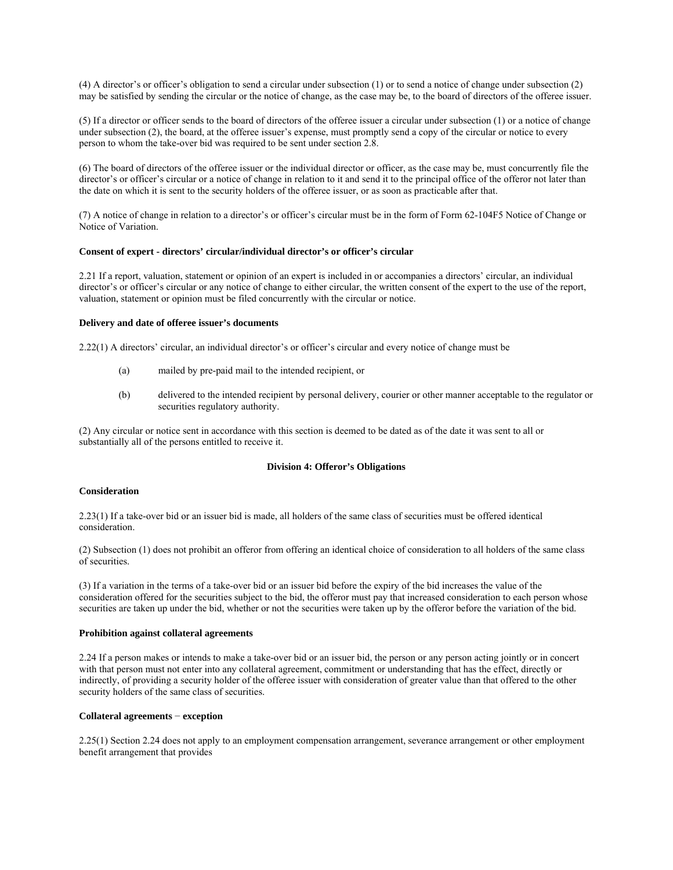(4) A director's or officer's obligation to send a circular under subsection (1) or to send a notice of change under subsection (2) may be satisfied by sending the circular or the notice of change, as the case may be, to the board of directors of the offeree issuer.

(5) If a director or officer sends to the board of directors of the offeree issuer a circular under subsection (1) or a notice of change under subsection (2), the board, at the offeree issuer's expense, must promptly send a copy of the circular or notice to every person to whom the take-over bid was required to be sent under section 2.8.

(6) The board of directors of the offeree issuer or the individual director or officer, as the case may be, must concurrently file the director's or officer's circular or a notice of change in relation to it and send it to the principal office of the offeror not later than the date on which it is sent to the security holders of the offeree issuer, or as soon as practicable after that.

(7) A notice of change in relation to a director's or officer's circular must be in the form of Form 62-104F5 Notice of Change or Notice of Variation.

### **Consent of expert - directors' circular/individual director's or officer's circular**

2.21 If a report, valuation, statement or opinion of an expert is included in or accompanies a directors' circular, an individual director's or officer's circular or any notice of change to either circular, the written consent of the expert to the use of the report, valuation, statement or opinion must be filed concurrently with the circular or notice.

### **Delivery and date of offeree issuer's documents**

2.22(1) A directors' circular, an individual director's or officer's circular and every notice of change must be

- (a) mailed by pre-paid mail to the intended recipient, or
- (b) delivered to the intended recipient by personal delivery, courier or other manner acceptable to the regulator or securities regulatory authority.

(2) Any circular or notice sent in accordance with this section is deemed to be dated as of the date it was sent to all or substantially all of the persons entitled to receive it.

### **Division 4: Offeror's Obligations**

#### **Consideration**

2.23(1) If a take-over bid or an issuer bid is made, all holders of the same class of securities must be offered identical consideration.

(2) Subsection (1) does not prohibit an offeror from offering an identical choice of consideration to all holders of the same class of securities.

(3) If a variation in the terms of a take-over bid or an issuer bid before the expiry of the bid increases the value of the consideration offered for the securities subject to the bid, the offeror must pay that increased consideration to each person whose securities are taken up under the bid, whether or not the securities were taken up by the offeror before the variation of the bid.

### **Prohibition against collateral agreements**

2.24 If a person makes or intends to make a take-over bid or an issuer bid, the person or any person acting jointly or in concert with that person must not enter into any collateral agreement, commitment or understanding that has the effect, directly or indirectly, of providing a security holder of the offeree issuer with consideration of greater value than that offered to the other security holders of the same class of securities.

#### **Collateral agreements** − **exception**

2.25(1) Section 2.24 does not apply to an employment compensation arrangement, severance arrangement or other employment benefit arrangement that provides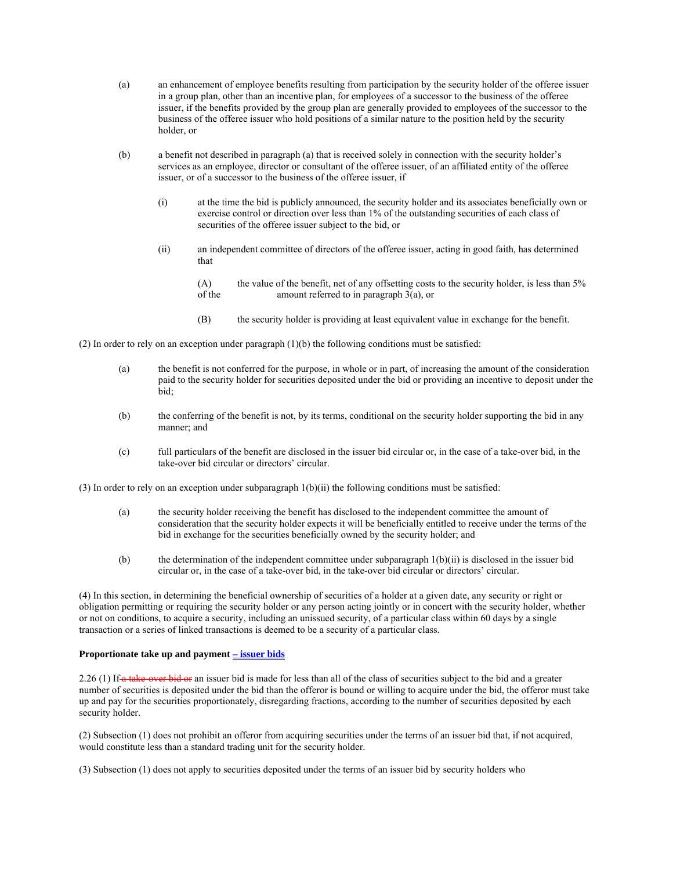- (a) an enhancement of employee benefits resulting from participation by the security holder of the offeree issuer in a group plan, other than an incentive plan, for employees of a successor to the business of the offeree issuer, if the benefits provided by the group plan are generally provided to employees of the successor to the business of the offeree issuer who hold positions of a similar nature to the position held by the security holder, or
- (b) a benefit not described in paragraph (a) that is received solely in connection with the security holder's services as an employee, director or consultant of the offeree issuer, of an affiliated entity of the offeree issuer, or of a successor to the business of the offeree issuer, if
	- (i) at the time the bid is publicly announced, the security holder and its associates beneficially own or exercise control or direction over less than 1% of the outstanding securities of each class of securities of the offeree issuer subject to the bid, or
	- (ii) an independent committee of directors of the offeree issuer, acting in good faith, has determined that
		- (A) the value of the benefit, net of any offsetting costs to the security holder, is less than 5% of the amount referred to in paragraph 3(a), or
		- (B) the security holder is providing at least equivalent value in exchange for the benefit.

(2) In order to rely on an exception under paragraph  $(1)(b)$  the following conditions must be satisfied:

- (a) the benefit is not conferred for the purpose, in whole or in part, of increasing the amount of the consideration paid to the security holder for securities deposited under the bid or providing an incentive to deposit under the bid;
- (b) the conferring of the benefit is not, by its terms, conditional on the security holder supporting the bid in any manner; and
- (c) full particulars of the benefit are disclosed in the issuer bid circular or, in the case of a take-over bid, in the take-over bid circular or directors' circular.

(3) In order to rely on an exception under subparagraph 1(b)(ii) the following conditions must be satisfied:

- (a) the security holder receiving the benefit has disclosed to the independent committee the amount of consideration that the security holder expects it will be beneficially entitled to receive under the terms of the bid in exchange for the securities beneficially owned by the security holder; and
- (b) the determination of the independent committee under subparagraph 1(b)(ii) is disclosed in the issuer bid circular or, in the case of a take-over bid, in the take-over bid circular or directors' circular.

(4) In this section, in determining the beneficial ownership of securities of a holder at a given date, any security or right or obligation permitting or requiring the security holder or any person acting jointly or in concert with the security holder, whether or not on conditions, to acquire a security, including an unissued security, of a particular class within 60 days by a single transaction or a series of linked transactions is deemed to be a security of a particular class.

### **Proportionate take up and payment – issuer bids**

2.26 (1) If a take-over bid or an issuer bid is made for less than all of the class of securities subject to the bid and a greater number of securities is deposited under the bid than the offeror is bound or willing to acquire under the bid, the offeror must take up and pay for the securities proportionately, disregarding fractions, according to the number of securities deposited by each security holder.

(2) Subsection (1) does not prohibit an offeror from acquiring securities under the terms of an issuer bid that, if not acquired, would constitute less than a standard trading unit for the security holder.

(3) Subsection (1) does not apply to securities deposited under the terms of an issuer bid by security holders who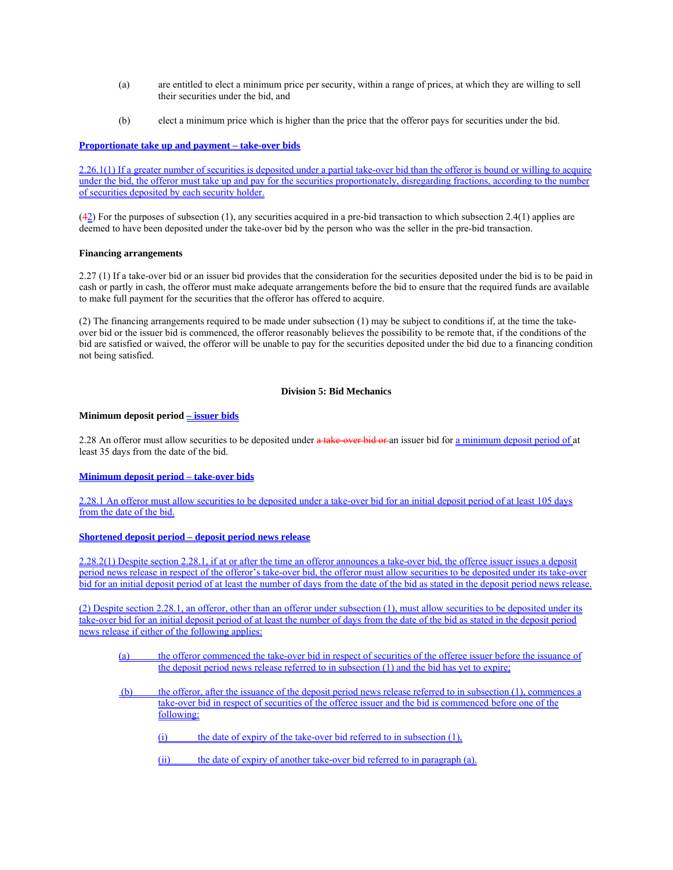- (a) are entitled to elect a minimum price per security, within a range of prices, at which they are willing to sell their securities under the bid, and
- (b) elect a minimum price which is higher than the price that the offeror pays for securities under the bid.

# **Proportionate take up and payment – take-over bids**

2.26.1(1) If a greater number of securities is deposited under a partial take-over bid than the offeror is bound or willing to acquire under the bid, the offeror must take up and pay for the securities proportionately, disregarding fractions, according to the number of securities deposited by each security holder.

(42) For the purposes of subsection (1), any securities acquired in a pre-bid transaction to which subsection 2.4(1) applies are deemed to have been deposited under the take-over bid by the person who was the seller in the pre-bid transaction.

# **Financing arrangements**

2.27 (1) If a take-over bid or an issuer bid provides that the consideration for the securities deposited under the bid is to be paid in cash or partly in cash, the offeror must make adequate arrangements before the bid to ensure that the required funds are available to make full payment for the securities that the offeror has offered to acquire.

(2) The financing arrangements required to be made under subsection (1) may be subject to conditions if, at the time the takeover bid or the issuer bid is commenced, the offeror reasonably believes the possibility to be remote that, if the conditions of the bid are satisfied or waived, the offeror will be unable to pay for the securities deposited under the bid due to a financing condition not being satisfied.

## **Division 5: Bid Mechanics**

## **Minimum deposit period – issuer bids**

2.28 An offeror must allow securities to be deposited under a take-over bid or an issuer bid for a minimum deposit period of at least 35 days from the date of the bid.

# **Minimum deposit period – take-over bids**

2.28.1 An offeror must allow securities to be deposited under a take-over bid for an initial deposit period of at least 105 days from the date of the bid.

## **Shortened deposit period – deposit period news release**

2.28.2(1) Despite section 2.28.1, if at or after the time an offeror announces a take-over bid, the offeree issuer issues a deposit period news release in respect of the offeror's take-over bid, the offeror must allow securities to be deposited under its take-over bid for an initial deposit period of at least the number of days from the date of the bid as stated in the deposit period news release.

(2) Despite section 2.28.1, an offeror, other than an offeror under subsection (1), must allow securities to be deposited under its take-over bid for an initial deposit period of at least the number of days from the date of the bid as stated in the deposit period news release if either of the following applies:

- (a) the offeror commenced the take-over bid in respect of securities of the offeree issuer before the issuance of the deposit period news release referred to in subsection (1) and the bid has yet to expire;
- (b) the offeror, after the issuance of the deposit period news release referred to in subsection (1), commences a take-over bid in respect of securities of the offeree issuer and the bid is commenced before one of the following:
	- the date of expiry of the take-over bid referred to in subsection  $(1)$ ,

(ii) the date of expiry of another take-over bid referred to in paragraph (a).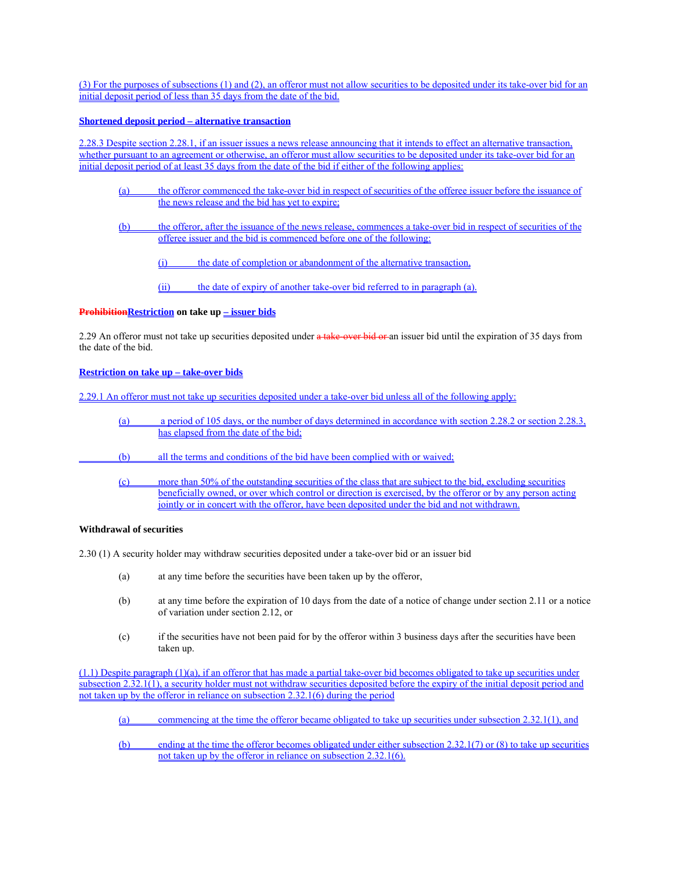(3) For the purposes of subsections (1) and (2), an offeror must not allow securities to be deposited under its take-over bid for an initial deposit period of less than 35 days from the date of the bid.

# **Shortened deposit period – alternative transaction**

2.28.3 Despite section 2.28.1, if an issuer issues a news release announcing that it intends to effect an alternative transaction, whether pursuant to an agreement or otherwise, an offeror must allow securities to be deposited under its take-over bid for an initial deposit period of at least 35 days from the date of the bid if either of the following applies:

- (a) the offeror commenced the take-over bid in respect of securities of the offeree issuer before the issuance of the news release and the bid has yet to expire;
- (b) the offeror, after the issuance of the news release, commences a take-over bid in respect of securities of the offeree issuer and the bid is commenced before one of the following:
	- (i) the date of completion or abandonment of the alternative transaction,
	- (ii) the date of expiry of another take-over bid referred to in paragraph (a).

# **ProhibitionRestriction on take up – issuer bids**

2.29 An offeror must not take up securities deposited under a take-over bid or an issuer bid until the expiration of 35 days from the date of the bid.

## **Restriction on take up – take-over bids**

2.29.1 An offeror must not take up securities deposited under a take-over bid unless all of the following apply:

- (a) a period of 105 days, or the number of days determined in accordance with section 2.28.2 or section 2.28.3, has elapsed from the date of the bid;
- (b) all the terms and conditions of the bid have been complied with or waived;
	- (c) more than 50% of the outstanding securities of the class that are subject to the bid, excluding securities **beneficially owned, or over which control or direction is exercised, by the offeror or by any person acting** jointly or in concert with the offeror, have been deposited under the bid and not withdrawn.

### **Withdrawal of securities**

2.30 (1) A security holder may withdraw securities deposited under a take-over bid or an issuer bid

- (a) at any time before the securities have been taken up by the offeror,
- (b) at any time before the expiration of 10 days from the date of a notice of change under section 2.11 or a notice of variation under section 2.12, or
- (c) if the securities have not been paid for by the offeror within 3 business days after the securities have been taken up.

(1.1) Despite paragraph (1)(a), if an offeror that has made a partial take-over bid becomes obligated to take up securities under subsection 2.32.1(1), a security holder must not withdraw securities deposited before the expiry of the initial deposit period and not taken up by the offeror in reliance on subsection 2.32.1(6) during the period

- commencing at the time the offeror became obligated to take up securities under subsection 2.32.1(1), and
- (b) ending at the time the offeror becomes obligated under either subsection 2.32.1(7) or (8) to take up securities not taken up by the offeror in reliance on subsection 2.32.1(6).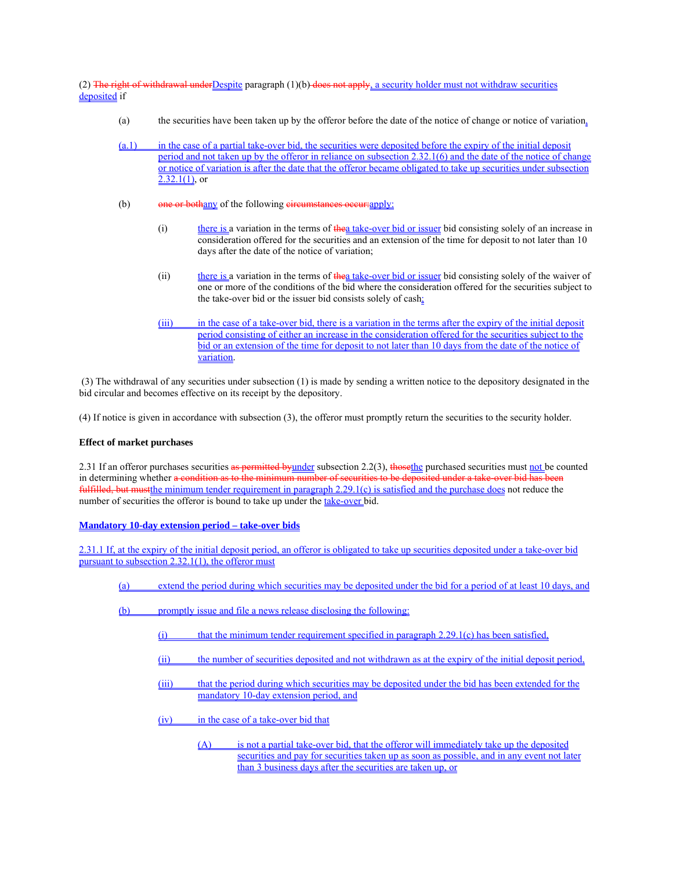(2) The right of withdrawal under Despite paragraph  $(1)(b)$  does not apply, a security holder must not withdraw securities deposited if

- (a) the securities have been taken up by the offeror before the date of the notice of change or notice of variation,
- (a.1) in the case of a partial take-over bid, the securities were deposited before the expiry of the initial deposit period and not taken up by the offeror in reliance on subsection 2.32.1(6) and the date of the notice of change or notice of variation is after the date that the offeror became obligated to take up securities under subsection  $2.32.1(1)$ , or
- (b) one or bothany of the following eircumstances occur: apply:
	- (i) there is a variation in the terms of  $\frac{d}{d}$  the  $d$  and  $d$  is  $\frac{d}{d}$  consisting solely of an increase in consideration offered for the securities and an extension of the time for deposit to not later than 10 days after the date of the notice of variation;
	- (ii) there is a variation in the terms of the a take-over bid or issuer bid consisting solely of the waiver of one or more of the conditions of the bid where the consideration offered for the securities subject to the take-over bid or the issuer bid consists solely of cash;
	- (iii) in the case of a take-over bid, there is a variation in the terms after the expiry of the initial deposit period consisting of either an increase in the consideration offered for the securities subject to the bid or an extension of the time for deposit to not later than 10 days from the date of the notice of variation.

 (3) The withdrawal of any securities under subsection (1) is made by sending a written notice to the depository designated in the bid circular and becomes effective on its receipt by the depository.

(4) If notice is given in accordance with subsection (3), the offeror must promptly return the securities to the security holder.

# **Effect of market purchases**

2.31 If an offeror purchases securities as permitted by under subsection 2.2(3), those the purchased securities must not be counted in determining whether a condition as to the minimum number of securities to be deposited under a take-over bid has been fulfilled, but mustthe minimum tender requirement in paragraph 2.29.1(c) is satisfied and the purchase does not reduce the number of securities the offeror is bound to take up under the take-over bid.

# **Mandatory 10-day extension period – take-over bids**

2.31.1 If, at the expiry of the initial deposit period, an offeror is obligated to take up securities deposited under a take-over bid pursuant to subsection 2.32.1(1), the offeror must

- (a) extend the period during which securities may be deposited under the bid for a period of at least 10 days, and
- (b) promptly issue and file a news release disclosing the following:
	- $(i)$  that the minimum tender requirement specified in paragraph 2.29.1(c) has been satisfied,
	- (ii) the number of securities deposited and not withdrawn as at the expiry of the initial deposit period,
	- (iii) that the period during which securities may be deposited under the bid has been extended for the mandatory 10-day extension period, and
	- (iv) in the case of a take-over bid that
		- (A) is not a partial take-over bid, that the offeror will immediately take up the deposited securities and pay for securities taken up as soon as possible, and in any event not later than 3 business days after the securities are taken up, or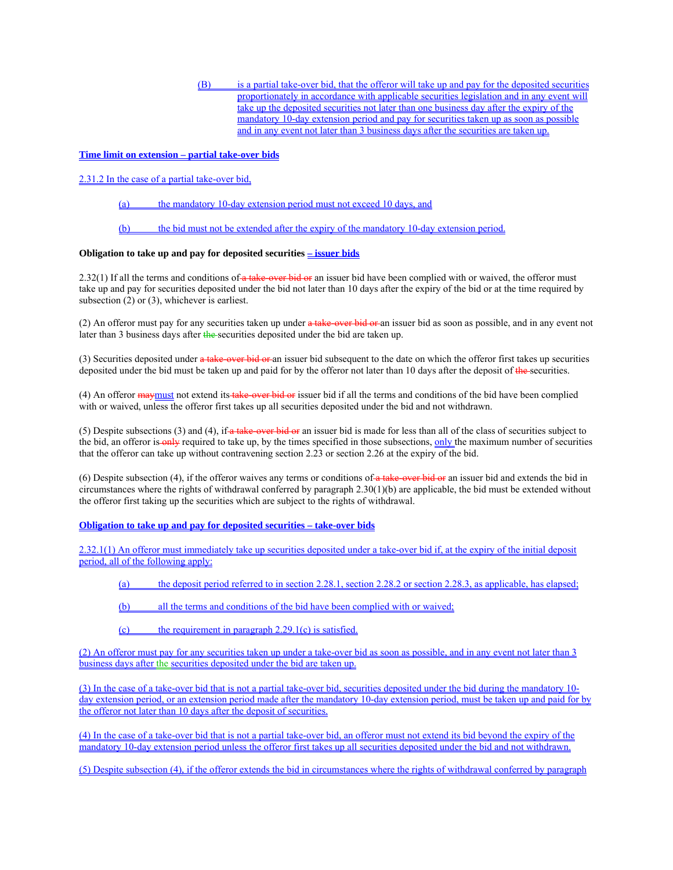(B) is a partial take-over bid, that the offeror will take up and pay for the deposited securities proportionately in accordance with applicable securities legislation and in any event will take up the deposited securities not later than one business day after the expiry of the mandatory 10-day extension period and pay for securities taken up as soon as possible and in any event not later than 3 business days after the securities are taken up.

# **Time limit on extension – partial take-over bids**

# 2.31.2 In the case of a partial take-over bid,

- (a) the mandatory 10-day extension period must not exceed 10 days, and
- (b) the bid must not be extended after the expiry of the mandatory 10-day extension period.

## **Obligation to take up and pay for deposited securities – issuer bids**

2.32(1) If all the terms and conditions of a take-over bid or an issuer bid have been complied with or waived, the offeror must take up and pay for securities deposited under the bid not later than 10 days after the expiry of the bid or at the time required by subsection (2) or (3), whichever is earliest.

(2) An offeror must pay for any securities taken up under a take-over bid or an issuer bid as soon as possible, and in any event not later than 3 business days after the securities deposited under the bid are taken up.

(3) Securities deposited under a take-over bid or an issuer bid subsequent to the date on which the offeror first takes up securities deposited under the bid must be taken up and paid for by the offeror not later than 10 days after the deposit of the securities.

(4) An offeror may must not extend its take-over bid or issuer bid if all the terms and conditions of the bid have been complied with or waived, unless the offeror first takes up all securities deposited under the bid and not withdrawn.

(5) Despite subsections (3) and (4), if a take-over bid or an issuer bid is made for less than all of the class of securities subject to the bid, an offeror is only required to take up, by the times specified in those subsections, only the maximum number of securities that the offeror can take up without contravening section 2.23 or section 2.26 at the expiry of the bid.

(6) Despite subsection (4), if the offeror waives any terms or conditions of a take-over bid or an issuer bid and extends the bid in circumstances where the rights of withdrawal conferred by paragraph 2.30(1)(b) are applicable, the bid must be extended without the offeror first taking up the securities which are subject to the rights of withdrawal.

# **Obligation to take up and pay for deposited securities – take-over bids**

2.32.1(1) An offeror must immediately take up securities deposited under a take-over bid if, at the expiry of the initial deposit period, all of the following apply:

(a) the deposit period referred to in section 2.28.1, section 2.28.2 or section 2.28.3, as applicable, has elapsed;

(b) all the terms and conditions of the bid have been complied with or waived;

(c) the requirement in paragraph  $2.29.1(c)$  is satisfied.

(2) An offeror must pay for any securities taken up under a take-over bid as soon as possible, and in any event not later than 3 business days after the securities deposited under the bid are taken up.

(3) In the case of a take-over bid that is not a partial take-over bid, securities deposited under the bid during the mandatory 10 day extension period, or an extension period made after the mandatory 10-day extension period, must be taken up and paid for by the offeror not later than 10 days after the deposit of securities.

(4) In the case of a take-over bid that is not a partial take-over bid, an offeror must not extend its bid beyond the expiry of the mandatory 10-day extension period unless the offeror first takes up all securities deposited under the bid and not withdrawn.

(5) Despite subsection (4), if the offeror extends the bid in circumstances where the rights of withdrawal conferred by paragraph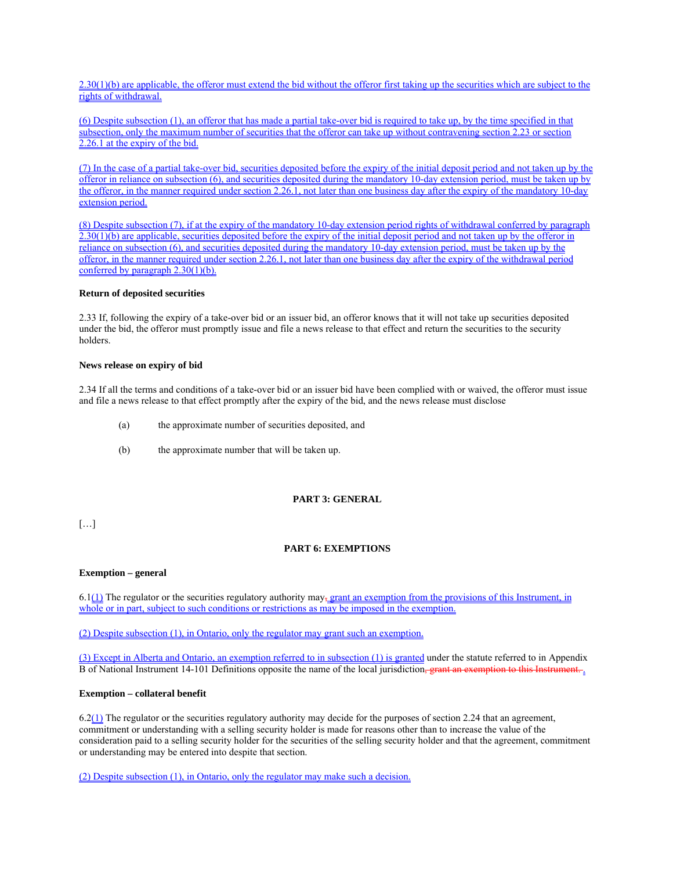2.30(1)(b) are applicable, the offeror must extend the bid without the offeror first taking up the securities which are subject to the rights of withdrawal.

(6) Despite subsection (1), an offeror that has made a partial take-over bid is required to take up, by the time specified in that subsection, only the maximum number of securities that the offeror can take up without contravening section 2.23 or section 2.26.1 at the expiry of the bid.

(7) In the case of a partial take-over bid, securities deposited before the expiry of the initial deposit period and not taken up by the offeror in reliance on subsection (6), and securities deposited during the mandatory 10-day extension period, must be taken up by the offeror, in the manner required under section 2.26.1, not later than one business day after the expiry of the mandatory 10-day extension period.

(8) Despite subsection (7), if at the expiry of the mandatory 10-day extension period rights of withdrawal conferred by paragraph  $2.30(1)(b)$  are applicable, securities deposited before the expiry of the initial deposit period and not taken up by the offeror in reliance on subsection (6), and securities deposited during the mandatory 10-day extension period, must be taken up by the offeror, in the manner required under section 2.26.1, not later than one business day after the expiry of the withdrawal period conferred by paragraph 2.30(1)(b).

### **Return of deposited securities**

2.33 If, following the expiry of a take-over bid or an issuer bid, an offeror knows that it will not take up securities deposited under the bid, the offeror must promptly issue and file a news release to that effect and return the securities to the security holders.

#### **News release on expiry of bid**

2.34 If all the terms and conditions of a take-over bid or an issuer bid have been complied with or waived, the offeror must issue and file a news release to that effect promptly after the expiry of the bid, and the news release must disclose

- (a) the approximate number of securities deposited, and
- (b) the approximate number that will be taken up.

### **PART 3: GENERAL**

[…]

### **PART 6: EXEMPTIONS**

### **Exemption – general**

6.1(1) The regulator or the securities regulatory authority may, grant an exemption from the provisions of this Instrument, in whole or in part, subject to such conditions or restrictions as may be imposed in the exemption.

(2) Despite subsection (1), in Ontario, only the regulator may grant such an exemption.

(3) Except in Alberta and Ontario, an exemption referred to in subsection (1) is granted under the statute referred to in Appendix B of National Instrument 14-101 Definitions opposite the name of the local jurisdiction, grant an exemption to this Instrument. .

#### **Exemption – collateral benefit**

 $6.2(1)$  The regulator or the securities regulatory authority may decide for the purposes of section 2.24 that an agreement, commitment or understanding with a selling security holder is made for reasons other than to increase the value of the consideration paid to a selling security holder for the securities of the selling security holder and that the agreement, commitment or understanding may be entered into despite that section.

(2) Despite subsection (1), in Ontario, only the regulator may make such a decision.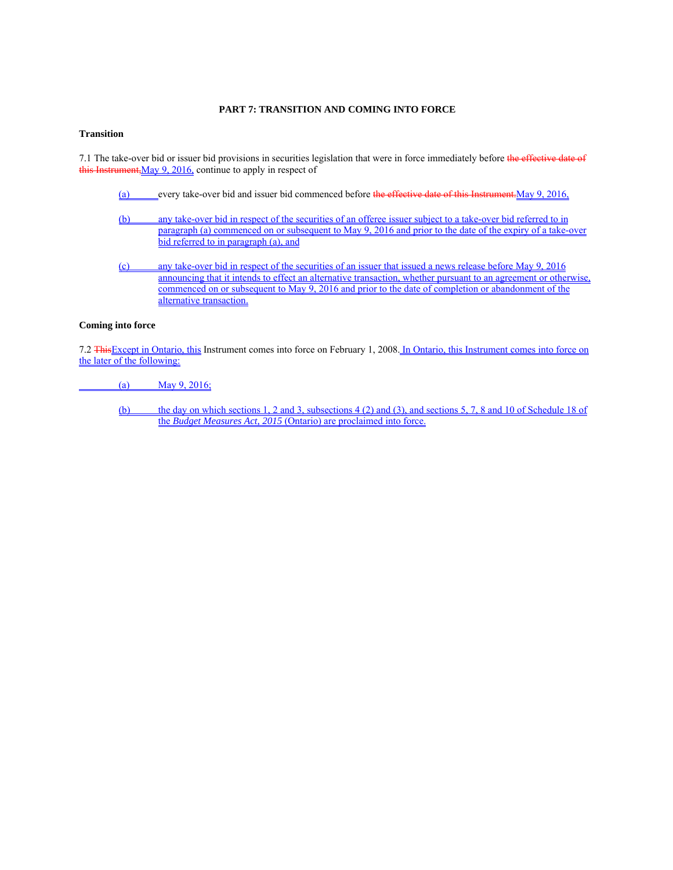# **PART 7: TRANSITION AND COMING INTO FORCE**

# **Transition**

7.1 The take-over bid or issuer bid provisions in securities legislation that were in force immediately before the effective date of this Instrument, May 9, 2016, continue to apply in respect of

- (a) every take-over bid and issuer bid commenced before the effective date of this Instrument. May 9, 2016,
- (b) any take-over bid in respect of the securities of an offeree issuer subject to a take-over bid referred to in paragraph (a) commenced on or subsequent to May 9, 2016 and prior to the date of the expiry of a take-over bid referred to in paragraph (a), and
- (c) any take-over bid in respect of the securities of an issuer that issued a news release before May 9, 2016 announcing that it intends to effect an alternative transaction, whether pursuant to an agreement or otherwise, commenced on or subsequent to May 9, 2016 and prior to the date of completion or abandonment of the alternative transaction.

# **Coming into force**

7.2 This Except in Ontario, this Instrument comes into force on February 1, 2008. In Ontario, this Instrument comes into force on the later of the following:

(a) May 9, 2016;

(b) the day on which sections 1, 2 and 3, subsections 4 (2) and (3), and sections 5, 7, 8 and 10 of Schedule 18 of the *Budget Measures Act, 2015* (Ontario) are proclaimed into force.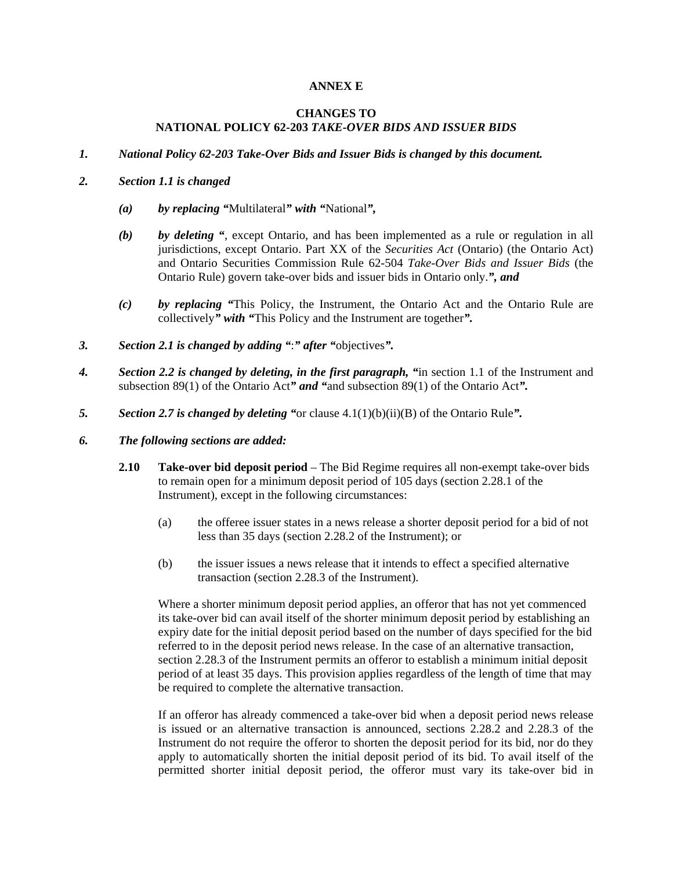# **ANNEX E**

# **CHANGES TO NATIONAL POLICY 62-203** *TAKE-OVER BIDS AND ISSUER BIDS*

# *1. National Policy 62-203 Take-Over Bids and Issuer Bids is changed by this document.*

# *2. Section 1.1 is changed*

- *(a) by replacing "*Multilateral*" with "*National*",*
- *(b) by deleting "*, except Ontario, and has been implemented as a rule or regulation in all jurisdictions, except Ontario. Part XX of the *Securities Act* (Ontario) (the Ontario Act) and Ontario Securities Commission Rule 62-504 *Take-Over Bids and Issuer Bids* (the Ontario Rule) govern take-over bids and issuer bids in Ontario only.*", and*
- *(c) by replacing "*This Policy, the Instrument, the Ontario Act and the Ontario Rule are collectively*" with "*This Policy and the Instrument are together*".*
- *3. Section 2.1 is changed by adding "*:*" after "*objectives*".*
- *4. Section 2.2 is changed by deleting, in the first paragraph, "*in section 1.1 of the Instrument and subsection 89(1) of the Ontario Act*" and "*and subsection 89(1) of the Ontario Act*".*
- *5. Section 2.7 is changed by deleting "*or clause 4.1(1)(b)(ii)(B) of the Ontario Rule*".*
- *6. The following sections are added:* 
	- **2.10 Take-over bid deposit period** The Bid Regime requires all non-exempt take-over bids to remain open for a minimum deposit period of 105 days (section 2.28.1 of the Instrument), except in the following circumstances:
		- (a) the offeree issuer states in a news release a shorter deposit period for a bid of not less than 35 days (section 2.28.2 of the Instrument); or
		- (b) the issuer issues a news release that it intends to effect a specified alternative transaction (section 2.28.3 of the Instrument).

Where a shorter minimum deposit period applies, an offeror that has not yet commenced its take-over bid can avail itself of the shorter minimum deposit period by establishing an expiry date for the initial deposit period based on the number of days specified for the bid referred to in the deposit period news release. In the case of an alternative transaction, section 2.28.3 of the Instrument permits an offeror to establish a minimum initial deposit period of at least 35 days. This provision applies regardless of the length of time that may be required to complete the alternative transaction.

If an offeror has already commenced a take-over bid when a deposit period news release is issued or an alternative transaction is announced, sections 2.28.2 and 2.28.3 of the Instrument do not require the offeror to shorten the deposit period for its bid, nor do they apply to automatically shorten the initial deposit period of its bid. To avail itself of the permitted shorter initial deposit period, the offeror must vary its take-over bid in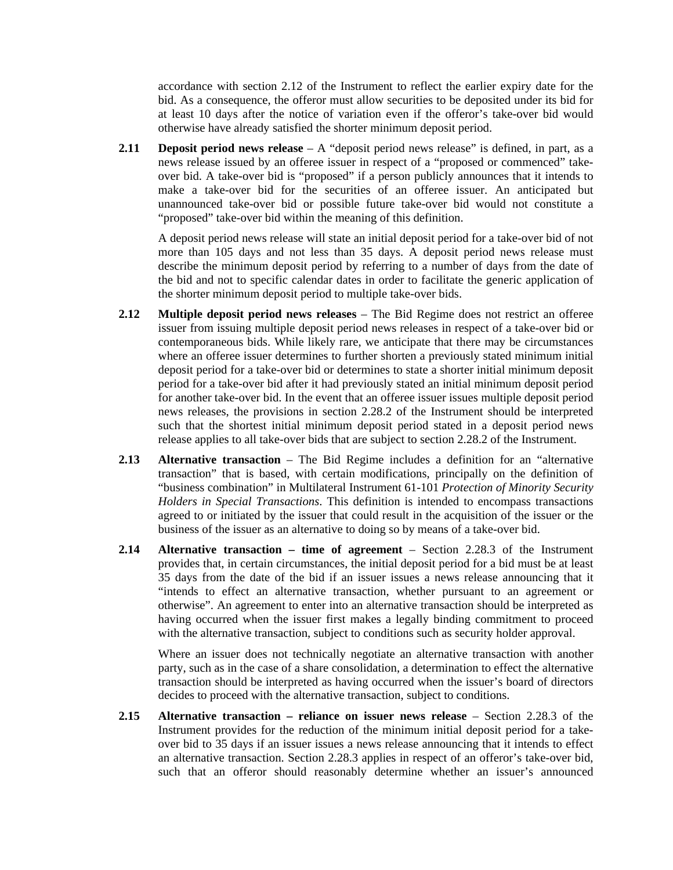accordance with section 2.12 of the Instrument to reflect the earlier expiry date for the bid. As a consequence, the offeror must allow securities to be deposited under its bid for at least 10 days after the notice of variation even if the offeror's take-over bid would otherwise have already satisfied the shorter minimum deposit period.

**2.11 Deposit period news release** – A "deposit period news release" is defined, in part, as a news release issued by an offeree issuer in respect of a "proposed or commenced" takeover bid. A take-over bid is "proposed" if a person publicly announces that it intends to make a take-over bid for the securities of an offeree issuer. An anticipated but unannounced take-over bid or possible future take-over bid would not constitute a "proposed" take-over bid within the meaning of this definition.

 A deposit period news release will state an initial deposit period for a take-over bid of not more than 105 days and not less than 35 days. A deposit period news release must describe the minimum deposit period by referring to a number of days from the date of the bid and not to specific calendar dates in order to facilitate the generic application of the shorter minimum deposit period to multiple take-over bids.

- **2.12 Multiple deposit period news releases** The Bid Regime does not restrict an offeree issuer from issuing multiple deposit period news releases in respect of a take-over bid or contemporaneous bids. While likely rare, we anticipate that there may be circumstances where an offeree issuer determines to further shorten a previously stated minimum initial deposit period for a take-over bid or determines to state a shorter initial minimum deposit period for a take-over bid after it had previously stated an initial minimum deposit period for another take-over bid. In the event that an offeree issuer issues multiple deposit period news releases, the provisions in section 2.28.2 of the Instrument should be interpreted such that the shortest initial minimum deposit period stated in a deposit period news release applies to all take-over bids that are subject to section 2.28.2 of the Instrument.
- **2.13 Alternative transaction** The Bid Regime includes a definition for an "alternative transaction" that is based, with certain modifications, principally on the definition of "business combination" in Multilateral Instrument 61-101 *Protection of Minority Security Holders in Special Transactions*. This definition is intended to encompass transactions agreed to or initiated by the issuer that could result in the acquisition of the issuer or the business of the issuer as an alternative to doing so by means of a take-over bid.
- **2.14 Alternative transaction time of agreement** Section 2.28.3 of the Instrument provides that, in certain circumstances, the initial deposit period for a bid must be at least 35 days from the date of the bid if an issuer issues a news release announcing that it "intends to effect an alternative transaction, whether pursuant to an agreement or otherwise". An agreement to enter into an alternative transaction should be interpreted as having occurred when the issuer first makes a legally binding commitment to proceed with the alternative transaction, subject to conditions such as security holder approval.

Where an issuer does not technically negotiate an alternative transaction with another party, such as in the case of a share consolidation, a determination to effect the alternative transaction should be interpreted as having occurred when the issuer's board of directors decides to proceed with the alternative transaction, subject to conditions.

**2.15 Alternative transaction – reliance on issuer news release** – Section 2.28.3 of the Instrument provides for the reduction of the minimum initial deposit period for a takeover bid to 35 days if an issuer issues a news release announcing that it intends to effect an alternative transaction. Section 2.28.3 applies in respect of an offeror's take-over bid, such that an offeror should reasonably determine whether an issuer's announced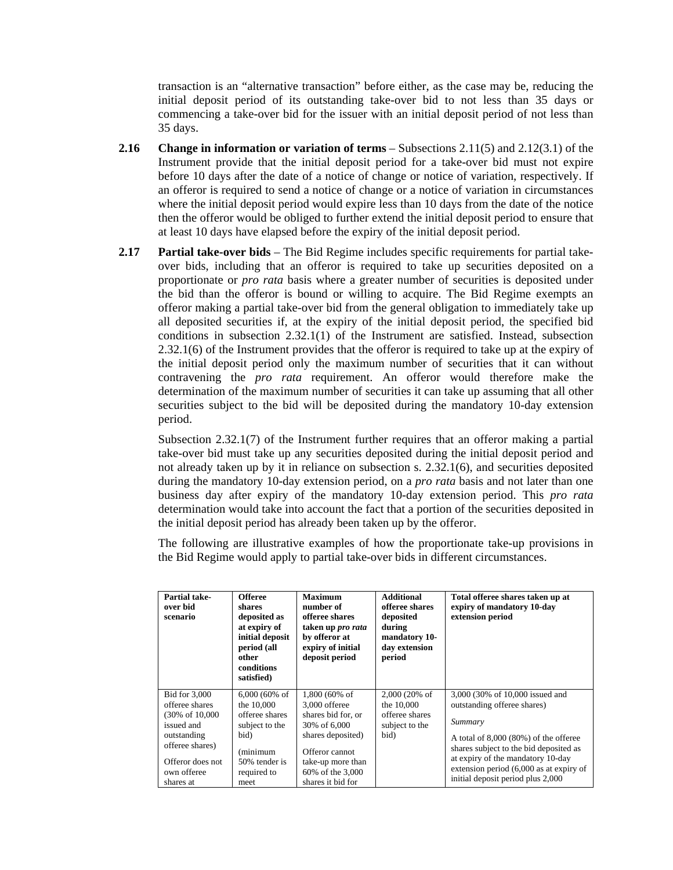transaction is an "alternative transaction" before either, as the case may be, reducing the initial deposit period of its outstanding take-over bid to not less than 35 days or commencing a take-over bid for the issuer with an initial deposit period of not less than 35 days.

- **2.16 Change in information or variation of terms** Subsections 2.11(5) and 2.12(3.1) of the Instrument provide that the initial deposit period for a take-over bid must not expire before 10 days after the date of a notice of change or notice of variation, respectively. If an offeror is required to send a notice of change or a notice of variation in circumstances where the initial deposit period would expire less than 10 days from the date of the notice then the offeror would be obliged to further extend the initial deposit period to ensure that at least 10 days have elapsed before the expiry of the initial deposit period.
- **2.17 Partial take-over bids** The Bid Regime includes specific requirements for partial takeover bids, including that an offeror is required to take up securities deposited on a proportionate or *pro rata* basis where a greater number of securities is deposited under the bid than the offeror is bound or willing to acquire. The Bid Regime exempts an offeror making a partial take-over bid from the general obligation to immediately take up all deposited securities if, at the expiry of the initial deposit period, the specified bid conditions in subsection 2.32.1(1) of the Instrument are satisfied. Instead, subsection 2.32.1(6) of the Instrument provides that the offeror is required to take up at the expiry of the initial deposit period only the maximum number of securities that it can without contravening the *pro rata* requirement. An offeror would therefore make the determination of the maximum number of securities it can take up assuming that all other securities subject to the bid will be deposited during the mandatory 10-day extension period.

Subsection 2.32.1(7) of the Instrument further requires that an offeror making a partial take-over bid must take up any securities deposited during the initial deposit period and not already taken up by it in reliance on subsection s. 2.32.1(6), and securities deposited during the mandatory 10-day extension period, on a *pro rata* basis and not later than one business day after expiry of the mandatory 10-day extension period. This *pro rata*  determination would take into account the fact that a portion of the securities deposited in the initial deposit period has already been taken up by the offeror.

 The following are illustrative examples of how the proportionate take-up provisions in the Bid Regime would apply to partial take-over bids in different circumstances.

| Partial take-<br>over bid<br>scenario                                                                                                                     | <b>Offeree</b><br>shares<br>deposited as<br>at expiry of<br>initial deposit<br>period (all<br>other<br>conditions<br>satisfied)        | <b>Maximum</b><br>number of<br>offeree shares<br>taken up pro rata<br>by offeror at<br>expiry of initial<br>deposit period                                                | <b>Additional</b><br>offeree shares<br>deposited<br>during<br>mandatory 10-<br>day extension<br>period | Total offeree shares taken up at<br>expiry of mandatory 10-day<br>extension period                                                                                                                                                                                                 |
|-----------------------------------------------------------------------------------------------------------------------------------------------------------|----------------------------------------------------------------------------------------------------------------------------------------|---------------------------------------------------------------------------------------------------------------------------------------------------------------------------|--------------------------------------------------------------------------------------------------------|------------------------------------------------------------------------------------------------------------------------------------------------------------------------------------------------------------------------------------------------------------------------------------|
| <b>Bid for 3,000</b><br>offeree shares<br>(30% of 10,000)<br>issued and<br>outstanding<br>offeree shares)<br>Offeror does not<br>own offeree<br>shares at | $6,000(60\% \text{ of }$<br>the 10,000<br>offeree shares<br>subject to the<br>bid)<br>(minimum<br>50% tender is<br>required to<br>meet | 1,800 (60% of<br>3,000 offeree<br>shares bid for, or<br>30% of 6,000<br>shares deposited)<br>Offeror cannot<br>take-up more than<br>60% of the 3,000<br>shares it bid for | 2,000 (20% of<br>the 10,000<br>offeree shares<br>subject to the<br>bid)                                | 3,000 (30% of 10,000 issued and<br>outstanding offeree shares)<br>Summary<br>A total of $8,000(80%)$ of the offeree<br>shares subject to the bid deposited as<br>at expiry of the mandatory 10-day<br>extension period (6,000 as at expiry of<br>initial deposit period plus 2,000 |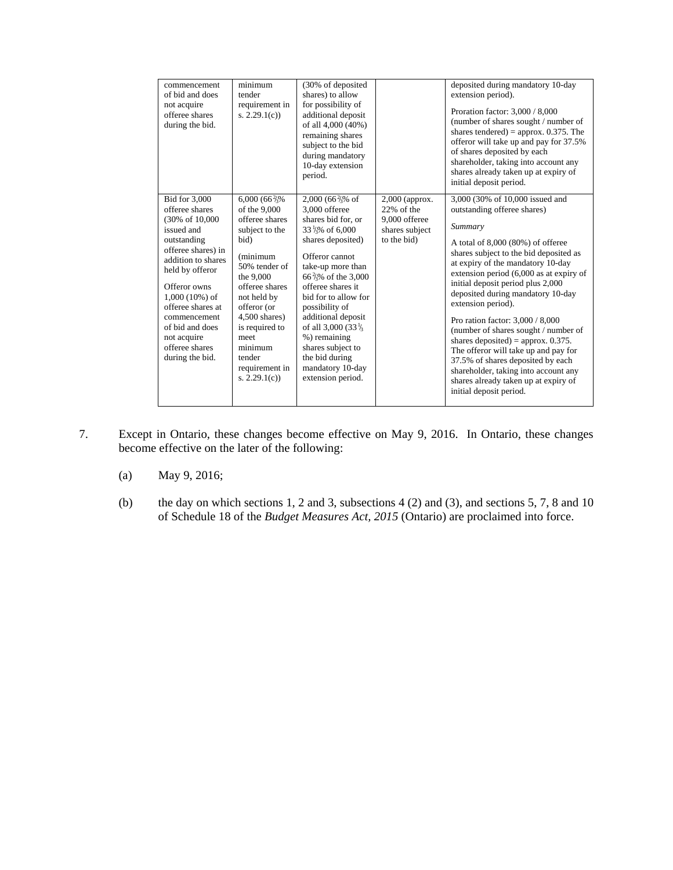| commencement<br>of bid and does<br>not acquire<br>offeree shares<br>during the bid.                                                                                                                                                                                                                  | minimum<br>tender<br>requirement in<br>s. $2.29.1(c)$                                                                                                                                                                                                                                | (30% of deposited<br>shares) to allow<br>for possibility of<br>additional deposit<br>of all 4,000 (40%)<br>remaining shares<br>subject to the bid<br>during mandatory<br>10-day extension<br>period.                                                                                                                                                                                                                                                  |                                                                                  | deposited during mandatory 10-day<br>extension period).<br>Proration factor: 3,000 / 8,000<br>(number of shares sought / number of<br>shares tendered) = approx. $0.375$ . The<br>offeror will take up and pay for 37.5%<br>of shares deposited by each<br>shareholder, taking into account any<br>shares already taken up at expiry of<br>initial deposit period.                                                                                                                                                                                                                                                                                        |
|------------------------------------------------------------------------------------------------------------------------------------------------------------------------------------------------------------------------------------------------------------------------------------------------------|--------------------------------------------------------------------------------------------------------------------------------------------------------------------------------------------------------------------------------------------------------------------------------------|-------------------------------------------------------------------------------------------------------------------------------------------------------------------------------------------------------------------------------------------------------------------------------------------------------------------------------------------------------------------------------------------------------------------------------------------------------|----------------------------------------------------------------------------------|-----------------------------------------------------------------------------------------------------------------------------------------------------------------------------------------------------------------------------------------------------------------------------------------------------------------------------------------------------------------------------------------------------------------------------------------------------------------------------------------------------------------------------------------------------------------------------------------------------------------------------------------------------------|
| <b>Bid for 3,000</b><br>offeree shares<br>(30% of 10,000)<br>issued and<br>outstanding<br>offeree shares) in<br>addition to shares<br>held by offeror<br>Offeror owns<br>$1,000(10%)$ of<br>offeree shares at<br>commencement<br>of bid and does<br>not acquire<br>offeree shares<br>during the bid. | $6,000(66\frac{2}{3}\%)$<br>of the 9,000<br>offeree shares<br>subject to the<br>bid)<br>(minimum<br>50% tender of<br>the 9,000<br>offeree shares<br>not held by<br>offeror (or<br>$4,500$ shares)<br>is required to<br>meet<br>minimum<br>tender<br>requirement in<br>s. $2.29.1(c)$ | 2,000 (66 <sup>2</sup> / <sub>3</sub> % of<br>3,000 offeree<br>shares bid for, or<br>33 1/ <sub>3</sub> % of 6,000<br>shares deposited)<br>Offeror cannot<br>take-up more than<br>66 <sup>2</sup> / <sub>3</sub> % of the 3,000<br>offeree shares it<br>bid for to allow for<br>possibility of<br>additional deposit<br>of all $3,000(33\frac{1}{3})$<br>%) remaining<br>shares subject to<br>the bid during<br>mandatory 10-day<br>extension period. | 2,000 (approx.<br>$22%$ of the<br>9,000 offeree<br>shares subject<br>to the bid) | 3,000 (30% of 10,000 issued and<br>outstanding offeree shares)<br>Summary<br>A total of $8,000$ $(80%)$ of offeree<br>shares subject to the bid deposited as<br>at expiry of the mandatory 10-day<br>extension period (6,000 as at expiry of<br>initial deposit period plus 2,000<br>deposited during mandatory 10-day<br>extension period).<br>Pro ration factor: 3,000 / 8,000<br>(number of shares sought / number of<br>shares deposited) = approx. $0.375$ .<br>The offeror will take up and pay for<br>37.5% of shares deposited by each<br>shareholder, taking into account any<br>shares already taken up at expiry of<br>initial deposit period. |

- 7. Except in Ontario, these changes become effective on May 9, 2016. In Ontario, these changes become effective on the later of the following:
	- (a) May 9, 2016;
	- (b) the day on which sections 1, 2 and 3, subsections 4 (2) and (3), and sections 5, 7, 8 and 10 of Schedule 18 of the *Budget Measures Act, 2015* (Ontario) are proclaimed into force.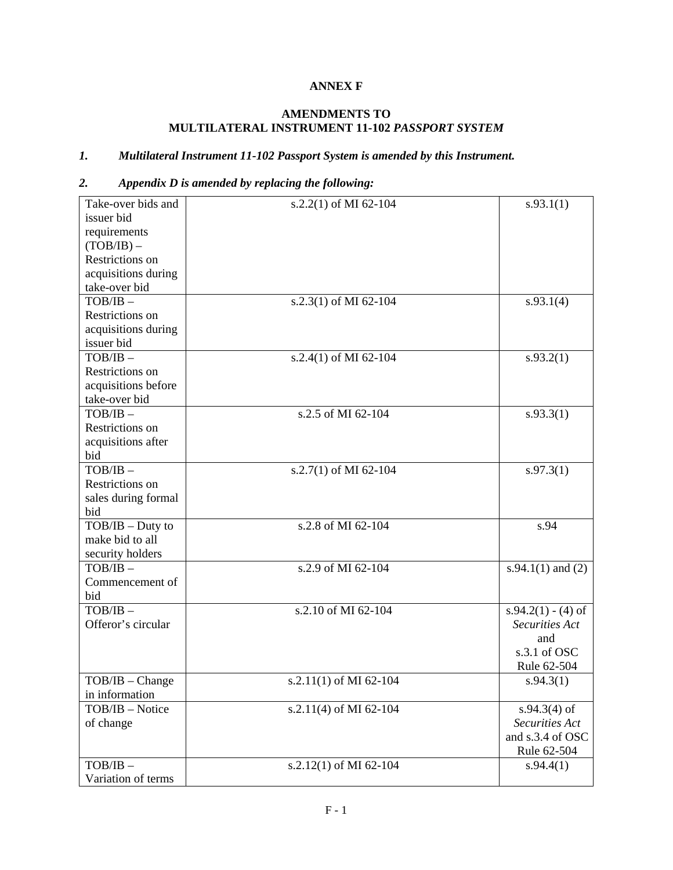# **ANNEX F**

# **AMENDMENTS TO MULTILATERAL INSTRUMENT 11-102** *PASSPORT SYSTEM*

# *1. Multilateral Instrument 11-102 Passport System is amended by this Instrument.*

# *2. Appendix D is amended by replacing the following:*

| Take-over bids and  | s.2.2(1) of MI 62-104  | s.93.1(1)            |
|---------------------|------------------------|----------------------|
| issuer bid          |                        |                      |
| requirements        |                        |                      |
| $(TOB/IB)$ –        |                        |                      |
| Restrictions on     |                        |                      |
| acquisitions during |                        |                      |
| take-over bid       |                        |                      |
| $TOB/IB$ -          | s.2.3(1) of MI 62-104  | s.93.1(4)            |
| Restrictions on     |                        |                      |
| acquisitions during |                        |                      |
|                     |                        |                      |
| issuer bid          |                        |                      |
| $TOB/IB$ -          | s.2.4(1) of MI 62-104  | s.93.2(1)            |
| Restrictions on     |                        |                      |
| acquisitions before |                        |                      |
| take-over bid       |                        |                      |
| $TOB/IB$ -          | s.2.5 of MI 62-104     | s.93.3(1)            |
| Restrictions on     |                        |                      |
| acquisitions after  |                        |                      |
| bid                 |                        |                      |
| $TOB/IB$ -          | s.2.7(1) of MI 62-104  | s.97.3(1)            |
| Restrictions on     |                        |                      |
| sales during formal |                        |                      |
| bid                 |                        |                      |
| $TOB/IB - Duty$ to  | s.2.8 of MI 62-104     | s.94                 |
| make bid to all     |                        |                      |
| security holders    |                        |                      |
| $TOB/IB$ -          | s.2.9 of MI 62-104     | s.94.1(1) and $(2)$  |
| Commencement of     |                        |                      |
| bid                 |                        |                      |
| $TOB/IB$ -          | s.2.10 of MI 62-104    | $s.94.2(1) - (4)$ of |
| Offeror's circular  |                        | Securities Act       |
|                     |                        | and                  |
|                     |                        | s.3.1 of OSC         |
|                     |                        | Rule 62-504          |
| $TOB/IB$ - Change   | s.2.11(1) of MI 62-104 |                      |
|                     |                        | s.94.3(1)            |
| in information      |                        |                      |
| TOB/IB - Notice     | s.2.11(4) of MI 62-104 | $s.94.3(4)$ of       |
| of change           |                        | Securities Act       |
|                     |                        | and s.3.4 of OSC     |
|                     |                        | Rule 62-504          |
| $TOB/IB$ -          | s.2.12(1) of MI 62-104 | s.94.4(1)            |
| Variation of terms  |                        |                      |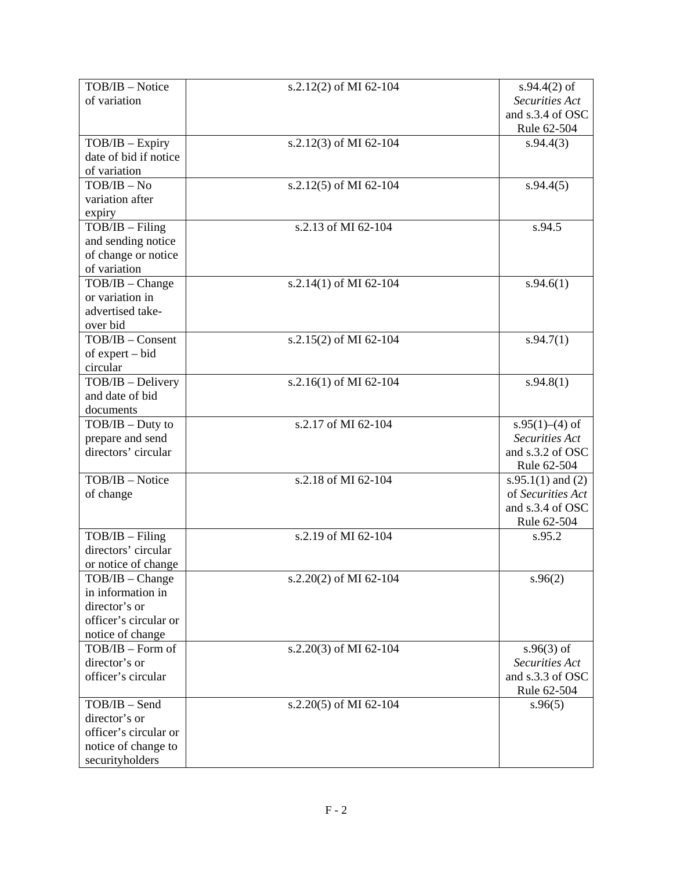| TOB/IB - Notice       | s.2.12(2) of MI 62-104               | $s.94.4(2)$ of      |
|-----------------------|--------------------------------------|---------------------|
| of variation          |                                      | Securities Act      |
|                       |                                      | and s.3.4 of OSC    |
|                       |                                      | Rule 62-504         |
| $TOB/IB - Expiry$     | s.2.12(3) of MI 62-104               | s.94.4(3)           |
| date of bid if notice |                                      |                     |
| of variation          |                                      |                     |
| $TOB/IB - No$         | s.2.12(5) of MI 62-104               | s.94.4(5)           |
| variation after       |                                      |                     |
| expiry                |                                      |                     |
| $TOB/IB - Filing$     | s.2.13 of MI 62-104                  | s.94.5              |
| and sending notice    |                                      |                     |
| of change or notice   |                                      |                     |
| of variation          |                                      |                     |
| $TOB/IB$ - Change     | s.2.14(1) of MI 62-104               | s.94.6(1)           |
| or variation in       |                                      |                     |
| advertised take-      |                                      |                     |
| over bid              |                                      |                     |
| TOB/IB - Consent      | s.2.15(2) of MI 62-104               | s.94.7(1)           |
| $of$ expert $-$ bid   |                                      |                     |
| circular              |                                      |                     |
| TOB/IB - Delivery     | s.2.16(1) of MI 62-104               | s.94.8(1)           |
| and date of bid       |                                      |                     |
| documents             |                                      |                     |
| $TOB/IB - Duty$ to    | $\sqrt{8.2.17 \text{ of } M162-104}$ | $s.95(1)–(4)$ of    |
| prepare and send      |                                      | Securities Act      |
| directors' circular   |                                      | and s.3.2 of OSC    |
|                       |                                      | Rule 62-504         |
| TOB/IB - Notice       | s.2.18 of MI 62-104                  | $s.95.1(1)$ and (2) |
| of change             |                                      | of Securities Act   |
|                       |                                      | and s.3.4 of OSC    |
|                       |                                      | Rule 62-504         |
| $TOB/IB - Filing$     | s.2.19 of MI 62-104                  | s.95.2              |
| directors' circular   |                                      |                     |
| or notice of change   |                                      |                     |
| $TOB/IB$ - Change     | s.2.20(2) of MI 62-104               | s.96(2)             |
| in information in     |                                      |                     |
| director's or         |                                      |                     |
| officer's circular or |                                      |                     |
| notice of change      |                                      |                     |
| TOB/IB - Form of      | s.2.20(3) of MI 62-104               | $s.96(3)$ of        |
| director's or         |                                      | Securities Act      |
| officer's circular    |                                      | and s.3.3 of OSC    |
|                       |                                      | Rule 62-504         |
| $TOB/IB - Send$       | s.2.20(5) of MI 62-104               | s.96(5)             |
| director's or         |                                      |                     |
| officer's circular or |                                      |                     |
| notice of change to   |                                      |                     |
| securityholders       |                                      |                     |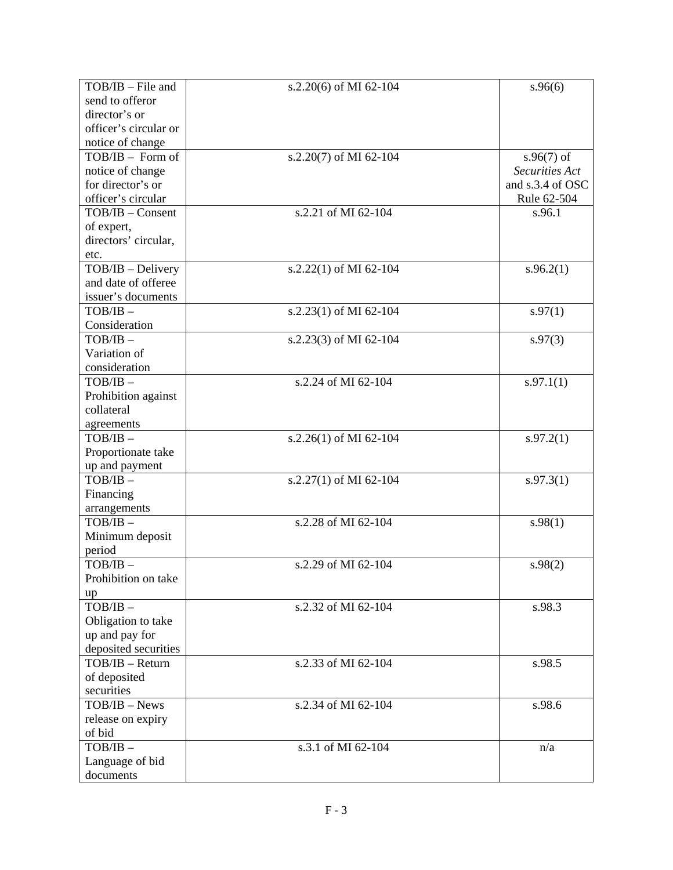| TOB/IB - File and     | s.2.20(6) of MI 62-104 | s.96(6)          |
|-----------------------|------------------------|------------------|
| send to offeror       |                        |                  |
| director's or         |                        |                  |
| officer's circular or |                        |                  |
| notice of change      |                        |                  |
| $TOB/IB$ – Form of    | s.2.20(7) of MI 62-104 | $s.96(7)$ of     |
| notice of change      |                        | Securities Act   |
| for director's or     |                        | and s.3.4 of OSC |
| officer's circular    |                        | Rule 62-504      |
| $TOB/IB$ – Consent    | s.2.21 of MI 62-104    | s.96.1           |
| of expert,            |                        |                  |
| directors' circular,  |                        |                  |
| etc.                  |                        |                  |
| TOB/IB - Delivery     | s.2.22(1) of MI 62-104 | s.96.2(1)        |
| and date of offeree   |                        |                  |
| issuer's documents    |                        |                  |
| $TOB/IB$ -            | s.2.23(1) of MI 62-104 | s.97(1)          |
| Consideration         |                        |                  |
| $TOB/IB$ -            | s.2.23(3) of MI 62-104 | s.97(3)          |
| Variation of          |                        |                  |
| consideration         |                        |                  |
| $TOB/IB$ -            | s.2.24 of MI 62-104    | s.97.1(1)        |
| Prohibition against   |                        |                  |
| collateral            |                        |                  |
| agreements            |                        |                  |
| $TOB/IB$ -            | s.2.26(1) of MI 62-104 | s.97.2(1)        |
| Proportionate take    |                        |                  |
| up and payment        |                        |                  |
| $TOB/IB$ -            | s.2.27(1) of MI 62-104 | s.97.3(1)        |
| Financing             |                        |                  |
| arrangements          |                        |                  |
| $TOB/IB$ -            | s.2.28 of MI 62-104    | s.98(1)          |
| Minimum deposit       |                        |                  |
| period                |                        |                  |
| $TOB/IB$ -            | s.2.29 of MI 62-104    | s.98(2)          |
| Prohibition on take   |                        |                  |
| up                    |                        |                  |
| $TOB/IB$ -            | s.2.32 of MI 62-104    | s.98.3           |
| Obligation to take    |                        |                  |
| up and pay for        |                        |                  |
| deposited securities  |                        |                  |
| TOB/IB - Return       | s.2.33 of MI 62-104    | s.98.5           |
| of deposited          |                        |                  |
| securities            |                        |                  |
| $TOB/IB - News$       | s.2.34 of MI 62-104    | s.98.6           |
| release on expiry     |                        |                  |
| of bid                |                        |                  |
| $TOB/IB$ -            | s.3.1 of MI 62-104     | n/a              |
| Language of bid       |                        |                  |
| documents             |                        |                  |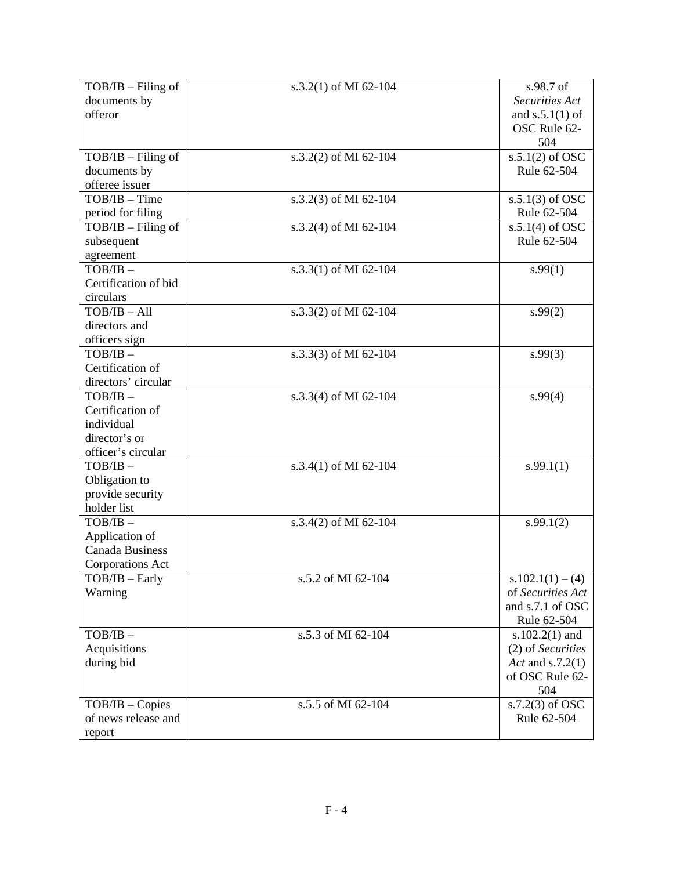| $TOB/IB - Filing of$    | s.3.2(1) of MI 62-104 | s.98.7 of          |
|-------------------------|-----------------------|--------------------|
| documents by            |                       | Securities Act     |
| offeror                 |                       | and $s.5.1(1)$ of  |
|                         |                       | OSC Rule 62-       |
|                         |                       | 504                |
| $TOB/IB - Filing of$    | s.3.2(2) of MI 62-104 | $s.5.1(2)$ of OSC  |
| documents by            |                       | Rule 62-504        |
| offeree issuer          |                       |                    |
| $TOB/IB - Time$         | s.3.2(3) of MI 62-104 | $s.5.1(3)$ of OSC  |
| period for filing       |                       | Rule 62-504        |
| $TOB/IB - Filing of$    | s.3.2(4) of MI 62-104 | $s.5.1(4)$ of OSC  |
| subsequent              |                       | Rule 62-504        |
| agreement               |                       |                    |
| $TOB/IB$ -              | s.3.3(1) of MI 62-104 | s.99(1)            |
| Certification of bid    |                       |                    |
| circulars               |                       |                    |
| $TOB/IB - All$          | s.3.3(2) of MI 62-104 | s.99(2)            |
| directors and           |                       |                    |
| officers sign           |                       |                    |
| $TOB/IB$ -              | s.3.3(3) of MI 62-104 | s.99(3)            |
| Certification of        |                       |                    |
| directors' circular     |                       |                    |
| $TOB/IB$ -              | s.3.3(4) of MI 62-104 | s.99(4)            |
| Certification of        |                       |                    |
| individual              |                       |                    |
| director's or           |                       |                    |
| officer's circular      |                       |                    |
| $TOB/IB$ -              | s.3.4(1) of MI 62-104 | s.99.1(1)          |
| Obligation to           |                       |                    |
| provide security        |                       |                    |
| holder list             |                       |                    |
| $TOB/IB$ -              | s.3.4(2) of MI 62-104 | s.99.1(2)          |
| Application of          |                       |                    |
| <b>Canada Business</b>  |                       |                    |
| <b>Corporations Act</b> |                       |                    |
| $TOB/IB - Early$        | s.5.2 of MI 62-104    | $s.102.1(1) - (4)$ |
| Warning                 |                       | of Securities Act  |
|                         |                       | and s.7.1 of OSC   |
|                         |                       | Rule 62-504        |
| $TOB/IB$ -              | s.5.3 of MI 62-104    | s.102.2 $(1)$ and  |
| Acquisitions            |                       | (2) of Securities  |
| during bid              |                       | Act and $s.7.2(1)$ |
|                         |                       | of OSC Rule 62-    |
|                         |                       | 504                |
| TOB/IB - Copies         | s.5.5 of MI 62-104    | s.7.2 $(3)$ of OSC |
| of news release and     |                       | Rule 62-504        |
| report                  |                       |                    |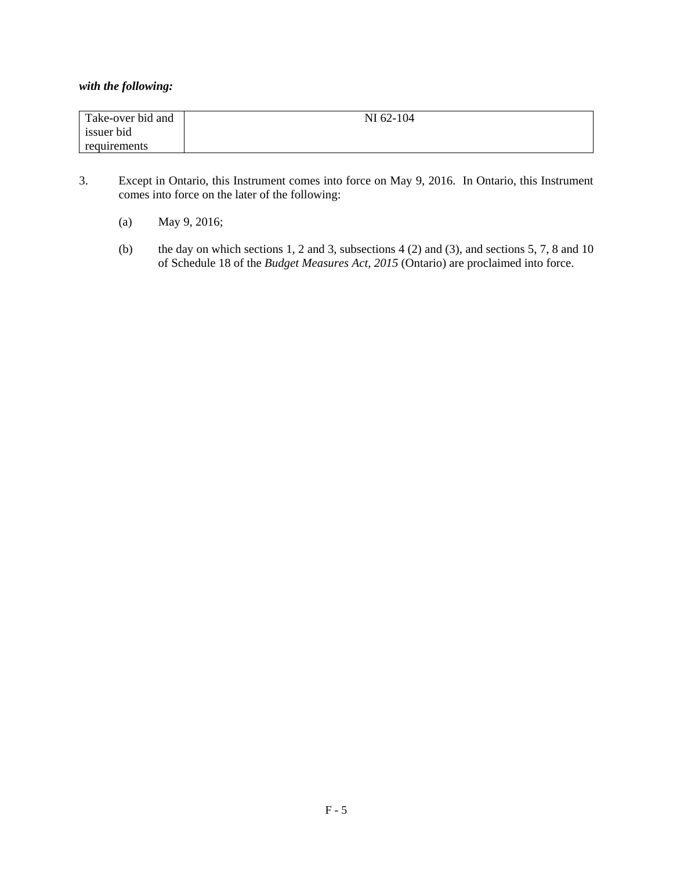# *with the following:*

| Take-over bid and | NI 62-104 |
|-------------------|-----------|
| issuer bid        |           |
| requirements      |           |

- 3. Except in Ontario, this Instrument comes into force on May 9, 2016. In Ontario, this Instrument comes into force on the later of the following:
	- (a) May 9, 2016;
	- (b) the day on which sections 1, 2 and 3, subsections 4 (2) and (3), and sections 5, 7, 8 and 10 of Schedule 18 of the *Budget Measures Act, 2015* (Ontario) are proclaimed into force.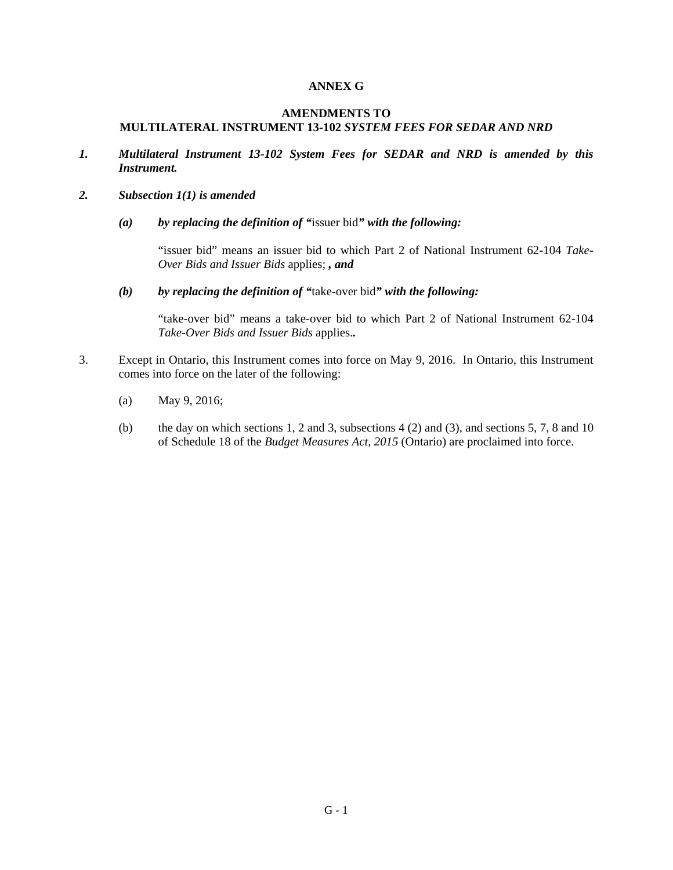# **ANNEX G**

# **AMENDMENTS TO MULTILATERAL INSTRUMENT 13-102** *SYSTEM FEES FOR SEDAR AND NRD*

*1. Multilateral Instrument 13-102 System Fees for SEDAR and NRD is amended by this Instrument.* 

# *2. Subsection 1(1) is amended*

*(a) by replacing the definition of "*issuer bid*" with the following:* 

"issuer bid" means an issuer bid to which Part 2 of National Instrument 62-104 *Take-Over Bids and Issuer Bids* applies; *, and* 

*(b) by replacing the definition of "*take-over bid*" with the following:* 

"take-over bid" means a take-over bid to which Part 2 of National Instrument 62-104 *Take-Over Bids and Issuer Bids* applies.*.* 

- 3. Except in Ontario, this Instrument comes into force on May 9, 2016. In Ontario, this Instrument comes into force on the later of the following:
	- (a) May 9, 2016;
	- (b) the day on which sections 1, 2 and 3, subsections 4 (2) and (3), and sections 5, 7, 8 and 10 of Schedule 18 of the *Budget Measures Act, 2015* (Ontario) are proclaimed into force.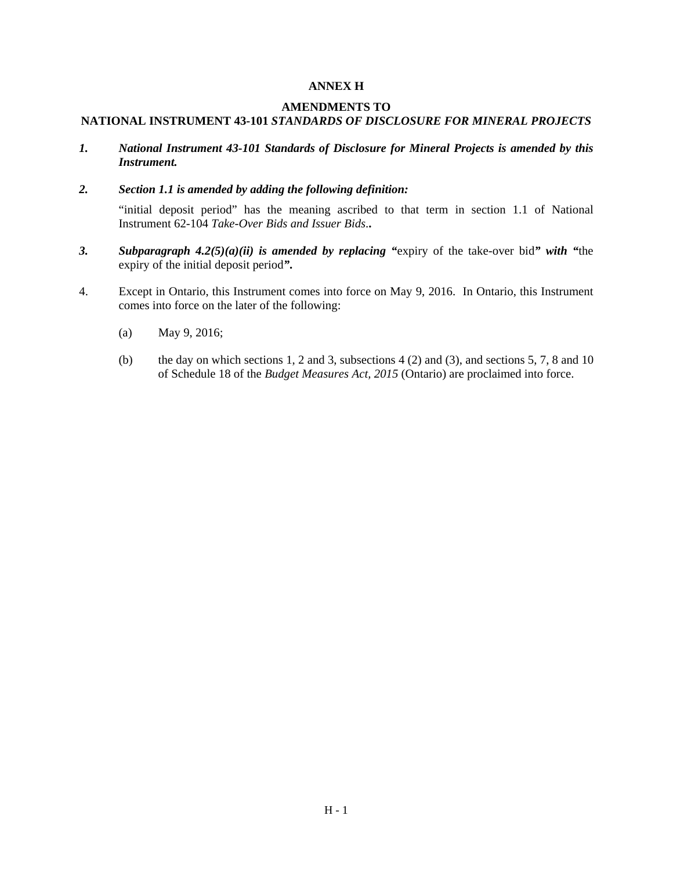# **ANNEX H**

# **AMENDMENTS TO**

# **NATIONAL INSTRUMENT 43-101** *STANDARDS OF DISCLOSURE FOR MINERAL PROJECTS*

*1. National Instrument 43-101 Standards of Disclosure for Mineral Projects is amended by this Instrument.* 

# *2. Section 1.1 is amended by adding the following definition:*

"initial deposit period" has the meaning ascribed to that term in section 1.1 of National Instrument 62-104 *Take-Over Bids and Issuer Bids*.**.** 

- *3. Subparagraph 4.2(5)(a)(ii) is amended by replacing "*expiry of the take-over bid*" with "*the expiry of the initial deposit period*"***.**
- 4. Except in Ontario, this Instrument comes into force on May 9, 2016. In Ontario, this Instrument comes into force on the later of the following:
	- (a) May 9, 2016;
	- (b) the day on which sections 1, 2 and 3, subsections 4 (2) and (3), and sections 5, 7, 8 and 10 of Schedule 18 of the *Budget Measures Act, 2015* (Ontario) are proclaimed into force.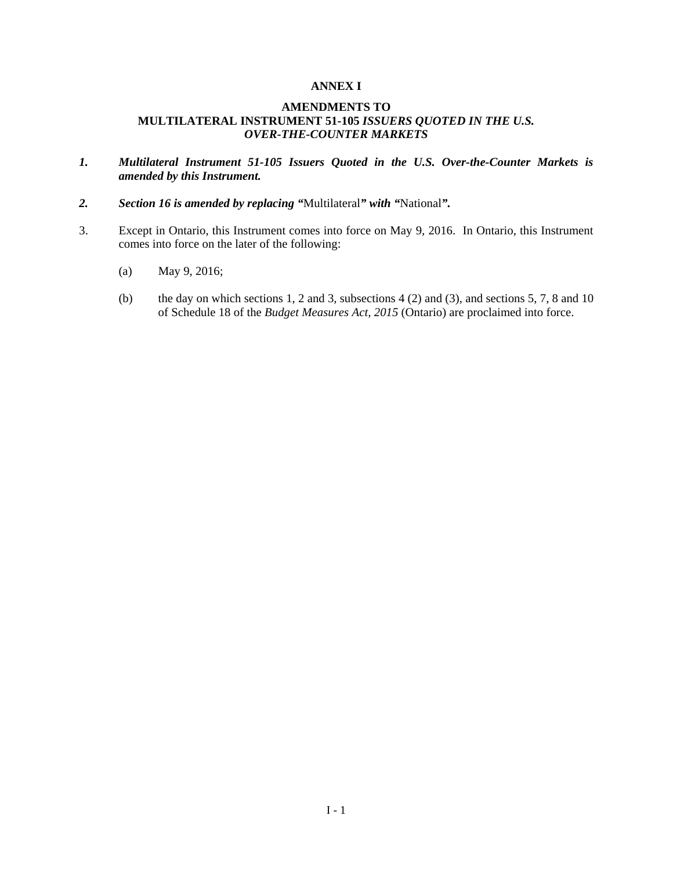# **ANNEX I**

# **AMENDMENTS TO MULTILATERAL INSTRUMENT 51-105** *ISSUERS QUOTED IN THE U.S. OVER-THE-COUNTER MARKETS*

- *1. Multilateral Instrument 51-105 Issuers Quoted in the U.S. Over-the-Counter Markets is amended by this Instrument.*
- *2. Section 16 is amended by replacing "*Multilateral*" with "*National*".*
- 3. Except in Ontario, this Instrument comes into force on May 9, 2016. In Ontario, this Instrument comes into force on the later of the following:
	- (a) May 9, 2016;
	- (b) the day on which sections 1, 2 and 3, subsections 4 (2) and (3), and sections 5, 7, 8 and 10 of Schedule 18 of the *Budget Measures Act, 2015* (Ontario) are proclaimed into force.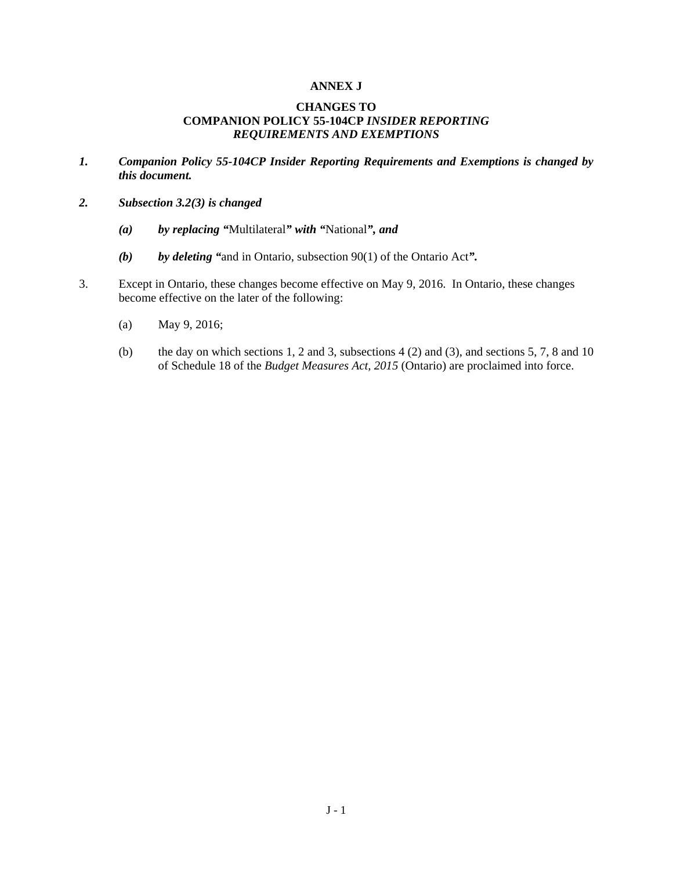# **ANNEX J**

# **CHANGES TO COMPANION POLICY 55-104CP** *INSIDER REPORTING REQUIREMENTS AND EXEMPTIONS*

*1. Companion Policy 55-104CP Insider Reporting Requirements and Exemptions is changed by this document.*

# *2. Subsection 3.2(3) is changed*

- *(a) by replacing "*Multilateral*" with "*National*", and*
- *(b) by deleting "*and in Ontario, subsection 90(1) of the Ontario Act*".*
- 3. Except in Ontario, these changes become effective on May 9, 2016. In Ontario, these changes become effective on the later of the following:
	- (a) May 9, 2016;
	- (b) the day on which sections 1, 2 and 3, subsections 4 (2) and (3), and sections 5, 7, 8 and 10 of Schedule 18 of the *Budget Measures Act, 2015* (Ontario) are proclaimed into force.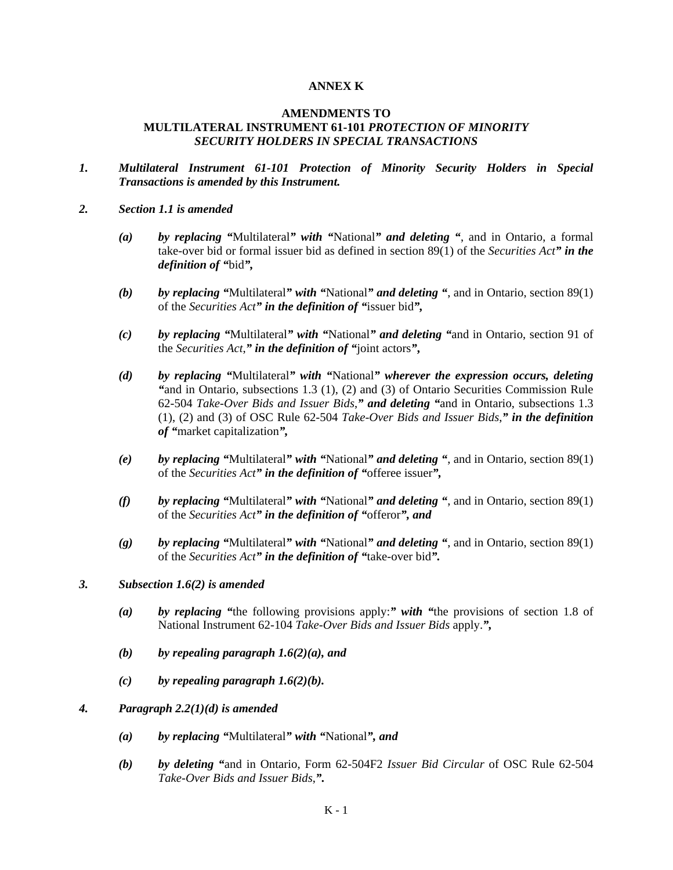# **ANNEX K**

# **AMENDMENTS TO MULTILATERAL INSTRUMENT 61-101** *PROTECTION OF MINORITY SECURITY HOLDERS IN SPECIAL TRANSACTIONS*

*1. Multilateral Instrument 61-101 Protection of Minority Security Holders in Special Transactions is amended by this Instrument.* 

# *2. Section 1.1 is amended*

- *(a) by replacing "*Multilateral*" with "*National*" and deleting "*, and in Ontario, a formal take-over bid or formal issuer bid as defined in section 89(1) of the *Securities Act" in the definition of "*bid*",*
- *(b) by replacing "*Multilateral*" with "*National*" and deleting "*, and in Ontario, section 89(1) of the *Securities Act" in the definition of "*issuer bid*",*
- *(c) by replacing "*Multilateral*" with "*National*" and deleting "*and in Ontario, section 91 of the *Securities Act*,*" in the definition of "*joint actors*"***,**
- *(d) by replacing "*Multilateral*" with "*National*" wherever the expression occurs, deleting "*and in Ontario, subsections 1.3 (1), (2) and (3) of Ontario Securities Commission Rule 62-504 *Take-Over Bids and Issuer Bids*,*" and deleting "*and in Ontario, subsections 1.3 (1), (2) and (3) of OSC Rule 62-504 *Take-Over Bids and Issuer Bids*,*" in the definition of "*market capitalization*",*
- *(e) by replacing "*Multilateral*" with "*National*" and deleting "*, and in Ontario, section 89(1) of the *Securities Act" in the definition of "*offeree issuer*",*
- *(f) by replacing "*Multilateral*" with "*National*" and deleting "*, and in Ontario, section 89(1) of the *Securities Act" in the definition of "*offeror*", and*
- *(g) by replacing "*Multilateral*" with "*National*" and deleting "*, and in Ontario, section 89(1) of the *Securities Act" in the definition of "*take-over bid*".*

# *3. Subsection 1.6(2) is amended*

- *(a) by replacing "*the following provisions apply:*" with "*the provisions of section 1.8 of National Instrument 62-104 *Take-Over Bids and Issuer Bids* apply.*",*
- *(b) by repealing paragraph 1.6(2)(a), and*
- *(c) by repealing paragraph 1.6(2)(b).*

# *4. Paragraph 2.2(1)(d) is amended*

- *(a) by replacing "*Multilateral*" with "*National*", and*
- *(b) by deleting "*and in Ontario, Form 62-504F2 *Issuer Bid Circular* of OSC Rule 62-504 *Take-Over Bids and Issuer Bids*,*".*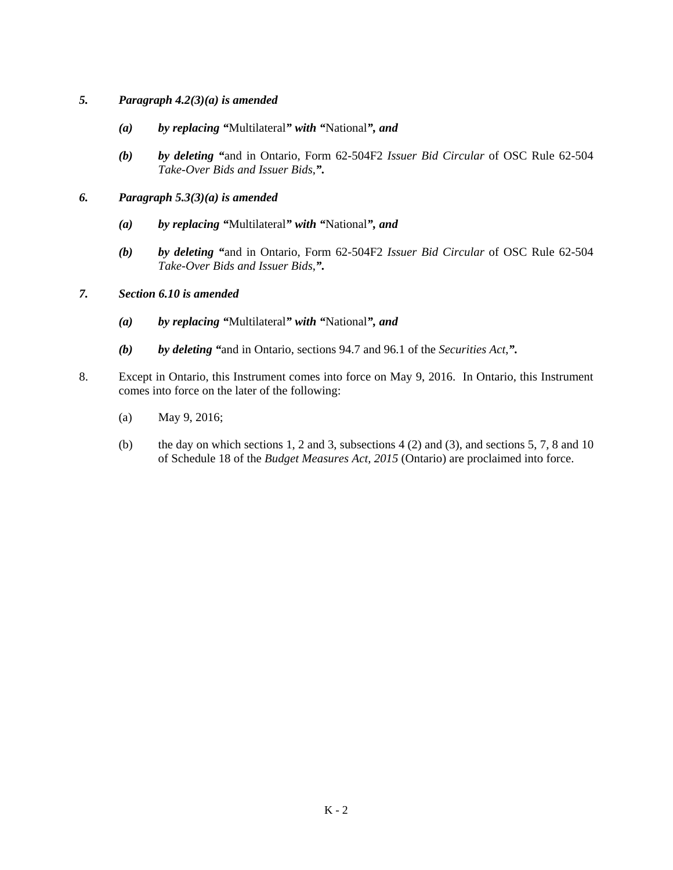# *5. Paragraph 4.2(3)(a) is amended*

- *(a) by replacing "*Multilateral*" with "*National*", and*
- *(b) by deleting "*and in Ontario, Form 62-504F2 *Issuer Bid Circular* of OSC Rule 62-504 *Take-Over Bids and Issuer Bids*,*".*

# *6. Paragraph 5.3(3)(a) is amended*

- *(a) by replacing "*Multilateral*" with "*National*", and*
- *(b) by deleting "*and in Ontario, Form 62-504F2 *Issuer Bid Circular* of OSC Rule 62-504 *Take-Over Bids and Issuer Bids*,*".*

# *7. Section 6.10 is amended*

- *(a) by replacing "*Multilateral*" with "*National*", and*
- *(b) by deleting "*and in Ontario, sections 94.7 and 96.1 of the *Securities Act*,*".*
- 8. Except in Ontario, this Instrument comes into force on May 9, 2016. In Ontario, this Instrument comes into force on the later of the following:
	- (a) May 9, 2016;
	- (b) the day on which sections 1, 2 and 3, subsections 4 (2) and (3), and sections 5, 7, 8 and 10 of Schedule 18 of the *Budget Measures Act, 2015* (Ontario) are proclaimed into force.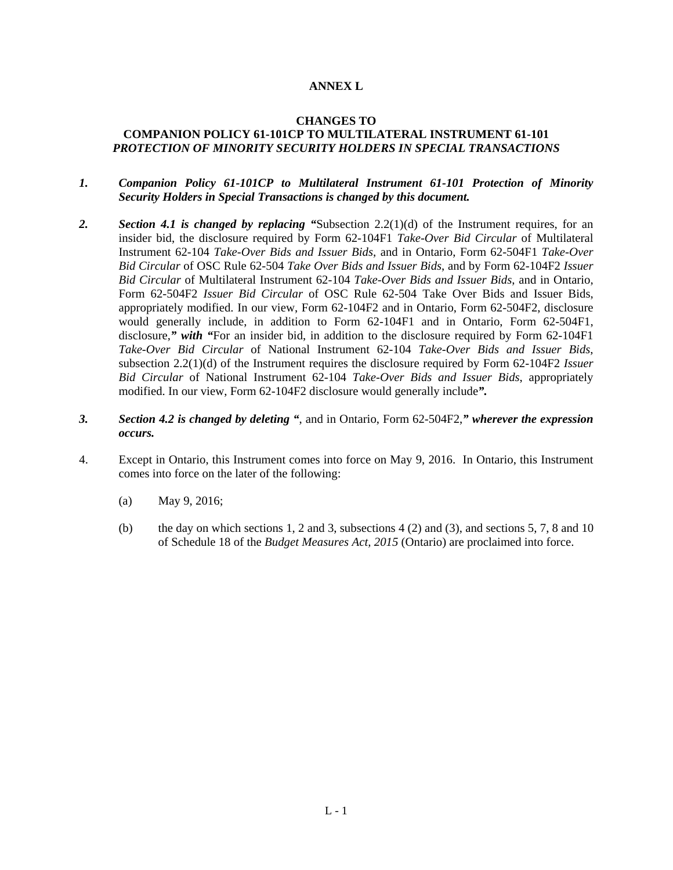#### **ANNEX L**

#### **CHANGES TO**

## **COMPANION POLICY 61-101CP TO MULTILATERAL INSTRUMENT 61-101**  *PROTECTION OF MINORITY SECURITY HOLDERS IN SPECIAL TRANSACTIONS*

## *1. Companion Policy 61-101CP to Multilateral Instrument 61-101 Protection of Minority Security Holders in Special Transactions is changed by this document.*

- *2. Section 4.1 is changed by replacing "*Subsection 2.2(1)(d) of the Instrument requires, for an insider bid, the disclosure required by Form 62-104F1 *Take-Over Bid Circular* of Multilateral Instrument 62-104 *Take-Over Bids and Issuer Bids*, and in Ontario, Form 62-504F1 *Take-Over Bid Circular* of OSC Rule 62-504 *Take Over Bids and Issuer Bids*, and by Form 62-104F2 *Issuer Bid Circular* of Multilateral Instrument 62-104 *Take-Over Bids and Issuer Bids*, and in Ontario, Form 62-504F2 *Issuer Bid Circular* of OSC Rule 62-504 Take Over Bids and Issuer Bids, appropriately modified. In our view, Form 62-104F2 and in Ontario, Form 62-504F2, disclosure would generally include, in addition to Form 62-104F1 and in Ontario, Form 62-504F1, disclosure,*" with "*For an insider bid, in addition to the disclosure required by Form 62-104F1 *Take-Over Bid Circular* of National Instrument 62-104 *Take-Over Bids and Issuer Bids*, subsection 2.2(1)(d) of the Instrument requires the disclosure required by Form 62-104F2 *Issuer Bid Circular* of National Instrument 62-104 *Take-Over Bids and Issuer Bids*, appropriately modified. In our view, Form 62-104F2 disclosure would generally include*".*
- *3. Section 4.2 is changed by deleting "*, and in Ontario, Form 62-504F2,*" wherever the expression occurs.*
- 4. Except in Ontario, this Instrument comes into force on May 9, 2016. In Ontario, this Instrument comes into force on the later of the following:
	- (a) May 9, 2016;
	- (b) the day on which sections 1, 2 and 3, subsections 4 (2) and (3), and sections 5, 7, 8 and 10 of Schedule 18 of the *Budget Measures Act, 2015* (Ontario) are proclaimed into force.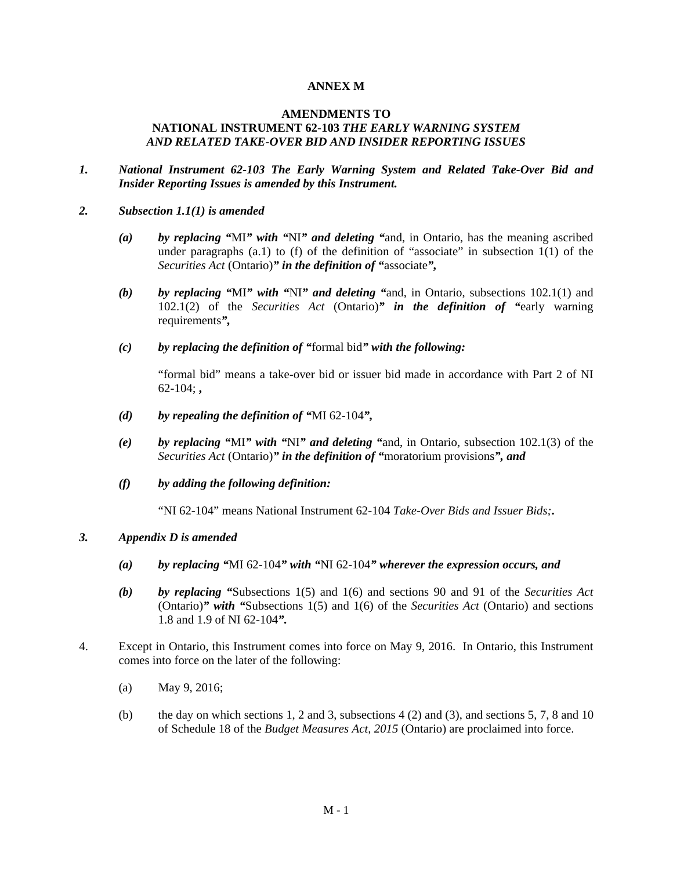#### **ANNEX M**

### **AMENDMENTS TO NATIONAL INSTRUMENT 62-103** *THE EARLY WARNING SYSTEM AND RELATED TAKE-OVER BID AND INSIDER REPORTING ISSUES*

*1. National Instrument 62-103 The Early Warning System and Related Take-Over Bid and Insider Reporting Issues is amended by this Instrument.* 

#### *2. Subsection 1.1(1) is amended*

- *(a) by replacing "*MI*" with "*NI*" and deleting "*and, in Ontario, has the meaning ascribed under paragraphs  $(a,1)$  to  $(f)$  of the definition of "associate" in subsection  $1(1)$  of the *Securities Act* (Ontario)*" in the definition of "*associate*",*
- *(b) by replacing "*MI*" with "*NI*" and deleting "*and, in Ontario, subsections 102.1(1) and 102.1(2) of the *Securities Act* (Ontario)*" in the definition of "*early warning requirements*",*
- *(c) by replacing the definition of "*formal bid*" with the following:*

"formal bid" means a take-over bid or issuer bid made in accordance with Part 2 of NI 62-104; **,**

- *(d) by repealing the definition of "*MI 62-104*",*
- *(e) by replacing "*MI*" with "*NI*" and deleting "*and, in Ontario, subsection 102.1(3) of the *Securities Act* (Ontario)*" in the definition of "*moratorium provisions*", and*
- *(f) by adding the following definition:*

"NI 62-104" means National Instrument 62-104 *Take-Over Bids and Issuer Bids;***.** 

#### *3. Appendix D is amended*

- *(a) by replacing "*MI 62-104*" with "*NI 62-104*" wherever the expression occurs, and*
- *(b) by replacing "*Subsections 1(5) and 1(6) and sections 90 and 91 of the *Securities Act* (Ontario)*" with "*Subsections 1(5) and 1(6) of the *Securities Act* (Ontario) and sections 1.8 and 1.9 of NI 62-104*".*
- 4. Except in Ontario, this Instrument comes into force on May 9, 2016. In Ontario, this Instrument comes into force on the later of the following:
	- (a) May 9, 2016;
	- (b) the day on which sections 1, 2 and 3, subsections 4 (2) and (3), and sections 5, 7, 8 and 10 of Schedule 18 of the *Budget Measures Act, 2015* (Ontario) are proclaimed into force.